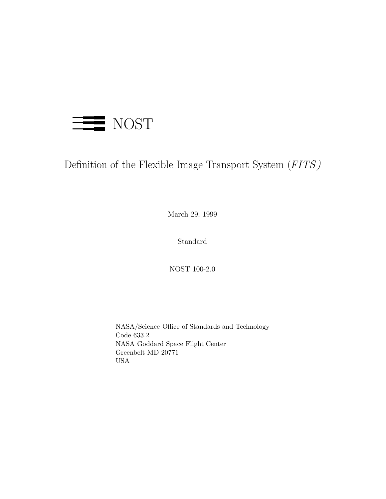

# Definition of the Flexible Image Transport System ( $FITS$ )

March 29, 1999

Standard

NOST 100-2.0

NASA/Science Office of Standards and Technology Code 633.2 NASA Goddard Space Flight Center Greenbelt MD 20771 USA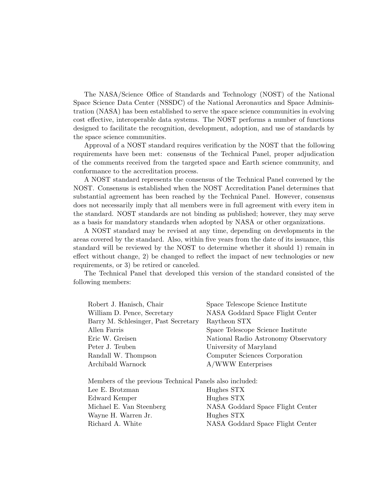The NASA/Science Office of Standards and Technology (NOST) of the National Space Science Data Center (NSSDC) of the National Aeronautics and Space Administration (NASA) has been established to serve the space science communities in evolving cost effective, interoperable data systems. The NOST performs a number of functions designed to facilitate the recognition, development, adoption, and use of standards by the space science communities.

Approval of a NOST standard requires verification by the NOST that the following requirements have been met: consensus of the Technical Panel, proper adjudication of the comments received from the targeted space and Earth science community, and conformance to the accreditation process.

A NOST standard represents the consensus of the Technical Panel convened by the NOST. Consensus is established when the NOST Accreditation Panel determines that substantial agreement has been reached by the Technical Panel. However, consensus does not necessarily imply that all members were in full agreement with every item in the standard. NOST standards are not binding as published; however, they may serve as a basis for mandatory standards when adopted by NASA or other organizations.

A NOST standard may be revised at any time, depending on developments in the areas covered by the standard. Also, within five years from the date of its issuance, this standard will be reviewed by the NOST to determine whether it should 1) remain in effect without change, 2) be changed to reflect the impact of new technologies or new requirements, or 3) be retired or canceled.

The Technical Panel that developed this version of the standard consisted of the following members:

| Robert J. Hanisch, Chair             | Space Telescope Science Institute    |
|--------------------------------------|--------------------------------------|
| William D. Pence, Secretary          | NASA Goddard Space Flight Center     |
| Barry M. Schlesinger, Past Secretary | Raytheon STX                         |
| Allen Farris                         | Space Telescope Science Institute    |
| Eric W. Greisen                      | National Radio Astronomy Observatory |
| Peter J. Teuben                      | University of Maryland               |
| Randall W. Thompson                  | Computer Sciences Corporation        |
| Archibald Warnock                    | A/WWW Enterprises                    |
|                                      |                                      |

Members of the previous Technical Panels also included: Lee E. Brotzman Hughes STX Edward Kemper Hughes STX Michael E. Van Steenberg NASA Goddard Space Flight Center Wayne H. Warren Jr. Hughes STX Richard A. White NASA Goddard Space Flight Center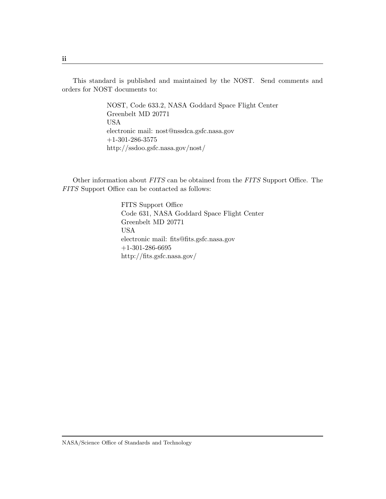This standard is published and maintained by the NOST. Send comments and orders for NOST documents to:

> NOST, Code 633.2, NASA Goddard Space Flight Center Greenbelt MD 20771 USA electronic mail: nost@nssdca.gsfc.nasa.gov +1-301-286-3575 http://ssdoo.gsfc.nasa.gov/nost/

Other information about *FITS* can be obtained from the *FITS* Support Office. The *FITS* Support Office can be contacted as follows:

> FITS Support Office Code 631, NASA Goddard Space Flight Center Greenbelt MD 20771 USA electronic mail: fits@fits.gsfc.nasa.gov  $+1-301-286-6695$ http://fits.gsfc.nasa.gov/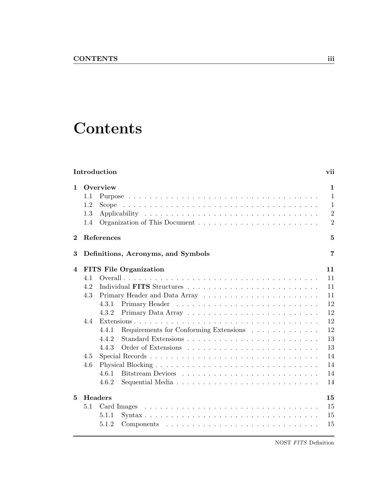# **Contents**

|              | Introduction                  |                                                                                                |                  |  |  |
|--------------|-------------------------------|------------------------------------------------------------------------------------------------|------------------|--|--|
| $\mathbf{1}$ |                               | Overview                                                                                       | $\mathbf 1$      |  |  |
|              | 1.1                           |                                                                                                | $\mathbf{1}$     |  |  |
|              | 1.2                           | Scope                                                                                          | $\mathbf{1}$     |  |  |
|              | 1.3                           |                                                                                                | $\boldsymbol{2}$ |  |  |
|              | 1.4                           |                                                                                                | $\overline{2}$   |  |  |
| $\bf{2}$     |                               | References                                                                                     | $\overline{5}$   |  |  |
| 3            |                               | Definitions, Acronyms, and Symbols                                                             | 7                |  |  |
| 4            | <b>FITS File Organization</b> |                                                                                                |                  |  |  |
|              | 4.1                           |                                                                                                | 11               |  |  |
|              | 4.2                           |                                                                                                | 11               |  |  |
|              | 4.3                           |                                                                                                | 11               |  |  |
|              |                               | 4.3.1                                                                                          | 12               |  |  |
|              |                               | 4.3.2                                                                                          | 12               |  |  |
|              | 4.4                           |                                                                                                | 12               |  |  |
|              |                               | Requirements for Conforming Extensions<br>4.4.1                                                | 12               |  |  |
|              |                               | 4.4.2                                                                                          | 13               |  |  |
|              |                               | 4.4.3                                                                                          | 13               |  |  |
|              | 4.5                           |                                                                                                | 14               |  |  |
|              | 4.6                           |                                                                                                | 14               |  |  |
|              |                               | 4.6.1                                                                                          | 14               |  |  |
|              |                               | Sequential Media $\ldots \ldots \ldots \ldots \ldots \ldots \ldots \ldots$<br>4.6.2            | 14               |  |  |
| $\mathbf{5}$ |                               | <b>Headers</b>                                                                                 | 15               |  |  |
|              | 5.1                           |                                                                                                | 15               |  |  |
|              |                               | $Syntax \ldots \ldots \ldots \ldots \ldots \ldots \ldots \ldots \ldots \ldots \ldots$<br>5.1.1 | 15               |  |  |
|              |                               | 5.1.2                                                                                          | 15               |  |  |

NOST FITS Definition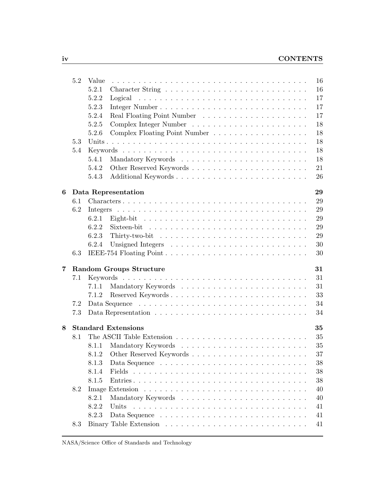|   | 5.2 | Value<br>16                                                                                           |
|---|-----|-------------------------------------------------------------------------------------------------------|
|   |     | 16<br>5.2.1                                                                                           |
|   |     | 17<br>5.2.2<br>Logical                                                                                |
|   |     | 17<br>5.2.3                                                                                           |
|   |     | 5.2.4<br>17                                                                                           |
|   |     | 18<br>5.2.5                                                                                           |
|   |     | 5.2.6<br>Complex Floating Point Number<br>18                                                          |
|   | 5.3 | 18                                                                                                    |
|   | 5.4 | 18                                                                                                    |
|   |     | 18<br>5.4.1                                                                                           |
|   |     | 21<br>5.4.2                                                                                           |
|   |     | 26<br>5.4.3                                                                                           |
| 6 |     | 29                                                                                                    |
|   | 6.1 | Data Representation<br>29                                                                             |
|   | 6.2 | 29<br>Integers                                                                                        |
|   |     | 29<br>6.2.1                                                                                           |
|   |     | 6.2.2<br>29<br>Sixteen-bit $\ldots \ldots \ldots \ldots \ldots \ldots \ldots \ldots \ldots \ldots$    |
|   |     | 6.2.3<br>29<br>Thirty-two-bit $\ldots \ldots \ldots \ldots \ldots \ldots \ldots \ldots \ldots \ldots$ |
|   |     | 30<br>6.2.4                                                                                           |
|   | 6.3 | 30                                                                                                    |
|   |     |                                                                                                       |
| 7 |     | Random Groups Structure<br>31                                                                         |
|   | 7.1 | 31                                                                                                    |
|   |     | 31<br>7.1.1                                                                                           |
|   |     | 33<br>7.1.2                                                                                           |
|   | 7.2 | 34                                                                                                    |
|   | 7.3 | 34                                                                                                    |
| 8 |     | <b>Standard Extensions</b><br>35                                                                      |
|   | 8.1 | 35                                                                                                    |
|   |     | 35<br>8.1.1                                                                                           |
|   |     | 37<br>8.1.2                                                                                           |
|   |     | 8.1.3<br>38                                                                                           |
|   |     | 8.1.4<br>38                                                                                           |
|   |     | 8.1.5<br>38                                                                                           |
|   | 8.2 | 40                                                                                                    |
|   |     | 40<br>8.2.1                                                                                           |
|   |     | 8.2.2<br>Units<br>41                                                                                  |
|   |     | 8.2.3<br>41                                                                                           |
|   | 8.3 | 41                                                                                                    |
|   |     |                                                                                                       |

NASA/Science Office of Standards and Technology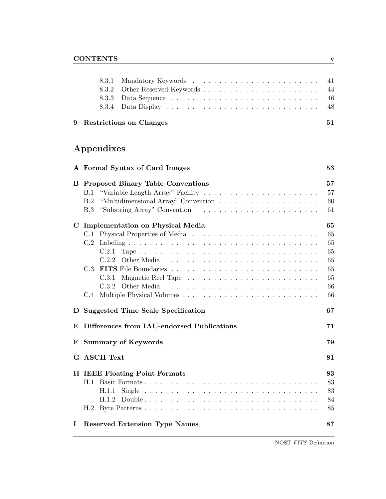|  | 9 Restrictions on Changes |  |
|--|---------------------------|--|

# **Appendixes**

|             | A Formal Syntax of Card Images                                                                   | 53                                                 |
|-------------|--------------------------------------------------------------------------------------------------|----------------------------------------------------|
|             | <b>B</b> Proposed Binary Table Conventions<br>B.1<br>B.2<br>B.3                                  | 57<br>57<br>60<br>61                               |
| $\mathbf C$ | <b>Implementation on Physical Media</b><br>C.2<br>C.2.1<br>C.2.2<br>C.3<br>C.3.1<br>C.3.2<br>C.4 | 65<br>65<br>65<br>65<br>65<br>65<br>65<br>66<br>66 |
| D           | <b>Suggested Time Scale Specification</b>                                                        | 67                                                 |
| E           | Differences from IAU-endorsed Publications                                                       | 71                                                 |
| F           | <b>Summary of Keywords</b>                                                                       | 79                                                 |
|             | <b>G</b> ASCII Text                                                                              | 81                                                 |
|             | <b>H</b> IEEE Floating Point Formats<br>H.1.1<br>H.1.2<br>H.2                                    | 83<br>83<br>83<br>84<br>85                         |
| 1           | <b>Reserved Extension Type Names</b>                                                             | 87                                                 |

NOST FITS Definition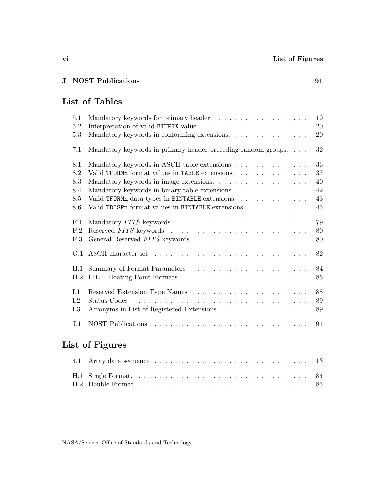## **J NOST Publications 91**

# **List of Tables**

| 5.1<br>5.2<br>5.3 | Mandatory keywords for primary header.<br>Mandatory keywords in conforming extensions.           | 19<br>20<br>20 |
|-------------------|--------------------------------------------------------------------------------------------------|----------------|
| 7.1               | Mandatory keywords in primary header preceding random groups.                                    | 32             |
| 8.1<br>8.2        | Mandatory keywords in ASCII table extensions.<br>Valid TFORMn format values in TABLE extensions. | 36<br>37       |
| 8.3               | Mandatory keywords in image extensions.                                                          | 40             |
| 8.4               |                                                                                                  | 42             |
| 8.5               | Valid TFORMn data types in BINTABLE extensions.                                                  | 43             |
| 8.6               | Valid TDISPn format values in BINTABLE extensions                                                | 45             |
| F.1               |                                                                                                  | 79             |
| F.2<br>F.3        |                                                                                                  | 80<br>80       |
| G.1               |                                                                                                  | 82             |
| H.1               |                                                                                                  | 84             |
| H.2               |                                                                                                  | 86             |
| I.1               |                                                                                                  | 88             |
| I.2               |                                                                                                  | 89             |
| <b>I.3</b>        | Acronyms in List of Registered Extensions                                                        | 89             |
| J.1               |                                                                                                  | 91             |

# **List of Figures**

| 4.1 Array data sequence $\ldots \ldots \ldots \ldots \ldots \ldots \ldots \ldots \ldots \ldots 13$ |  |
|----------------------------------------------------------------------------------------------------|--|
|                                                                                                    |  |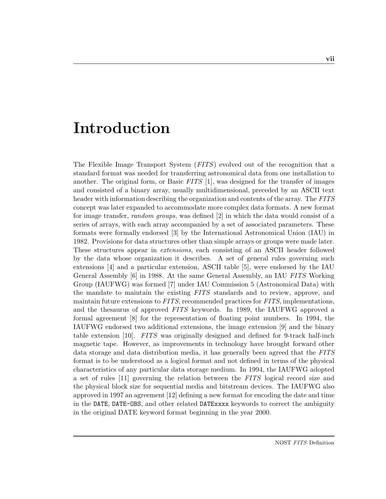# **Introduction**

The Flexible Image Transport System (*FITS*) evolved out of the recognition that a standard format was needed for transferring astronomical data from one installation to another. The original form, or Basic *FITS* [1], was designed for the transfer of images and consisted of a binary array, usually multidimensional, preceded by an ASCII text header with information describing the organization and contents of the array. The *FITS* concept was later expanded to accommodate more complex data formats. A new format for image transfer, *random groups*, was defined [2] in which the data would consist of a series of arrays, with each array accompanied by a set of associated parameters. These formats were formally endorsed [3] by the International Astronomical Union (IAU) in 1982. Provisions for data structures other than simple arrays or groups were made later. These structures appear in *extensions*, each consisting of an ASCII header followed by the data whose organization it describes. A set of general rules governing such extensions [4] and a particular extension, ASCII table [5], were endorsed by the IAU General Assembly [6] in 1988. At the same General Assembly, an IAU *FITS* Working Group (IAUFWG) was formed [7] under IAU Commission 5 (Astronomical Data) with the mandate to maintain the existing *FITS* standards and to review, approve, and maintain future extensions to *FITS*, recommended practices for *FITS*, implementations, and the thesaurus of approved *FITS* keywords. In 1989, the IAUFWG approved a formal agreement [8] for the representation of floating point numbers. In 1994, the IAUFWG endorsed two additional extensions, the image extension [9] and the binary table extension [10]. *FITS* was originally designed and defined for 9-track half-inch magnetic tape. However, as improvements in technology have brought forward other data storage and data distribution media, it has generally been agreed that the *FITS* format is to be understood as a logical format and not defined in terms of the physical characteristics of any particular data storage medium. In 1994, the IAUFWG adopted a set of rules [11] governing the relation between the *FITS* logical record size and the physical block size for sequential media and bitstream devices. The IAUFWG also approved in 1997 an agreement [12] defining a new format for encoding the date and time in the DATE, DATE-OBS, and other related DATExxxx keywords to correct the ambiguity in the original DATE keyword format beginning in the year 2000.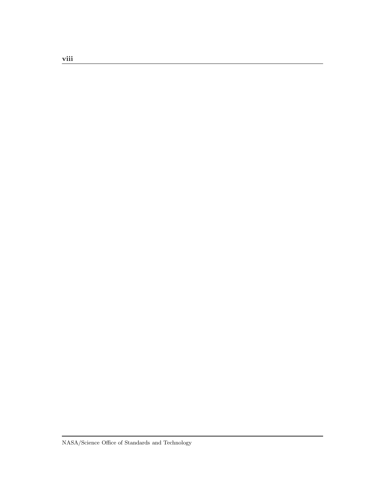**viii**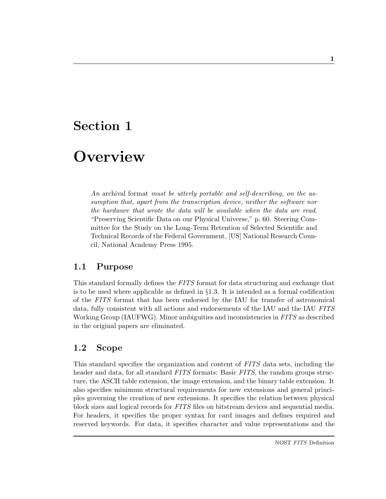# **Section 1**

# **Overview**

*An* archival format *must be utterly portable and self-describing, on the assumption that, apart from the transcription device, neither the software nor the hardware that wrote the data will be available when the data are read.* "Preserving Scientific Data on our Physical Universe," p. 60. Steering Committee for the Study on the Long-Term Retention of Selected Scientific and Technical Records of the Federal Government, [US] National Research Council, National Academy Press 1995.

## **1.1 Purpose**

This standard formally defines the *FITS* format for data structuring and exchange that is to be used where applicable as defined in  $\S1.3$ . It is intended as a formal codification of the *FITS* format that has been endorsed by the IAU for transfer of astronomical data, fully consistent with all actions and endorsements of the IAU and the IAU *FITS* Working Group (IAUFWG). Minor ambiguities and inconsistencies in *FITS* as described in the original papers are eliminated.

## **1.2 Scope**

This standard specifies the organization and content of *FITS* data sets, including the header and data, for all standard *FITS* formats: Basic *FITS*, the random groups structure, the ASCII table extension, the image extension, and the binary table extension. It also specifies minimum structural requirements for new extensions and general principles governing the creation of new extensions. It specifies the relation between physical block sizes and logical records for *FITS* files on bitstream devices and sequential media. For headers, it specifies the proper syntax for card images and defines required and reserved keywords. For data, it specifies character and value representations and the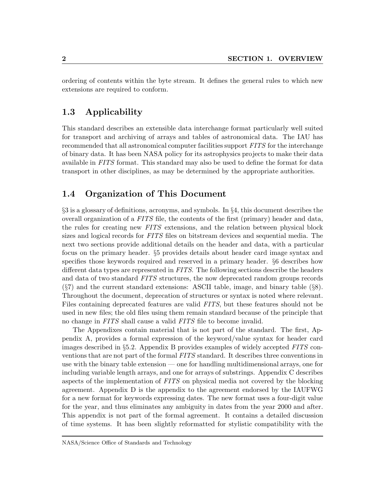ordering of contents within the byte stream. It defines the general rules to which new extensions are required to conform.

## **1.3 Applicability**

This standard describes an extensible data interchange format particularly well suited for transport and archiving of arrays and tables of astronomical data. The IAU has recommended that all astronomical computer facilities support *FITS* for the interchange of binary data. It has been NASA policy for its astrophysics projects to make their data available in *FITS* format. This standard may also be used to define the format for data transport in other disciplines, as may be determined by the appropriate authorities.

## **1.4 Organization of This Document**

§3 is a glossary of definitions, acronyms, and symbols. In §4, this document describes the overall organization of a *FITS* file, the contents of the first (primary) header and data, the rules for creating new *FITS* extensions, and the relation between physical block sizes and logical records for *FITS* files on bitstream devices and sequential media. The next two sections provide additional details on the header and data, with a particular focus on the primary header. §5 provides details about header card image syntax and specifies those keywords required and reserved in a primary header. §6 describes how different data types are represented in *FITS*. The following sections describe the headers and data of two standard *FITS* structures, the now deprecated random groups records (§7) and the current standard extensions: ASCII table, image, and binary table (§8). Throughout the document, deprecation of structures or syntax is noted where relevant. Files containing deprecated features are valid *FITS*, but these features should not be used in new files; the old files using them remain standard because of the principle that no change in *FITS* shall cause a valid *FITS* file to become invalid.

The Appendixes contain material that is not part of the standard. The first, Appendix A, provides a formal expression of the keyword/value syntax for header card images described in §5.2. Appendix B provides examples of widely accepted *FITS* conventions that are not part of the formal *FITS* standard. It describes three conventions in use with the binary table extension — one for handling multidimensional arrays, one for including variable length arrays, and one for arrays of substrings. Appendix C describes aspects of the implementation of *FITS* on physical media not covered by the blocking agreement. Appendix D is the appendix to the agreement endorsed by the IAUFWG for a new format for keywords expressing dates. The new format uses a four-digit value for the year, and thus eliminates any ambiguity in dates from the year 2000 and after. This appendix is not part of the formal agreement. It contains a detailed discussion of time systems. It has been slightly reformatted for stylistic compatibility with the

NASA/Science Office of Standards and Technology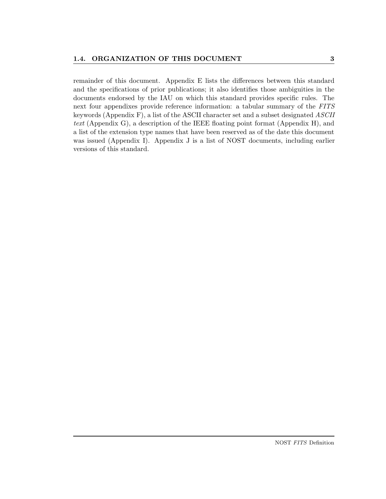remainder of this document. Appendix E lists the differences between this standard and the specifications of prior publications; it also identifies those ambiguities in the documents endorsed by the IAU on which this standard provides specific rules. The next four appendixes provide reference information: a tabular summary of the *FITS* keywords (Appendix F), a list of the ASCII character set and a subset designated *ASCII text* (Appendix G), a description of the IEEE floating point format (Appendix H), and a list of the extension type names that have been reserved as of the date this document was issued (Appendix I). Appendix J is a list of NOST documents, including earlier versions of this standard.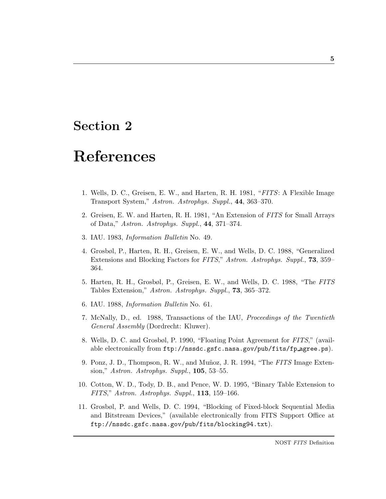# **Section 2**

# **References**

- 1. Wells, D. C., Greisen, E. W., and Harten, R. H. 1981, "*FITS*: A Flexible Image Transport System," *Astron. Astrophys. Suppl.*, **44**, 363–370.
- 2. Greisen, E. W. and Harten, R. H. 1981, "An Extension of *FITS* for Small Arrays of Data," *Astron. Astrophys. Suppl.*, **44**, 371–374.
- 3. IAU. 1983, *Information Bulletin* No. 49.
- 4. Grosbøl, P., Harten, R. H., Greisen, E. W., and Wells, D. C. 1988, "Generalized Extensions and Blocking Factors for *FITS*," *Astron. Astrophys. Suppl.*, **73**, 359– 364.
- 5. Harten, R. H., Grosbøl, P., Greisen, E. W., and Wells, D. C. 1988, "The *FITS* Tables Extension," *Astron. Astrophys. Suppl.*, **73**, 365–372.
- 6. IAU. 1988, *Information Bulletin* No. 61.
- 7. McNally, D., ed. 1988, Transactions of the IAU, *Proceedings of the Twentieth General Assembly* (Dordrecht: Kluwer).
- 8. Wells, D. C. and Grosbøl, P. 1990, "Floating Point Agreement for *FITS*," (available electronically from ftp://nssdc.gsfc.nasa.gov/pub/fits/fp agree.ps).
- 9. Ponz, J. D., Thompson, R. W., and Mu˜noz, J. R. 1994, "The *FITS* Image Extension," *Astron. Astrophys. Suppl.*, **105**, 53–55.
- 10. Cotton, W. D., Tody, D. B., and Pence, W. D. 1995, "Binary Table Extension to *FITS*," *Astron. Astrophys. Suppl.*, **113**, 159–166.
- 11. Grosbøl, P. and Wells, D. C. 1994, "Blocking of Fixed-block Sequential Media and Bitstream Devices," (available electronically from FITS Support Office at ftp://nssdc.gsfc.nasa.gov/pub/fits/blocking94.txt).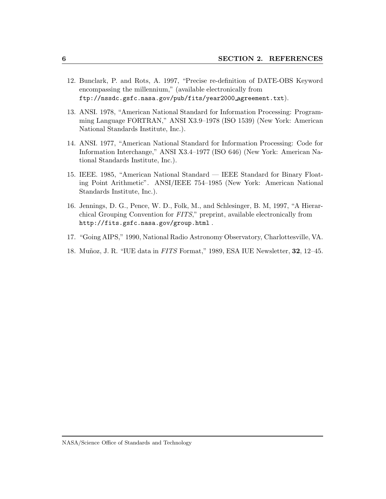- 12. Bunclark, P. and Rots, A. 1997, "Precise re-definition of DATE-OBS Keyword encompassing the millennium," (available electronically from ftp://nssdc.gsfc.nasa.gov/pub/fits/year2000 agreement.txt).
- 13. ANSI. 1978, "American National Standard for Information Processing: Programming Language FORTRAN," ANSI X3.9–1978 (ISO 1539) (New York: American National Standards Institute, Inc.).
- 14. ANSI. 1977, "American National Standard for Information Processing: Code for Information Interchange," ANSI X3.4–1977 (ISO 646) (New York: American National Standards Institute, Inc.).
- 15. IEEE. 1985, "American National Standard IEEE Standard for Binary Floating Point Arithmetic". ANSI/IEEE 754–1985 (New York: American National Standards Institute, Inc.).
- 16. Jennings, D. G., Pence, W. D., Folk, M., and Schlesinger, B. M, 1997, "A Hierarchical Grouping Convention for *FITS*," preprint, available electronically from http://fits.gsfc.nasa.gov/group.html .
- 17. "Going AIPS," 1990, National Radio Astronomy Observatory, Charlottesville, VA.
- 18. Mu˜noz, J. R. "IUE data in *FITS* Format," 1989, ESA IUE Newsletter, **32**, 12–45.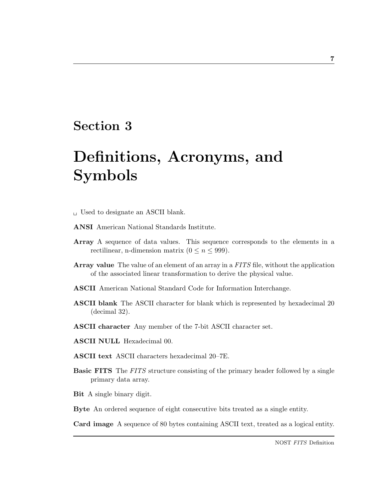# **Section 3**

# **Definitions, Acronyms, and Symbols**

- $\Box$  Used to designate an ASCII blank.
- **ANSI** American National Standards Institute.
- **Array** A sequence of data values. This sequence corresponds to the elements in a rectilinear, n-dimension matrix  $(0 \le n \le 999)$ .
- **Array value** The value of an element of an array in a *FITS* file, without the application of the associated linear transformation to derive the physical value.
- **ASCII** American National Standard Code for Information Interchange.
- **ASCII blank** The ASCII character for blank which is represented by hexadecimal 20 (decimal 32).
- **ASCII character** Any member of the 7-bit ASCII character set.
- **ASCII NULL** Hexadecimal 00.
- **ASCII text** ASCII characters hexadecimal 20–7E.
- **Basic FITS** The *FITS* structure consisting of the primary header followed by a single primary data array.
- **Bit** A single binary digit.

**Byte** An ordered sequence of eight consecutive bits treated as a single entity.

**Card image** A sequence of 80 bytes containing ASCII text, treated as a logical entity.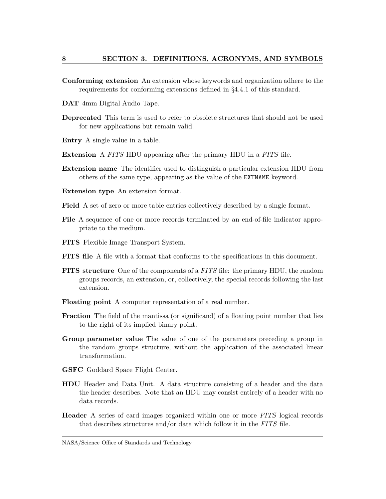- **Conforming extension** An extension whose keywords and organization adhere to the requirements for conforming extensions defined in §4.4.1 of this standard.
- **DAT** 4mm Digital Audio Tape.
- **Deprecated** This term is used to refer to obsolete structures that should not be used for new applications but remain valid.
- **Entry** A single value in a table.
- **Extension** A *FITS* HDU appearing after the primary HDU in a *FITS* file.
- **Extension name** The identifier used to distinguish a particular extension HDU from others of the same type, appearing as the value of the EXTNAME keyword.
- **Extension type** An extension format.
- **Field** A set of zero or more table entries collectively described by a single format.
- File A sequence of one or more records terminated by an end-of-file indicator appropriate to the medium.
- **FITS** Flexible Image Transport System.
- **FITS file** A file with a format that conforms to the specifications in this document.
- **FITS structure** One of the components of a *FITS* file: the primary HDU, the random groups records, an extension, or, collectively, the special records following the last extension.
- **Floating point** A computer representation of a real number.
- **Fraction** The field of the mantissa (or significand) of a floating point number that lies to the right of its implied binary point.
- **Group parameter value** The value of one of the parameters preceding a group in the random groups structure, without the application of the associated linear transformation.
- **GSFC** Goddard Space Flight Center.
- **HDU** Header and Data Unit. A data structure consisting of a header and the data the header describes. Note that an HDU may consist entirely of a header with no data records.
- **Header** A series of card images organized within one or more *FITS* logical records that describes structures and/or data which follow it in the *FITS* file.

NASA/Science Office of Standards and Technology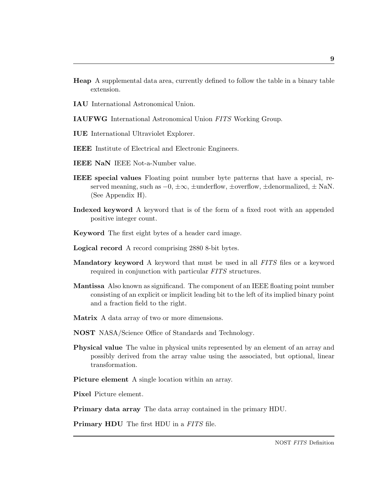- **Heap** A supplemental data area, currently defined to follow the table in a binary table extension.
- **IAU** International Astronomical Union.
- **IAUFWG** International Astronomical Union *FITS* Working Group.
- **IUE** International Ultraviolet Explorer.
- **IEEE** Institute of Electrical and Electronic Engineers.
- **IEEE NaN** IEEE Not-a-Number value.
- **IEEE special values** Floating point number byte patterns that have a special, reserved meaning, such as  $-0, \pm \infty$ ,  $\pm$ underflow,  $\pm$ overflow,  $\pm$ denormalized,  $\pm$  NaN. (See Appendix H).
- **Indexed keyword** A keyword that is of the form of a fixed root with an appended positive integer count.
- **Keyword** The first eight bytes of a header card image.
- **Logical record** A record comprising 2880 8-bit bytes.
- **Mandatory keyword** A keyword that must be used in all *FITS* files or a keyword required in conjunction with particular *FITS* structures.
- **Mantissa** Also known as significand. The component of an IEEE floating point number consisting of an explicit or implicit leading bit to the left of its implied binary point and a fraction field to the right.
- **Matrix** A data array of two or more dimensions.
- **NOST** NASA/Science Office of Standards and Technology.
- **Physical value** The value in physical units represented by an element of an array and possibly derived from the array value using the associated, but optional, linear transformation.
- **Picture element** A single location within an array.
- **Pixel** Picture element.

**Primary data array** The data array contained in the primary HDU.

**Primary HDU** The first HDU in a *FITS* file.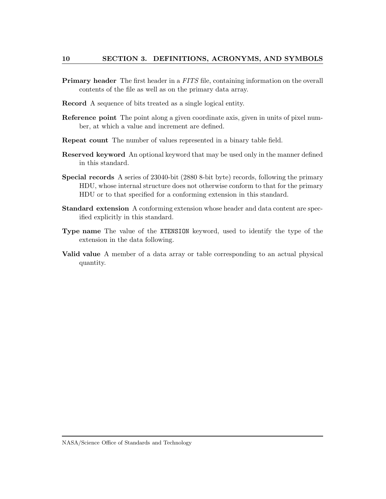- **Primary header** The first header in a *FITS* file, containing information on the overall contents of the file as well as on the primary data array.
- **Record** A sequence of bits treated as a single logical entity.
- **Reference point** The point along a given coordinate axis, given in units of pixel number, at which a value and increment are defined.
- **Repeat count** The number of values represented in a binary table field.
- **Reserved keyword** An optional keyword that may be used only in the manner defined in this standard.
- **Special records** A series of 23040-bit (2880 8-bit byte) records, following the primary HDU, whose internal structure does not otherwise conform to that for the primary HDU or to that specified for a conforming extension in this standard.
- **Standard extension** A conforming extension whose header and data content are specified explicitly in this standard.
- **Type name** The value of the XTENSION keyword, used to identify the type of the extension in the data following.
- **Valid value** A member of a data array or table corresponding to an actual physical quantity.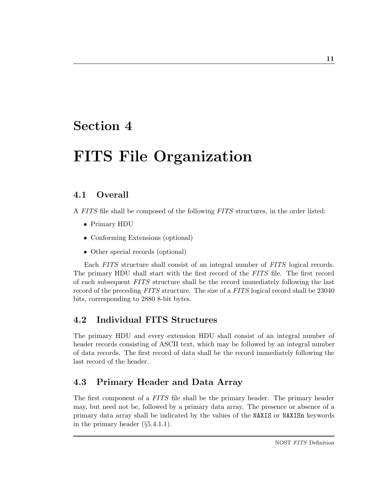# **Section 4**

# **FITS File Organization**

# **4.1 Overall**

A *FITS* file shall be composed of the following *FITS* structures, in the order listed:

- Primary HDU
- Conforming Extensions (optional)
- Other special records (optional)

Each *FITS* structure shall consist of an integral number of *FITS* logical records. The primary HDU shall start with the first record of the *FITS* file. The first record of each subsequent *FITS* structure shall be the record immediately following the last record of the preceding *FITS* structure. The size of a *FITS* logical record shall be 23040 bits, corresponding to 2880 8-bit bytes.

# **4.2 Individual FITS Structures**

The primary HDU and every extension HDU shall consist of an integral number of header records consisting of ASCII text, which may be followed by an integral number of data records. The first record of data shall be the record immediately following the last record of the header.

# **4.3 Primary Header and Data Array**

The first component of a *FITS* file shall be the primary header. The primary header may, but need not be, followed by a primary data array. The presence or absence of a primary data array shall be indicated by the values of the NAXIS or NAXISn keywords in the primary header (§5.4.1.1).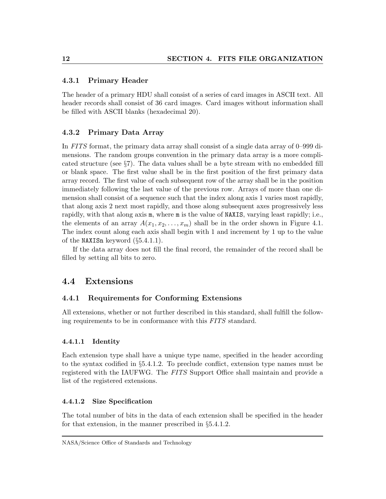#### **4.3.1 Primary Header**

The header of a primary HDU shall consist of a series of card images in ASCII text. All header records shall consist of 36 card images. Card images without information shall be filled with ASCII blanks (hexadecimal 20).

#### **4.3.2 Primary Data Array**

In *FITS* format, the primary data array shall consist of a single data array of 0–999 dimensions. The random groups convention in the primary data array is a more complicated structure (see  $\S$ 7). The data values shall be a byte stream with no embedded fill or blank space. The first value shall be in the first position of the first primary data array record. The first value of each subsequent row of the array shall be in the position immediately following the last value of the previous row. Arrays of more than one dimension shall consist of a sequence such that the index along axis 1 varies most rapidly, that along axis 2 next most rapidly, and those along subsequent axes progressively less rapidly, with that along axis m, where m is the value of NAXIS, varying least rapidly; i.e., the elements of an array  $A(x_1, x_2, \ldots, x_m)$  shall be in the order shown in Figure 4.1. The index count along each axis shall begin with 1 and increment by 1 up to the value of the NAXISn keyword  $(\S 5.4.1.1)$ .

If the data array does not fill the final record, the remainder of the record shall be filled by setting all bits to zero.

### **4.4 Extensions**

#### **4.4.1 Requirements for Conforming Extensions**

All extensions, whether or not further described in this standard, shall fulfill the following requirements to be in conformance with this *FITS* standard.

#### **4.4.1.1 Identity**

Each extension type shall have a unique type name, specified in the header according to the syntax codified in §5.4.1.2. To preclude conflict, extension type names must be registered with the IAUFWG. The *FITS* Support Office shall maintain and provide a list of the registered extensions.

#### **4.4.1.2 Size Specification**

The total number of bits in the data of each extension shall be specified in the header for that extension, in the manner prescribed in §5.4.1.2.

NASA/Science Office of Standards and Technology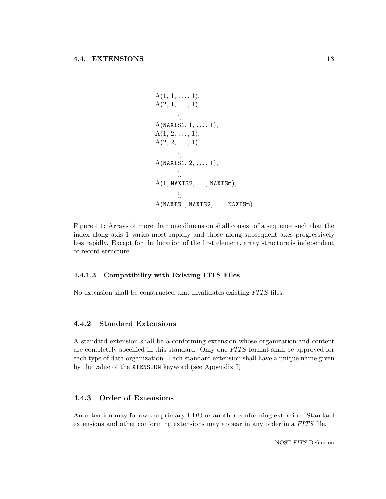```
A(1, 1, \ldots, 1),A(2, 1, \ldots, 1),.
.
.,
A(NAXIS1, 1, ..., 1),A(1, 2, \ldots, 1),A(2, 2, \ldots, 1),.
.
.,
A(NAXIS1, 2, ..., 1),.
         .
         .,
A(1, NAXIS2, \ldots, NAXISm),.
.
.,
A(NAXIS1, NAXIS2, ..., NAXISm)
```
Figure 4.1: Arrays of more than one dimension shall consist of a sequence such that the index along axis 1 varies most rapidly and those along subsequent axes progressively less rapidly. Except for the location of the first element, array structure is independent of record structure.

#### **4.4.1.3 Compatibility with Existing FITS Files**

No extension shall be constructed that invalidates existing *FITS* files.

### **4.4.2 Standard Extensions**

A standard extension shall be a conforming extension whose organization and content are completely specified in this standard. Only one *FITS* format shall be approved for each type of data organization. Each standard extension shall have a unique name given by the value of the XTENSION keyword (see Appendix I)

### **4.4.3 Order of Extensions**

An extension may follow the primary HDU or another conforming extension. Standard extensions and other conforming extensions may appear in any order in a *FITS* file.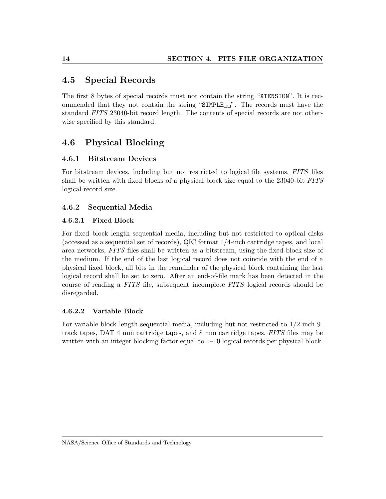# **4.5 Special Records**

The first 8 bytes of special records must not contain the string "XTENSION". It is recommended that they not contain the string " $SIMPLE_{\text{full}}$ ". The records must have the standard *FITS* 23040-bit record length. The contents of special records are not otherwise specified by this standard.

# **4.6 Physical Blocking**

### **4.6.1 Bitstream Devices**

For bitstream devices, including but not restricted to logical file systems, *FITS* files shall be written with fixed blocks of a physical block size equal to the 23040-bit *FITS* logical record size.

### **4.6.2 Sequential Media**

#### **4.6.2.1 Fixed Block**

For fixed block length sequential media, including but not restricted to optical disks (accessed as a sequential set of records), QIC format 1/4-inch cartridge tapes, and local area networks, *FITS* files shall be written as a bitstream, using the fixed block size of the medium. If the end of the last logical record does not coincide with the end of a physical fixed block, all bits in the remainder of the physical block containing the last logical record shall be set to zero. After an end-of-file mark has been detected in the course of reading a *FITS* file, subsequent incomplete *FITS* logical records should be disregarded.

#### **4.6.2.2 Variable Block**

For variable block length sequential media, including but not restricted to  $1/2$ -inch 9track tapes, DAT 4 mm cartridge tapes, and 8 mm cartridge tapes, *FITS* files may be written with an integer blocking factor equal to 1–10 logical records per physical block.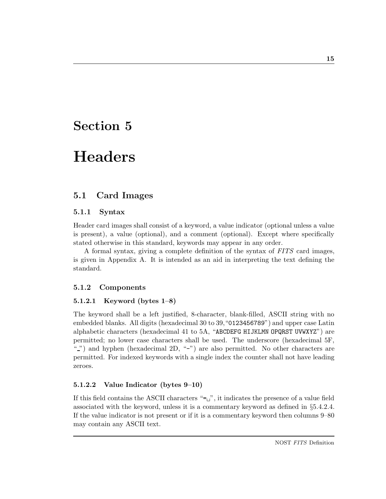# **Section 5**

# **Headers**

## **5.1 Card Images**

### **5.1.1 Syntax**

Header card images shall consist of a keyword, a value indicator (optional unless a value is present), a value (optional), and a comment (optional). Except where specifically stated otherwise in this standard, keywords may appear in any order.

A formal syntax, giving a complete definition of the syntax of *FITS* card images, is given in Appendix A. It is intended as an aid in interpreting the text defining the standard.

### **5.1.2 Components**

### **5.1.2.1 Keyword (bytes 1–8)**

The keyword shall be a left justified, 8-character, blank-filled, ASCII string with no embedded blanks. All digits (hexadecimal 30 to 39,"0123456789") and upper case Latin alphabetic characters (hexadecimal 41 to 5A, "ABCDEFG HIJKLMN OPQRST UVWXYZ") are permitted; no lower case characters shall be used. The underscore (hexadecimal 5F, "") and hyphen (hexadecimal 2D, "-") are also permitted. No other characters are permitted. For indexed keywords with a single index the counter shall not have leading zeroes.

### **5.1.2.2 Value Indicator (bytes 9–10)**

If this field contains the ASCII characters " $=$  $\Box$ ", it indicates the presence of a value field associated with the keyword, unless it is a commentary keyword as defined in §5.4.2.4. If the value indicator is not present or if it is a commentary keyword then columns 9–80 may contain any ASCII text.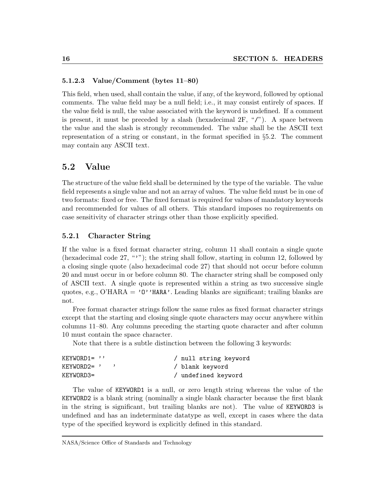#### **5.1.2.3 Value/Comment (bytes 11–80)**

This field, when used, shall contain the value, if any, of the keyword, followed by optional comments. The value field may be a null field; i.e., it may consist entirely of spaces. If the value field is null, the value associated with the keyword is undefined. If a comment is present, it must be preceded by a slash (hexadecimal  $2F$ , "/"). A space between the value and the slash is strongly recommended. The value shall be the ASCII text representation of a string or constant, in the format specified in  $\S5.2$ . The comment may contain any ASCII text.

## **5.2 Value**

The structure of the value field shall be determined by the type of the variable. The value field represents a single value and not an array of values. The value field must be in one of two formats: fixed or free. The fixed format is required for values of mandatory keywords and recommended for values of all others. This standard imposes no requirements on case sensitivity of character strings other than those explicitly specified.

#### **5.2.1 Character String**

If the value is a fixed format character string, column 11 shall contain a single quote (hexadecimal code 27, ""); the string shall follow, starting in column 12, followed by a closing single quote (also hexadecimal code 27) that should not occur before column 20 and must occur in or before column 80. The character string shall be composed only of ASCII text. A single quote is represented within a string as two successive single quotes, e.g., O'HARA = '0''HARA'. Leading blanks are significant; trailing blanks are not.

Free format character strings follow the same rules as fixed format character strings except that the starting and closing single quote characters may occur anywhere within columns 11–80. Any columns preceding the starting quote character and after column 10 must contain the space character.

Note that there is a subtle distinction between the following 3 keywords:

| KEYWORD1= $'$ | / null string keyword |
|---------------|-----------------------|
| $KEYWORD2 =$  | / blank keyword       |
| KEYWORD3=     | / undefined keyword   |

The value of KEYWORD1 is a null, or zero length string whereas the value of the KEYWORD2 is a blank string (nominally a single blank character because the first blank in the string is significant, but trailing blanks are not). The value of KEYWORD3 is undefined and has an indeterminate datatype as well, except in cases where the data type of the specified keyword is explicitly defined in this standard.

NASA/Science Office of Standards and Technology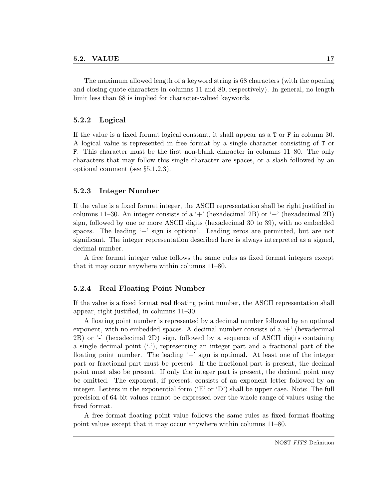The maximum allowed length of a keyword string is 68 characters (with the opening and closing quote characters in columns 11 and 80, respectively). In general, no length limit less than 68 is implied for character-valued keywords.

#### **5.2.2 Logical**

If the value is a fixed format logical constant, it shall appear as a T or F in column 30. A logical value is represented in free format by a single character consisting of T or F. This character must be the first non-blank character in columns 11–80. The only characters that may follow this single character are spaces, or a slash followed by an optional comment (see §5.1.2.3).

#### **5.2.3 Integer Number**

If the value is a fixed format integer, the ASCII representation shall be right justified in columns 11–30. An integer consists of a '+' (hexadecimal 2B) or '−' (hexadecimal 2D) sign, followed by one or more ASCII digits (hexadecimal 30 to 39), with no embedded spaces. The leading '+' sign is optional. Leading zeros are permitted, but are not significant. The integer representation described here is always interpreted as a signed, decimal number.

A free format integer value follows the same rules as fixed format integers except that it may occur anywhere within columns 11–80.

#### **5.2.4 Real Floating Point Number**

If the value is a fixed format real floating point number, the ASCII representation shall appear, right justified, in columns 11–30.

A floating point number is represented by a decimal number followed by an optional exponent, with no embedded spaces. A decimal number consists of a '+' (hexadecimal 2B) or '-' (hexadecimal 2D) sign, followed by a sequence of ASCII digits containing a single decimal point  $(2)$ , representing an integer part and a fractional part of the floating point number. The leading  $+$  sign is optional. At least one of the integer part or fractional part must be present. If the fractional part is present, the decimal point must also be present. If only the integer part is present, the decimal point may be omitted. The exponent, if present, consists of an exponent letter followed by an integer. Letters in the exponential form ('E' or 'D') shall be upper case. Note: The full precision of 64-bit values cannot be expressed over the whole range of values using the fixed format.

A free format floating point value follows the same rules as fixed format floating point values except that it may occur anywhere within columns 11–80.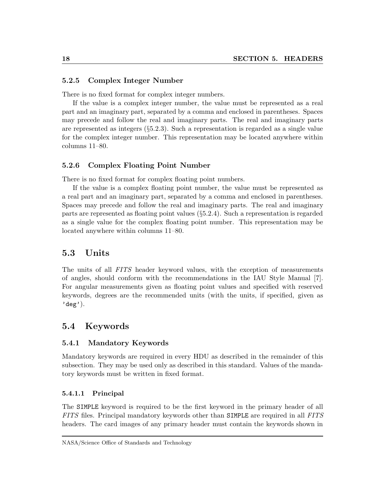#### **5.2.5 Complex Integer Number**

There is no fixed format for complex integer numbers.

If the value is a complex integer number, the value must be represented as a real part and an imaginary part, separated by a comma and enclosed in parentheses. Spaces may precede and follow the real and imaginary parts. The real and imaginary parts are represented as integers (§5.2.3). Such a representation is regarded as a single value for the complex integer number. This representation may be located anywhere within columns 11–80.

#### **5.2.6 Complex Floating Point Number**

There is no fixed format for complex floating point numbers.

If the value is a complex floating point number, the value must be represented as a real part and an imaginary part, separated by a comma and enclosed in parentheses. Spaces may precede and follow the real and imaginary parts. The real and imaginary parts are represented as floating point values (§5.2.4). Such a representation is regarded as a single value for the complex floating point number. This representation may be located anywhere within columns 11–80.

## **5.3 Units**

The units of all *FITS* header keyword values, with the exception of measurements of angles, should conform with the recommendations in the IAU Style Manual [7]. For angular measurements given as floating point values and specified with reserved keywords, degrees are the recommended units (with the units, if specified, given as 'deg').

### **5.4 Keywords**

#### **5.4.1 Mandatory Keywords**

Mandatory keywords are required in every HDU as described in the remainder of this subsection. They may be used only as described in this standard. Values of the mandatory keywords must be written in fixed format.

#### **5.4.1.1 Principal**

The SIMPLE keyword is required to be the first keyword in the primary header of all *FITS* files. Principal mandatory keywords other than SIMPLE are required in all *FITS* headers. The card images of any primary header must contain the keywords shown in

NASA/Science Office of Standards and Technology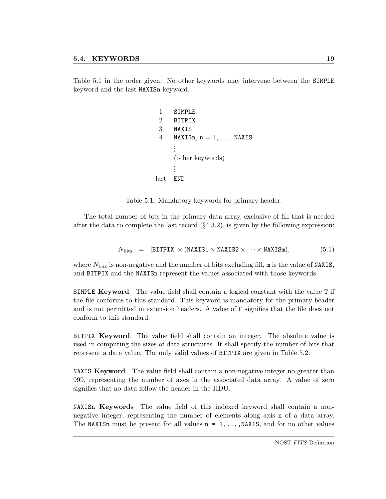Table 5.1 in the order given. No other keywords may intervene between the SIMPLE keyword and the last NAXISn keyword.

> 1 SIMPLE 2 BITPIX 3 NAXIS  $4$  NAXISn,  $n = 1, \ldots, NAXIS$ . . . (other keywords) . . . last END

Table 5.1: Mandatory keywords for primary header.

The total number of bits in the primary data array, exclusive of fill that is needed after the data to complete the last record  $(\S4.3.2)$ , is given by the following expression:

$$
N_{\text{bits}} = |\text{BITPIX}| \times (\text{NAXIS1} \times \text{NAXIS2} \times \cdots \times \text{NAXISm}), \tag{5.1}
$$

where  $N_{\text{bits}}$  is non-negative and the number of bits excluding fill,  $m$  is the value of NAXIS, and BITPIX and the NAXISn represent the values associated with those keywords.

SIMPLE **Keyword** The value field shall contain a logical constant with the value T if the file conforms to this standard. This keyword is mandatory for the primary header and is not permitted in extension headers. A value of F signifies that the file does not conform to this standard.

BITPIX **Keyword** The value field shall contain an integer. The absolute value is used in computing the sizes of data structures. It shall specify the number of bits that represent a data value. The only valid values of BITPIX are given in Table 5.2.

NAXIS **Keyword** The value field shall contain a non-negative integer no greater than 999, representing the number of axes in the associated data array. A value of zero signifies that no data follow the header in the HDU.

NAXISn **Keywords** The value field of this indexed keyword shall contain a nonnegative integer, representing the number of elements along axis n of a data array. The NAXIS nmust be present for all values  $n = 1, \ldots$ , NAXIS, and for no other values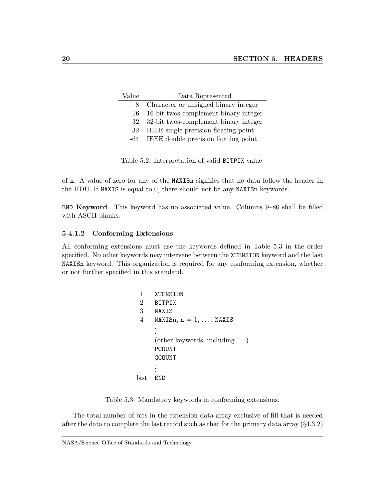| Value | Data Represented                            |
|-------|---------------------------------------------|
| 8     | Character or unsigned binary integer        |
| 16    | 16-bit twos-complement binary integer       |
| 32    | 32-bit twos-complement binary integer       |
| -32   | IEEE single precision floating point        |
| -64   | <b>IEEE</b> double precision floating point |
|       |                                             |

Table 5.2: Interpretation of valid BITPIX value.

of n. A value of zero for any of the NAXISn signifies that no data follow the header in the HDU. If NAXIS is equal to 0, there should not be any NAXISn keywords.

END **Keyword** This keyword has no associated value. Columns 9–80 shall be filled with ASCII blanks.

#### **5.4.1.2 Conforming Extensions**

All conforming extensions must use the keywords defined in Table 5.3 in the order specified. No other keywords may intervene between the XTENSION keyword and the last NAXISn keyword. This organization is required for any conforming extension, whether or not further specified in this standard.

```
1 XTENSION
 2 BITPIX
 3 NAXIS
 4 NAXISn, n = 1, \ldots, NAXIS.
      .
      .
     (other keywords, including . . . )
     PCOUNT
     GCOUNT
      .
      .
      .
last END
```
Table 5.3: Mandatory keywords in conforming extensions.

The total number of bits in the extension data array exclusive of fill that is needed after the data to complete the last record such as that for the primary data array (§4.3.2)

NASA/Science Office of Standards and Technology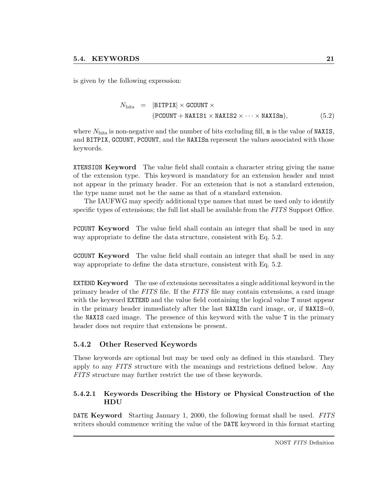is given by the following expression:

$$
N_{\text{bits}} = |\text{BITPIX}| \times \text{GCOUNT} \times
$$
  
(PCUINT + NAXIS1 × NAXIS2 × ··· × NAXISm), (5.2)

where  $N_{\text{bits}}$  is non-negative and the number of bits excluding fill,  $m$  is the value of NAXIS, and BITPIX, GCOUNT, PCOUNT, and the NAXISn represent the values associated with those keywords.

XTENSION **Keyword** The value field shall contain a character string giving the name of the extension type. This keyword is mandatory for an extension header and must not appear in the primary header. For an extension that is not a standard extension, the type name must not be the same as that of a standard extension.

The IAUFWG may specify additional type names that must be used only to identify specific types of extensions; the full list shall be available from the *FITS* Support Office.

PCOUNT **Keyword** The value field shall contain an integer that shall be used in any way appropriate to define the data structure, consistent with Eq. 5.2.

GCOUNT **Keyword** The value field shall contain an integer that shall be used in any way appropriate to define the data structure, consistent with Eq. 5.2.

EXTEND **Keyword** The use of extensions necessitates a single additional keyword in the primary header of the *FITS* file. If the *FITS* file may contain extensions, a card image with the keyword EXTEND and the value field containing the logical value T must appear in the primary header immediately after the last NAXISn card image, or, if NAXIS=0, the NAXIS card image. The presence of this keyword with the value T in the primary header does not require that extensions be present.

#### **5.4.2 Other Reserved Keywords**

These keywords are optional but may be used only as defined in this standard. They apply to any *FITS* structure with the meanings and restrictions defined below. Any *FITS* structure may further restrict the use of these keywords.

#### **5.4.2.1 Keywords Describing the History or Physical Construction of the HDU**

DATE **Keyword** Starting January 1, 2000, the following format shall be used. *FITS* writers should commence writing the value of the DATE keyword in this format starting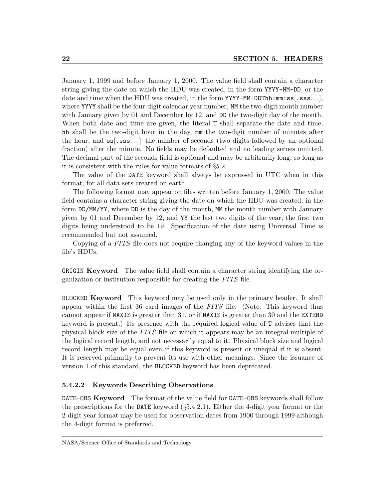January 1, 1999 and before January 1, 2000. The value field shall contain a character string giving the date on which the HDU was created, in the form YYYY-MM-DD, or the date and time when the HDU was created, in the form  $YYYY-M-DDThh:\text{mm:ss}$ .sss..., where YYYY shall be the four-digit calendar year number, MM the two-digit month number with January given by 01 and December by 12, and DD the two-digit day of the month. When both date and time are given, the literal T shall separate the date and time, hh shall be the two-digit hour in the day, mm the two-digit number of minutes after the hour, and  $ss[$ .sss...] the number of seconds (two digits followed by an optional fraction) after the minute. No fields may be defaulted and no leading zeroes omitted. The decimal part of the seconds field is optional and may be arbitrarily long, so long as it is consistent with the rules for value formats of §5.2.

The value of the DATE keyword shall always be expressed in UTC when in this format, for all data sets created on earth.

The following format may appear on files written before January 1, 2000. The value field contains a character string giving the date on which the HDU was created, in the form DD/MM/YY, where DD is the day of the month, MM the month number with January given by 01 and December by 12, and YY the last two digits of the year, the first two digits being understood to be 19. Specification of the date using Universal Time is recommended but not assumed.

Copying of a *FITS* file does not require changing any of the keyword values in the file's HDUs.

ORIGIN **Keyword** The value field shall contain a character string identifying the organization or institution responsible for creating the *FITS* file.

BLOCKED **Keyword** This keyword may be used only in the primary header. It shall appear within the first 36 card images of the *FITS* file. (Note: This keyword thus cannot appear if NAXIS is greater than 31, or if NAXIS is greater than 30 and the EXTEND keyword is present.) Its presence with the required logical value of T advises that the physical block size of the *FITS* file on which it appears may be an integral multiple of the logical record length, and not necessarily equal to it. Physical block size and logical record length may be equal even if this keyword is present or unequal if it is absent. It is reserved primarily to prevent its use with other meanings. Since the issuance of version 1 of this standard, the BLOCKED keyword has been deprecated.

#### **5.4.2.2 Keywords Describing Observations**

DATE-OBS **Keyword** The format of the value field for DATE-OBS keywords shall follow the prescriptions for the DATE keyword  $(\S 5.4.2.1)$ . Either the 4-digit year format or the 2-digit year format may be used for observation dates from 1900 through 1999 although the 4-digit format is preferred.

NASA/Science Office of Standards and Technology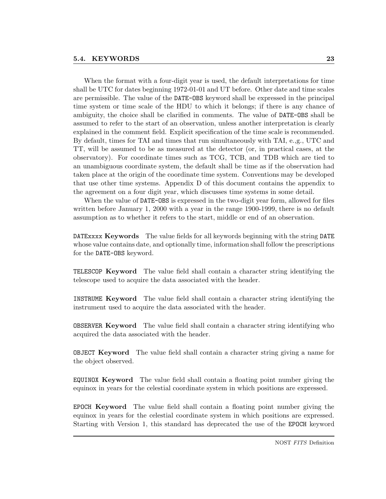When the format with a four-digit year is used, the default interpretations for time shall be UTC for dates beginning 1972-01-01 and UT before. Other date and time scales are permissible. The value of the DATE-OBS keyword shall be expressed in the principal time system or time scale of the HDU to which it belongs; if there is any chance of ambiguity, the choice shall be clarified in comments. The value of DATE-OBS shall be assumed to refer to the start of an observation, unless another interpretation is clearly explained in the comment field. Explicit specification of the time scale is recommended. By default, times for TAI and times that run simultaneously with TAI, e.,g., UTC and TT, will be assumed to be as measured at the detector (or, in practical cases, at the observatory). For coordinate times such as TCG, TCB, and TDB which are tied to an unambiguous coordinate system, the default shall be time as if the observation had taken place at the origin of the coordinate time system. Conventions may be developed that use other time systems. Appendix D of this document contains the appendix to the agreement on a four digit year, which discusses time systems in some detail.

When the value of  $\text{DATE}-\text{OBS}$  is expressed in the two-digit year form, allowed for files written before January 1, 2000 with a year in the range 1900-1999, there is no default assumption as to whether it refers to the start, middle or end of an observation.

DATExxxx **Keywords** The value fields for all keywords beginning with the string DATE whose value contains date, and optionally time, information shall follow the prescriptions for the DATE-OBS keyword.

TELESCOP **Keyword** The value field shall contain a character string identifying the telescope used to acquire the data associated with the header.

INSTRUME **Keyword** The value field shall contain a character string identifying the instrument used to acquire the data associated with the header.

OBSERVER **Keyword** The value field shall contain a character string identifying who acquired the data associated with the header.

OBJECT **Keyword** The value field shall contain a character string giving a name for the object observed.

EQUINOX **Keyword** The value field shall contain a floating point number giving the equinox in years for the celestial coordinate system in which positions are expressed.

EPOCH **Keyword** The value field shall contain a floating point number giving the equinox in years for the celestial coordinate system in which positions are expressed. Starting with Version 1, this standard has deprecated the use of the EPOCH keyword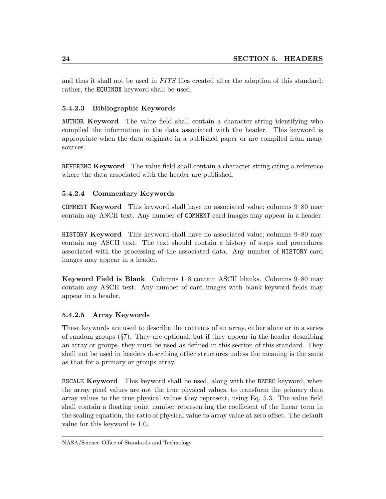and thus it shall not be used in *FITS* files created after the adoption of this standard; rather, the EQUINOX keyword shall be used.

#### **5.4.2.3 Bibliographic Keywords**

AUTHOR **Keyword** The value field shall contain a character string identifying who compiled the information in the data associated with the header. This keyword is appropriate when the data originate in a published paper or are compiled from many sources.

REFERENC **Keyword** The value field shall contain a character string citing a reference where the data associated with the header are published.

#### **5.4.2.4 Commentary Keywords**

COMMENT **Keyword** This keyword shall have no associated value; columns 9–80 may contain any ASCII text. Any number of COMMENT card images may appear in a header.

HISTORY **Keyword** This keyword shall have no associated value; columns 9–80 may contain any ASCII text. The text should contain a history of steps and procedures associated with the processing of the associated data. Any number of HISTORY card images may appear in a header.

**Keyword Field is Blank** Columns 1–8 contain ASCII blanks. Columns 9–80 may contain any ASCII text. Any number of card images with blank keyword fields may appear in a header.

#### **5.4.2.5 Array Keywords**

These keywords are used to describe the contents of an array, either alone or in a series of random groups  $(\S7)$ . They are optional, but if they appear in the header describing an array or groups, they must be used as defined in this section of this standard. They shall not be used in headers describing other structures unless the meaning is the same as that for a primary or groups array.

BSCALE **Keyword** This keyword shall be used, along with the BZERO keyword, when the array pixel values are not the true physical values, to transform the primary data array values to the true physical values they represent, using Eq. 5.3. The value field shall contain a floating point number representing the coefficient of the linear term in the scaling equation, the ratio of physical value to array value at zero offset. The default value for this keyword is 1.0.

NASA/Science Office of Standards and Technology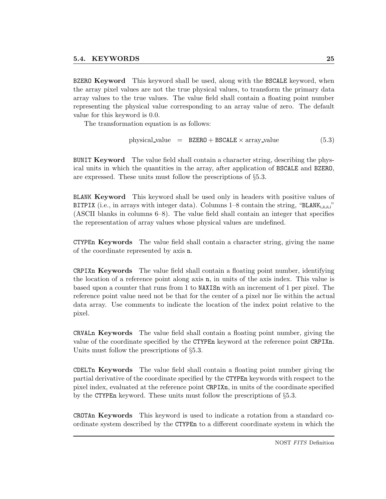BZERO **Keyword** This keyword shall be used, along with the BSCALE keyword, when the array pixel values are not the true physical values, to transform the primary data array values to the true values. The value field shall contain a floating point number representing the physical value corresponding to an array value of zero. The default value for this keyword is 0.0.

The transformation equation is as follows:

physical value =  $BZERO + BSCALE \times array$  value (5.3)

BUNIT **Keyword** The value field shall contain a character string, describing the physical units in which the quantities in the array, after application of BSCALE and BZERO, are expressed. These units must follow the prescriptions of §5.3.

BLANK **Keyword** This keyword shall be used only in headers with positive values of BITPIX (i.e., in arrays with integer data). Columns 1–8 contain the string, "BLANK  $_{\text{HII}}$ " (ASCII blanks in columns 6–8). The value field shall contain an integer that specifies the representation of array values whose physical values are undefined.

CTYPEn **Keywords** The value field shall contain a character string, giving the name of the coordinate represented by axis n.

CRPIXn **Keywords** The value field shall contain a floating point number, identifying the location of a reference point along axis n, in units of the axis index. This value is based upon a counter that runs from 1 to NAXISn with an increment of 1 per pixel. The reference point value need not be that for the center of a pixel nor lie within the actual data array. Use comments to indicate the location of the index point relative to the pixel.

CRVALn **Keywords** The value field shall contain a floating point number, giving the value of the coordinate specified by the CTYPEn keyword at the reference point CRPIXn. Units must follow the prescriptions of §5.3.

CDELTn **Keywords** The value field shall contain a floating point number giving the partial derivative of the coordinate specified by the CTYPEn keywords with respect to the pixel index, evaluated at the reference point CRPIXn, in units of the coordinate specified by the CTYPEn keyword. These units must follow the prescriptions of §5.3.

CROTAn **Keywords** This keyword is used to indicate a rotation from a standard coordinate system described by the CTYPEn to a different coordinate system in which the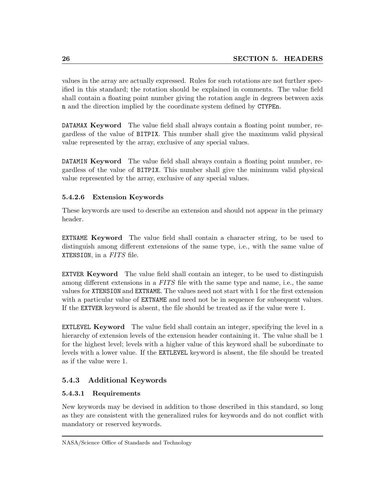values in the array are actually expressed. Rules for such rotations are not further specified in this standard; the rotation should be explained in comments. The value field shall contain a floating point number giving the rotation angle in degrees between axis n and the direction implied by the coordinate system defined by CTYPEn.

DATAMAX **Keyword** The value field shall always contain a floating point number, regardless of the value of BITPIX. This number shall give the maximum valid physical value represented by the array, exclusive of any special values.

DATAMIN **Keyword** The value field shall always contain a floating point number, regardless of the value of BITPIX. This number shall give the minimum valid physical value represented by the array, exclusive of any special values.

### **5.4.2.6 Extension Keywords**

These keywords are used to describe an extension and should not appear in the primary header.

EXTNAME **Keyword** The value field shall contain a character string, to be used to distinguish among different extensions of the same type, i.e., with the same value of XTENSION, in a *FITS* file.

EXTVER **Keyword** The value field shall contain an integer, to be used to distinguish among different extensions in a *FITS* file with the same type and name, i.e., the same values for XTENSION and EXTNAME. The values need not start with 1 for the first extension with a particular value of **EXTNAME** and need not be in sequence for subsequent values. If the EXTVER keyword is absent, the file should be treated as if the value were 1.

EXTLEVEL **Keyword** The value field shall contain an integer, specifying the level in a hierarchy of extension levels of the extension header containing it. The value shall be 1 for the highest level; levels with a higher value of this keyword shall be subordinate to levels with a lower value. If the EXTLEVEL keyword is absent, the file should be treated as if the value were 1.

### **5.4.3 Additional Keywords**

### **5.4.3.1 Requirements**

New keywords may be devised in addition to those described in this standard, so long as they are consistent with the generalized rules for keywords and do not conflict with mandatory or reserved keywords.

NASA/Science Office of Standards and Technology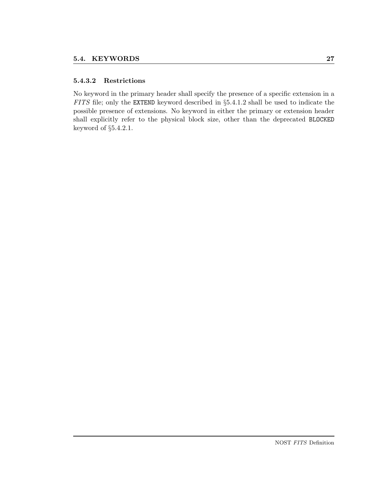#### **5.4.3.2 Restrictions**

No keyword in the primary header shall specify the presence of a specific extension in a *FITS* file; only the EXTEND keyword described in §5.4.1.2 shall be used to indicate the possible presence of extensions. No keyword in either the primary or extension header shall explicitly refer to the physical block size, other than the deprecated BLOCKED keyword of §5.4.2.1.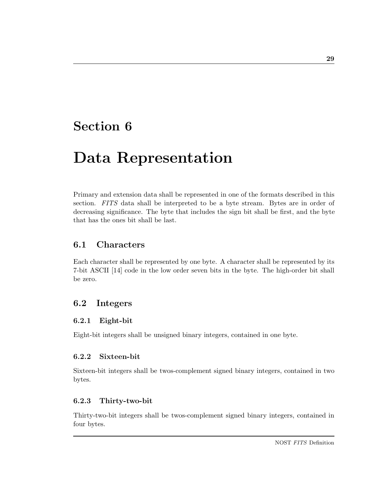# **Section 6**

# **Data Representation**

Primary and extension data shall be represented in one of the formats described in this section. *FITS* data shall be interpreted to be a byte stream. Bytes are in order of decreasing significance. The byte that includes the sign bit shall be first, and the byte that has the ones bit shall be last.

# **6.1 Characters**

Each character shall be represented by one byte. A character shall be represented by its 7-bit ASCII [14] code in the low order seven bits in the byte. The high-order bit shall be zero.

# **6.2 Integers**

### **6.2.1 Eight-bit**

Eight-bit integers shall be unsigned binary integers, contained in one byte.

### **6.2.2 Sixteen-bit**

Sixteen-bit integers shall be twos-complement signed binary integers, contained in two bytes.

# **6.2.3 Thirty-two-bit**

Thirty-two-bit integers shall be twos-complement signed binary integers, contained in four bytes.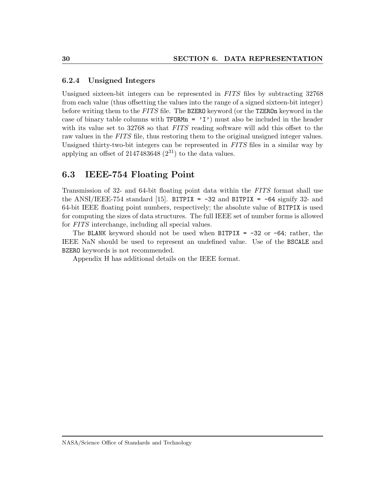#### **6.2.4 Unsigned Integers**

Unsigned sixteen-bit integers can be represented in *FITS* files by subtracting 32768 from each value (thus offsetting the values into the range of a signed sixteen-bit integer) before writing them to the *FITS* file. The BZERO keyword (or the TZEROn keyword in the case of binary table columns with TFORMn =  $'I'$ ) must also be included in the header with its value set to 32768 so that *FITS* reading software will add this offset to the raw values in the *FITS* file, thus restoring them to the original unsigned integer values. Unsigned thirty-two-bit integers can be represented in *FITS* files in a similar way by applying an offset of  $2147483648 (2^{31})$  to the data values.

## **6.3 IEEE-754 Floating Point**

Transmission of 32- and 64-bit floating point data within the *FITS* format shall use the ANSI/IEEE-754 standard [15]. BITPIX = -32 and BITPIX = -64 signify 32- and 64-bit IEEE floating point numbers, respectively; the absolute value of BITPIX is used for computing the sizes of data structures. The full IEEE set of number forms is allowed for *FITS* interchange, including all special values.

The BLANK keyword should not be used when  $BITPIX = -32$  or  $-64$ ; rather, the IEEE NaN should be used to represent an undefined value. Use of the BSCALE and BZERO keywords is not recommended.

Appendix H has additional details on the IEEE format.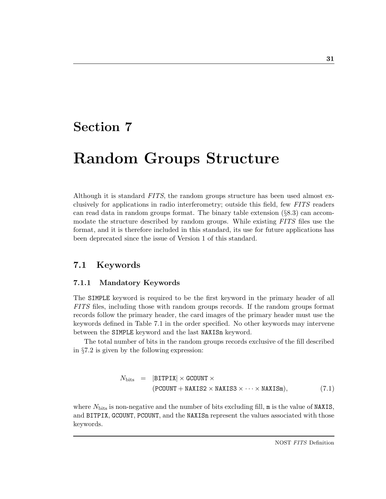# **Section 7**

# **Random Groups Structure**

Although it is standard *FITS*, the random groups structure has been used almost exclusively for applications in radio interferometry; outside this field, few *FITS* readers can read data in random groups format. The binary table extension (§8.3) can accommodate the structure described by random groups. While existing *FITS* files use the format, and it is therefore included in this standard, its use for future applications has been deprecated since the issue of Version 1 of this standard.

### **7.1 Keywords**

#### **7.1.1 Mandatory Keywords**

The SIMPLE keyword is required to be the first keyword in the primary header of all *FITS* files, including those with random groups records. If the random groups format records follow the primary header, the card images of the primary header must use the keywords defined in Table 7.1 in the order specified. No other keywords may intervene between the SIMPLE keyword and the last NAXISn keyword.

The total number of bits in the random groups records exclusive of the fill described in §7.2 is given by the following expression:

$$
N_{\text{bits}} = |\text{BITPLY}| \times \text{GCOUNT} \times
$$
  
(PCUINT + NAXIS2 × NAXIS3 × ··· × NAXISm), (7.1)

where  $N_{\text{bits}}$  is non-negative and the number of bits excluding fill,  $m$  is the value of NAXIS, and BITPIX, GCOUNT, PCOUNT, and the NAXISn represent the values associated with those keywords.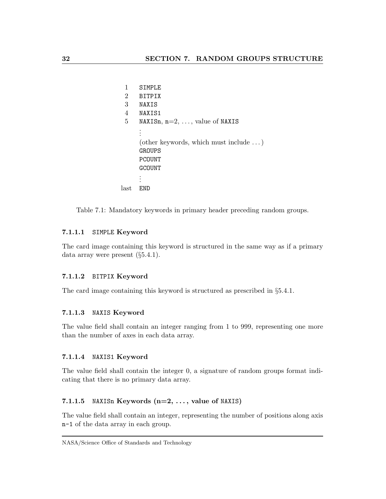```
1 SIMPLE
 2 BITPIX
 3 NAXIS
 4 NAXIS1
 5 NAXISn, n=2, \ldots, value of NAXIS
      .
      .
      .
     (other keywords, which must include . . . )
     GROUPS
     PCOUNT
     GCOUNT
      .
.
.
last END
```
Table 7.1: Mandatory keywords in primary header preceding random groups.

#### **7.1.1.1** SIMPLE **Keyword**

The card image containing this keyword is structured in the same way as if a primary data array were present (§5.4.1).

#### **7.1.1.2** BITPIX **Keyword**

The card image containing this keyword is structured as prescribed in §5.4.1.

#### **7.1.1.3** NAXIS **Keyword**

The value field shall contain an integer ranging from 1 to 999, representing one more than the number of axes in each data array.

#### **7.1.1.4** NAXIS1 **Keyword**

The value field shall contain the integer 0, a signature of random groups format indicating that there is no primary data array.

#### **7.1.1.5** NAXISn **Keywords (n=2, . . . , value of** NAXIS**)**

The value field shall contain an integer, representing the number of positions along axis n-1 of the data array in each group.

NASA/Science Office of Standards and Technology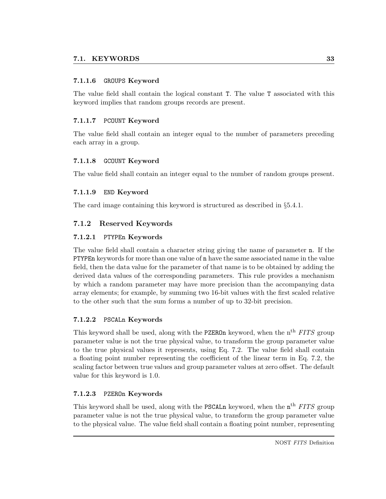## **7.1.1.6** GROUPS **Keyword**

The value field shall contain the logical constant T. The value T associated with this keyword implies that random groups records are present.

## **7.1.1.7** PCOUNT **Keyword**

The value field shall contain an integer equal to the number of parameters preceding each array in a group.

## **7.1.1.8** GCOUNT **Keyword**

The value field shall contain an integer equal to the number of random groups present.

# **7.1.1.9** END **Keyword**

The card image containing this keyword is structured as described in §5.4.1.

# **7.1.2 Reserved Keywords**

## **7.1.2.1** PTYPEn **Keywords**

The value field shall contain a character string giving the name of parameter n. If the PTYPEn keywords for more than one value of n have the same associated name in the value field, then the data value for the parameter of that name is to be obtained by adding the derived data values of the corresponding parameters. This rule provides a mechanism by which a random parameter may have more precision than the accompanying data array elements; for example, by summing two 16-bit values with the first scaled relative to the other such that the sum forms a number of up to 32-bit precision.

### **7.1.2.2** PSCALn **Keywords**

This keyword shall be used, along with the PZEROn keyword, when the n<sup>th</sup> FITS group parameter value is not the true physical value, to transform the group parameter value to the true physical values it represents, using Eq. 7.2. The value field shall contain a floating point number representing the coefficient of the linear term in Eq. 7.2, the scaling factor between true values and group parameter values at zero offset. The default value for this keyword is 1.0.

# **7.1.2.3** PZEROn **Keywords**

This keyword shall be used, along with the PSCALn keyword, when the n<sup>th</sup> FITS group parameter value is not the true physical value, to transform the group parameter value to the physical value. The value field shall contain a floating point number, representing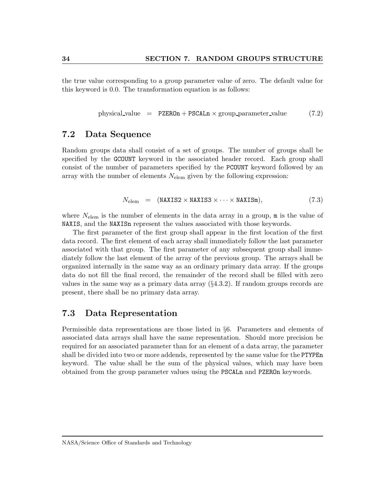the true value corresponding to a group parameter value of zero. The default value for this keyword is 0.0. The transformation equation is as follows:

physical value =  $PZEROn + PSCALn \times group-parameter_value$  (7.2)

#### **7.2 Data Sequence**

Random groups data shall consist of a set of groups. The number of groups shall be specified by the GCOUNT keyword in the associated header record. Each group shall consist of the number of parameters specified by the PCOUNT keyword followed by an array with the number of elements  $N_{\text{elem}}$  given by the following expression:

$$
N_{\text{elem}} = (\text{MAXIS2} \times \text{MAXIS3} \times \cdots \times \text{MAXISm}), \tag{7.3}
$$

where  $N_{\text{elem}}$  is the number of elements in the data array in a group,  $m$  is the value of NAXIS, and the NAXISn represent the values associated with those keywords.

The first parameter of the first group shall appear in the first location of the first data record. The first element of each array shall immediately follow the last parameter associated with that group. The first parameter of any subsequent group shall immediately follow the last element of the array of the previous group. The arrays shall be organized internally in the same way as an ordinary primary data array. If the groups data do not fill the final record, the remainder of the record shall be filled with zero values in the same way as a primary data array  $(\S 4.3.2)$ . If random groups records are present, there shall be no primary data array.

#### **7.3 Data Representation**

Permissible data representations are those listed in §6. Parameters and elements of associated data arrays shall have the same representation. Should more precision be required for an associated parameter than for an element of a data array, the parameter shall be divided into two or more addends, represented by the same value for the PTYPEn keyword. The value shall be the sum of the physical values, which may have been obtained from the group parameter values using the PSCALn and PZEROn keywords.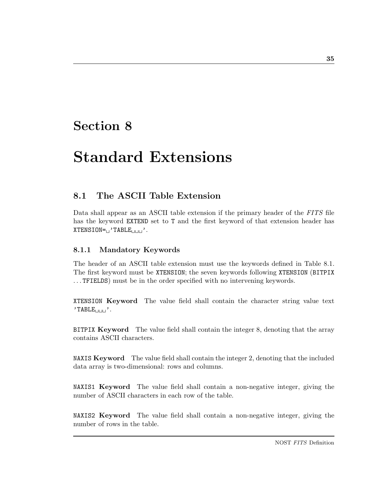# **Section 8**

# **Standard Extensions**

# **8.1 The ASCII Table Extension**

Data shall appear as an ASCII table extension if the primary header of the *FITS* file has the keyword EXTEND set to T and the first keyword of that extension header has  $XTENSTON = \iota$ 'TABLE $\iota$ 

### **8.1.1 Mandatory Keywords**

The header of an ASCII table extension must use the keywords defined in Table 8.1. The first keyword must be XTENSION; the seven keywords following XTENSION (BITPIX ... TFIELDS) must be in the order specified with no intervening keywords.

XTENSION **Keyword** The value field shall contain the character string value text  $'$ TABLE $_{\sqcup \sqcup \sqcup }$ '.

BITPIX **Keyword** The value field shall contain the integer 8, denoting that the array contains ASCII characters.

NAXIS **Keyword** The value field shall contain the integer 2, denoting that the included data array is two-dimensional: rows and columns.

NAXIS1 **Keyword** The value field shall contain a non-negative integer, giving the number of ASCII characters in each row of the table.

NAXIS2 **Keyword** The value field shall contain a non-negative integer, giving the number of rows in the table.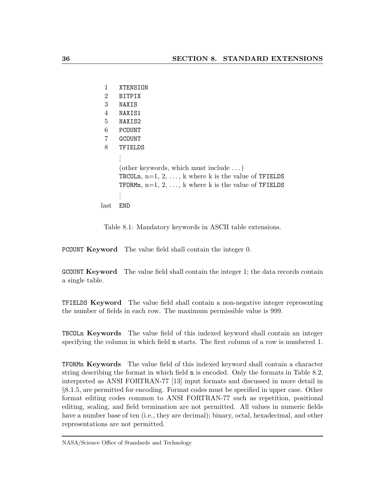```
1 XTENSION
 2 BITPIX
 3 NAXIS
 4 NAXIS1
 5 NAXIS2
 6 PCOUNT
 7 GCOUNT
 8 TFIELDS
      .
      .
      .
     (other keywords, which must include . . . )
     TBCOLn, n=1, 2, \ldots, k where k is the value of TFIELDS
     TFORMn, n=1, 2, \ldots, k where k is the value of TFIELDS
      .
      .
      .
last END
```
Table 8.1: Mandatory keywords in ASCII table extensions.

PCOUNT **Keyword** The value field shall contain the integer 0.

GCOUNT **Keyword** The value field shall contain the integer 1; the data records contain a single table.

TFIELDS **Keyword** The value field shall contain a non-negative integer representing the number of fields in each row. The maximum permissible value is 999.

TBCOLn **Keywords** The value field of this indexed keyword shall contain an integer specifying the column in which field n starts. The first column of a row is numbered 1.

TFORMn **Keywords** The value field of this indexed keyword shall contain a character string describing the format in which field n is encoded. Only the formats in Table 8.2, interpreted as ANSI FORTRAN-77 [13] input formats and discussed in more detail in §8.1.5, are permitted for encoding. Format codes must be specified in upper case. Other format editing codes common to ANSI FORTRAN-77 such as repetition, positional editing, scaling, and field termination are not permitted. All values in numeric fields have a number base of ten (i.e., they are decimal); binary, octal, hexadecimal, and other representations are not permitted.

NASA/Science Office of Standards and Technology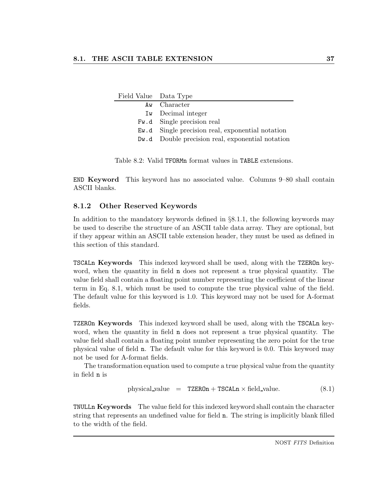| Field Value Data Type |                                                  |
|-----------------------|--------------------------------------------------|
|                       | Aw Character                                     |
|                       | Iw Decimal integer                               |
|                       | Fw.d Single precision real                       |
|                       | Ew.d Single precision real, exponential notation |
|                       | Dw.d Double precision real, exponential notation |
|                       |                                                  |

Table 8.2: Valid TFORMn format values in TABLE extensions.

END **Keyword** This keyword has no associated value. Columns 9–80 shall contain ASCII blanks.

#### **8.1.2 Other Reserved Keywords**

In addition to the mandatory keywords defined in §8.1.1, the following keywords may be used to describe the structure of an ASCII table data array. They are optional, but if they appear within an ASCII table extension header, they must be used as defined in this section of this standard.

TSCALn **Keywords** This indexed keyword shall be used, along with the TZEROn keyword, when the quantity in field n does not represent a true physical quantity. The value field shall contain a floating point number representing the coefficient of the linear term in Eq. 8.1, which must be used to compute the true physical value of the field. The default value for this keyword is 1.0. This keyword may not be used for A-format fields.

TZEROn **Keywords** This indexed keyword shall be used, along with the TSCALn keyword, when the quantity in field n does not represent a true physical quantity. The value field shall contain a floating point number representing the zero point for the true physical value of field n. The default value for this keyword is 0.0. This keyword may not be used for A-format fields.

The transformation equation used to compute a true physical value from the quantity in field n is

$$
physical\_value = TZEROn + TSCALn \times field\_value. \tag{8.1}
$$

TNULLn **Keywords** The value field for this indexed keyword shall contain the character string that represents an undefined value for field n. The string is implicitly blank filled to the width of the field.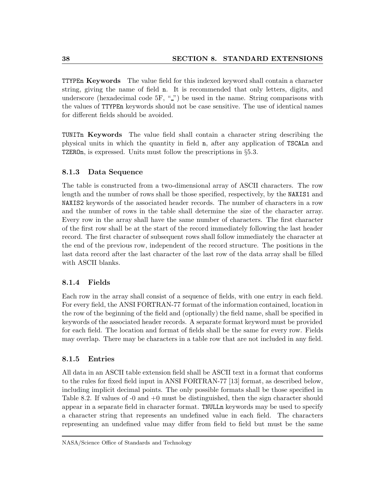TTYPEn **Keywords** The value field for this indexed keyword shall contain a character string, giving the name of field n. It is recommended that only letters, digits, and underscore (hexadecimal code  $5F$ , " $\degree$ ") be used in the name. String comparisons with the values of TTYPEn keywords should not be case sensitive. The use of identical names for different fields should be avoided.

TUNITn **Keywords** The value field shall contain a character string describing the physical units in which the quantity in field n, after any application of TSCALn and TZEROn, is expressed. Units must follow the prescriptions in §5.3.

#### **8.1.3 Data Sequence**

The table is constructed from a two-dimensional array of ASCII characters. The row length and the number of rows shall be those specified, respectively, by the NAXIS1 and NAXIS2 keywords of the associated header records. The number of characters in a row and the number of rows in the table shall determine the size of the character array. Every row in the array shall have the same number of characters. The first character of the first row shall be at the start of the record immediately following the last header record. The first character of subsequent rows shall follow immediately the character at the end of the previous row, independent of the record structure. The positions in the last data record after the last character of the last row of the data array shall be filled with ASCII blanks.

#### **8.1.4 Fields**

Each row in the array shall consist of a sequence of fields, with one entry in each field. For every field, the ANSI FORTRAN-77 format of the information contained, location in the row of the beginning of the field and (optionally) the field name, shall be specified in keywords of the associated header records. A separate format keyword must be provided for each field. The location and format of fields shall be the same for every row. Fields may overlap. There may be characters in a table row that are not included in any field.

#### **8.1.5 Entries**

All data in an ASCII table extension field shall be ASCII text in a format that conforms to the rules for fixed field input in ANSI FORTRAN-77 [13] format, as described below, including implicit decimal points. The only possible formats shall be those specified in Table 8.2. If values of -0 and +0 must be distinguished, then the sign character should appear in a separate field in character format. TNULLn keywords may be used to specify a character string that represents an undefined value in each field. The characters representing an undefined value may differ from field to field but must be the same

NASA/Science Office of Standards and Technology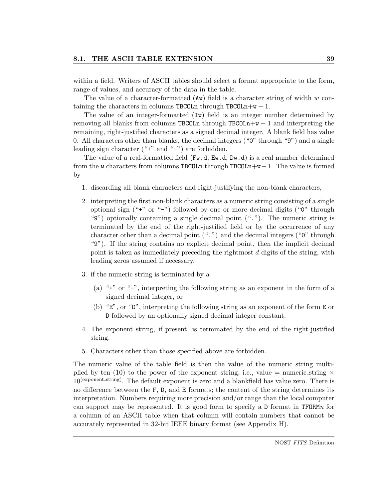within a field. Writers of ASCII tables should select a format appropriate to the form, range of values, and accuracy of the data in the table.

The value of a character-formatted  $(Aw)$  field is a character string of width w containing the characters in columns TBCOLn through TBCOLn+w  $-1$ .

The value of an integer-formatted  $(I\mathbf{w})$  field is an integer number determined by removing all blanks from columns TBCOLn through TBCOLn+w  $-1$  and interpreting the remaining, right-justified characters as a signed decimal integer. A blank field has value 0. All characters other than blanks, the decimal integers ("0" through "9") and a single leading sign character ("+" and "-") are forbidden.

The value of a real-formatted field (Fw.d, Ew.d, Dw.d) is a real number determined from the w characters from columns TBCOLn through TBCOLn+w−1. The value is formed by

- 1. discarding all blank characters and right-justifying the non-blank characters,
- 2. interpreting the first non-blank characters as a numeric string consisting of a single optional sign ("+" or "-") followed by one or more decimal digits ("0" through "9") optionally containing a single decimal point ("."). The numeric string is terminated by the end of the right-justified field or by the occurrence of any character other than a decimal point (".") and the decimal integers ("0" through "9"). If the string contains no explicit decimal point, then the implicit decimal point is taken as immediately preceding the rightmost d digits of the string, with leading zeros assumed if necessary.
- 3. if the numeric string is terminated by a
	- (a) " $+$ " or " $-$ ", interpreting the following string as an exponent in the form of a signed decimal integer, or
	- (b) "E", or "D", interpreting the following string as an exponent of the form E or D followed by an optionally signed decimal integer constant.
- 4. The exponent string, if present, is terminated by the end of the right-justified string.
- 5. Characters other than those specified above are forbidden.

The numeric value of the table field is then the value of the numeric string multiplied by ten (10) to the power of the exponent string, i.e., value = numeric\_string  $\times$  $10^{(exponent\_string)}$ . The default exponent is zero and a blankfield has value zero. There is no difference between the  $F$ ,  $D$ , and  $E$  formats; the content of the string determines its interpretation. Numbers requiring more precision and/or range than the local computer can support may be represented. It is good form to specify a D format in TFORM*n* for a column of an ASCII table when that column will contain numbers that cannot be accurately represented in 32-bit IEEE binary format (see Appendix H).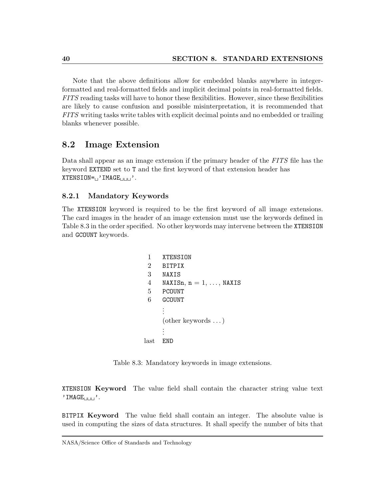Note that the above definitions allow for embedded blanks anywhere in integerformatted and real-formatted fields and implicit decimal points in real-formatted fields. *FITS* reading tasks will have to honor these flexibilities. However, since these flexibilities are likely to cause confusion and possible misinterpretation, it is recommended that *FITS* writing tasks write tables with explicit decimal points and no embedded or trailing blanks whenever possible.

#### **8.2 Image Extension**

Data shall appear as an image extension if the primary header of the *FITS* file has the keyword EXTEND set to T and the first keyword of that extension header has  $XTENSION = \cup 'IMAGE \cup \cup''.$ 

#### **8.2.1 Mandatory Keywords**

The XTENSION keyword is required to be the first keyword of all image extensions. The card images in the header of an image extension must use the keywords defined in Table 8.3 in the order specified. No other keywords may intervene between the XTENSION and GCOUNT keywords.

```
1 XTENSION
 2 BITPIX
 3 NAXIS
 4 NAXISn, n = 1, \ldots, NAXIS5 PCOUNT
 6 GCOUNT
     .
     .
     .
     (other keywords . . . )
     .
     .
     .
last END
```
Table 8.3: Mandatory keywords in image extensions.

XTENSION **Keyword** The value field shall contain the character string value text  $'$ IMAGE $_{\cup\cup\cup'}$  .

BITPIX **Keyword** The value field shall contain an integer. The absolute value is used in computing the sizes of data structures. It shall specify the number of bits that

NASA/Science Office of Standards and Technology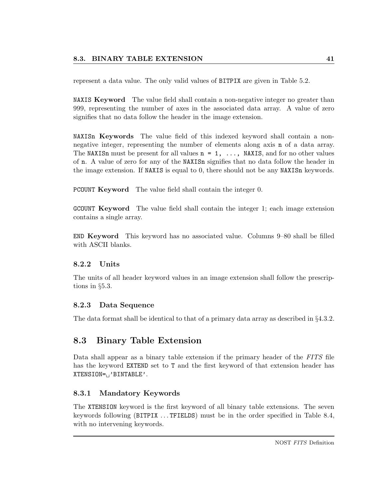represent a data value. The only valid values of BITPIX are given in Table 5.2.

NAXIS **Keyword** The value field shall contain a non-negative integer no greater than 999, representing the number of axes in the associated data array. A value of zero signifies that no data follow the header in the image extension.

NAXISn **Keywords** The value field of this indexed keyword shall contain a nonnegative integer, representing the number of elements along axis n of a data array. The NAXIS n must be present for all values  $n = 1, \ldots$ , NAXIS, and for no other values of n. A value of zero for any of the NAXISn signifies that no data follow the header in the image extension. If NAXIS is equal to 0, there should not be any NAXISn keywords.

PCOUNT **Keyword** The value field shall contain the integer 0.

GCOUNT **Keyword** The value field shall contain the integer 1; each image extension contains a single array.

END **Keyword** This keyword has no associated value. Columns 9–80 shall be filled with ASCII blanks.

# **8.2.2 Units**

The units of all header keyword values in an image extension shall follow the prescriptions in §5.3.

# **8.2.3 Data Sequence**

The data format shall be identical to that of a primary data array as described in §4.3.2.

# **8.3 Binary Table Extension**

Data shall appear as a binary table extension if the primary header of the *FITS* file has the keyword EXTEND set to T and the first keyword of that extension header has  $XTENSTON = <sub>□</sub> 'BINTABLE'.$ 

# **8.3.1 Mandatory Keywords**

The XTENSION keyword is the first keyword of all binary table extensions. The seven keywords following (BITPIX ... TFIELDS) must be in the order specified in Table 8.4, with no intervening keywords.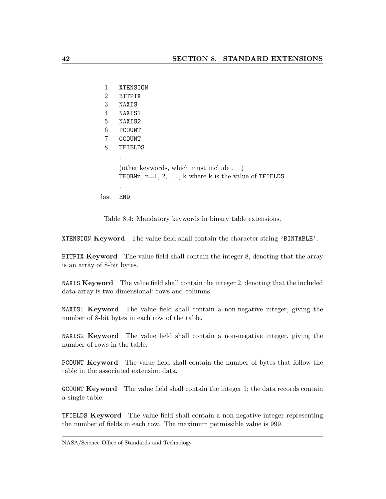```
1 XTENSION
 2 BITPIX
 3 NAXIS
 4 NAXIS1
 5 NAXIS2
 6 PCOUNT
 7 GCOUNT
 8 TFIELDS
     .
     .
     .
     (other keywords, which must include . . . )
     TFORMn, n=1, 2, \ldots, k where k is the value of TFIELDS
     .
.
.
last END
```
Table 8.4: Mandatory keywords in binary table extensions.

XTENSION **Keyword** The value field shall contain the character string 'BINTABLE'.

BITPIX **Keyword** The value field shall contain the integer 8, denoting that the array is an array of 8-bit bytes.

NAXIS **Keyword** The value field shall contain the integer 2, denoting that the included data array is two-dimensional: rows and columns.

NAXIS1 **Keyword** The value field shall contain a non-negative integer, giving the number of 8-bit bytes in each row of the table.

NAXIS2 **Keyword** The value field shall contain a non-negative integer, giving the number of rows in the table.

PCOUNT **Keyword** The value field shall contain the number of bytes that follow the table in the associated extension data.

GCOUNT **Keyword** The value field shall contain the integer 1; the data records contain a single table.

TFIELDS **Keyword** The value field shall contain a non-negative integer representing the number of fields in each row. The maximum permissible value is 999.

NASA/Science Office of Standards and Technology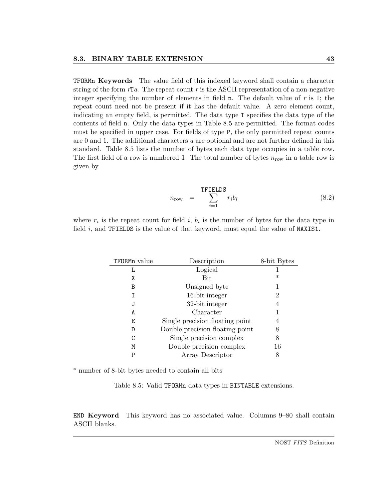TFORMn **Keywords** The value field of this indexed keyword shall contain a character string of the form *r*T*a*. The repeat count *r* is the ASCII representation of a non-negative integer specifying the number of elements in field n. The default value of *r* is 1; the repeat count need not be present if it has the default value. A zero element count, indicating an empty field, is permitted. The data type T specifies the data type of the contents of field n. Only the data types in Table 8.5 are permitted. The format codes must be specified in upper case. For fields of type P, the only permitted repeat counts are 0 and 1. The additional characters *a* are optional and are not further defined in this standard. Table 8.5 lists the number of bytes each data type occupies in a table row. The first field of a row is numbered 1. The total number of bytes  $n_{\text{row}}$  in a table row is given by

$$
n_{\text{row}} = \sum_{i=1}^{\text{TFIELDS}} r_i b_i \tag{8.2}
$$

where  $r_i$  is the repeat count for field i,  $b_i$  is the number of bytes for the data type in field  $i$ , and **TFIELDS** is the value of that keyword, must equal the value of NAXIS1.

| TFORMn value | Description                     | 8-bit Bytes |
|--------------|---------------------------------|-------------|
|              | Logical                         |             |
| χ            | Bit                             | $\ast$      |
| B            | Unsigned byte                   |             |
|              | 16-bit integer                  | 2           |
| J            | 32-bit integer                  | 4           |
| A            | Character                       |             |
| Е            | Single precision floating point | 4           |
| D            | Double precision floating point | 8           |
| C            | Single precision complex        | 8           |
| M            | Double precision complex        | 16          |
|              | Array Descriptor                | 8           |
|              |                                 |             |

∗ number of 8-bit bytes needed to contain all bits

Table 8.5: Valid TFORM data types in BINTABLE extensions.

END **Keyword** This keyword has no associated value. Columns 9–80 shall contain ASCII blanks.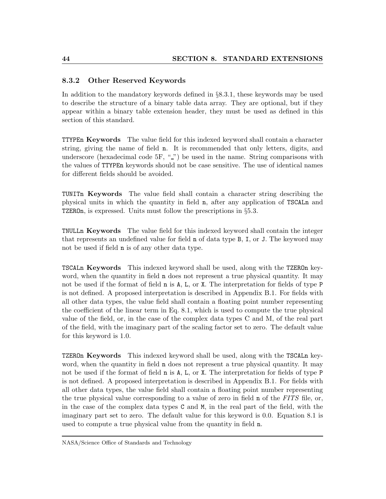#### **8.3.2 Other Reserved Keywords**

In addition to the mandatory keywords defined in §8.3.1, these keywords may be used to describe the structure of a binary table data array. They are optional, but if they appear within a binary table extension header, they must be used as defined in this section of this standard.

TTYPEn **Keywords** The value field for this indexed keyword shall contain a character string, giving the name of field n. It is recommended that only letters, digits, and underscore (hexadecimal code  $5F$ , " $\degree$ ") be used in the name. String comparisons with the values of TTYPEn keywords should not be case sensitive. The use of identical names for different fields should be avoided.

TUNITn **Keywords** The value field shall contain a character string describing the physical units in which the quantity in field n, after any application of TSCALn and TZEROn, is expressed. Units must follow the prescriptions in §5.3.

TNULLn **Keywords** The value field for this indexed keyword shall contain the integer that represents an undefined value for field n of data type B, I, or J. The keyword may not be used if field n is of any other data type.

TSCALn **Keywords** This indexed keyword shall be used, along with the TZEROn keyword, when the quantity in field **n** does not represent a true physical quantity. It may not be used if the format of field n is A, L, or X. The interpretation for fields of type P is not defined. A proposed interpretation is described in Appendix B.1. For fields with all other data types, the value field shall contain a floating point number representing the coefficient of the linear term in Eq. 8.1, which is used to compute the true physical value of the field, or, in the case of the complex data types C and M, of the real part of the field, with the imaginary part of the scaling factor set to zero. The default value for this keyword is 1.0.

TZEROn **Keywords** This indexed keyword shall be used, along with the TSCALn keyword, when the quantity in field n does not represent a true physical quantity. It may not be used if the format of field n is A, L, or X. The interpretation for fields of type P is not defined. A proposed interpretation is described in Appendix B.1. For fields with all other data types, the value field shall contain a floating point number representing the true physical value corresponding to a value of zero in field n of the *FITS* file, or, in the case of the complex data types C and M, in the real part of the field, with the imaginary part set to zero. The default value for this keyword is 0.0. Equation 8.1 is used to compute a true physical value from the quantity in field n.

NASA/Science Office of Standards and Technology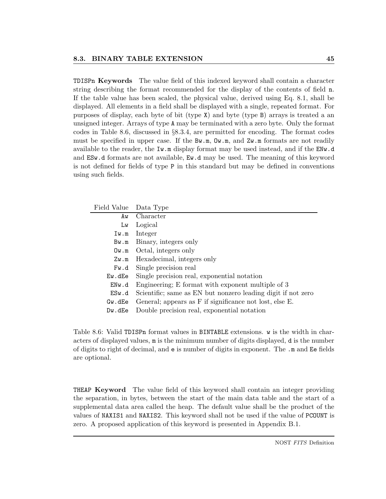TDISPn **Keywords** The value field of this indexed keyword shall contain a character string describing the format recommended for the display of the contents of field n. If the table value has been scaled, the physical value, derived using Eq. 8.1, shall be displayed. All elements in a field shall be displayed with a single, repeated format. For purposes of display, each byte of bit (type X) and byte (type B) arrays is treated a an unsigned integer. Arrays of type A may be terminated with a zero byte. Only the format codes in Table 8.6, discussed in §8.3.4, are permitted for encoding. The format codes must be specified in upper case. If the Bw.m, Ow.m, and Zw.m formats are not readily available to the reader, the Iw.m display format may be used instead, and if the ENw.d and ESw.d formats are not available, Ew.d may be used. The meaning of this keyword is not defined for fields of type P in this standard but may be defined in conventions using such fields.

| Field Value | Data Type                                                    |
|-------------|--------------------------------------------------------------|
| Aw          | Character                                                    |
| Lw          | Logical                                                      |
| Iw.m        | Integer                                                      |
| Bw.m        | Binary, integers only                                        |
| 0w.m        | Octal, integers only                                         |
| Zw.m        | Hexadecimal, integers only                                   |
| Fw.d        | Single precision real                                        |
| Ew.dEe      | Single precision real, exponential notation                  |
| ENw.d       | Engineering; E format with exponent multiple of 3            |
| ESw.d       | Scientific; same as EN but nonzero leading digit if not zero |
| Gw.dEe      | General; appears as F if significance not lost, else E.      |
| Dw.dEe      | Double precision real, exponential notation                  |

Table 8.6: Valid TDISPn format values in BINTABLE extensions. w is the width in characters of displayed values, m is the minimum number of digits displayed, d is the number of digits to right of decimal, and e is number of digits in exponent. The .m and Ee fields are optional.

THEAP **Keyword** The value field of this keyword shall contain an integer providing the separation, in bytes, between the start of the main data table and the start of a supplemental data area called the heap. The default value shall be the product of the values of NAXIS1 and NAXIS2. This keyword shall not be used if the value of PCOUNT is zero. A proposed application of this keyword is presented in Appendix B.1.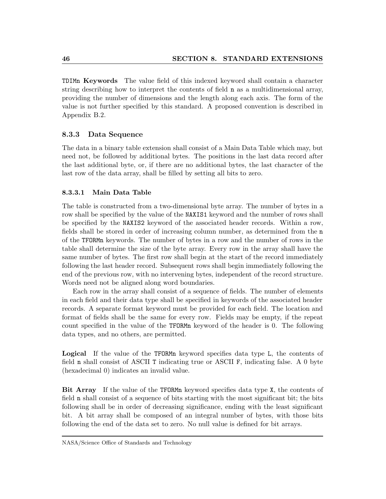TDIMn **Keywords** The value field of this indexed keyword shall contain a character string describing how to interpret the contents of field n as a multidimensional array, providing the number of dimensions and the length along each axis. The form of the value is not further specified by this standard. A proposed convention is described in Appendix B.2.

#### **8.3.3 Data Sequence**

The data in a binary table extension shall consist of a Main Data Table which may, but need not, be followed by additional bytes. The positions in the last data record after the last additional byte, or, if there are no additional bytes, the last character of the last row of the data array, shall be filled by setting all bits to zero.

#### **8.3.3.1 Main Data Table**

The table is constructed from a two-dimensional byte array. The number of bytes in a row shall be specified by the value of the NAXIS1 keyword and the number of rows shall be specified by the NAXIS2 keyword of the associated header records. Within a row, fields shall be stored in order of increasing column number, as determined from the n of the TFORMn keywords. The number of bytes in a row and the number of rows in the table shall determine the size of the byte array. Every row in the array shall have the same number of bytes. The first row shall begin at the start of the record immediately following the last header record. Subsequent rows shall begin immediately following the end of the previous row, with no intervening bytes, independent of the record structure. Words need not be aligned along word boundaries.

Each row in the array shall consist of a sequence of fields. The number of elements in each field and their data type shall be specified in keywords of the associated header records. A separate format keyword must be provided for each field. The location and format of fields shall be the same for every row. Fields may be empty, if the repeat count specified in the value of the TFORMn keyword of the header is 0. The following data types, and no others, are permitted.

**Logical** If the value of the TFORMn keyword specifies data type L, the contents of field n shall consist of ASCII T indicating true or ASCII F, indicating false. A 0 byte (hexadecimal 0) indicates an invalid value.

**Bit Array** If the value of the TFORMn keyword specifies data type X, the contents of field n shall consist of a sequence of bits starting with the most significant bit; the bits following shall be in order of decreasing significance, ending with the least significant bit. A bit array shall be composed of an integral number of bytes, with those bits following the end of the data set to zero. No null value is defined for bit arrays.

NASA/Science Office of Standards and Technology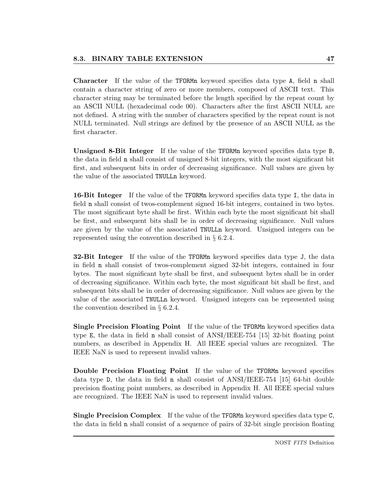**Character** If the value of the TFORMn keyword specifies data type A, field n shall contain a character string of zero or more members, composed of ASCII text. This character string may be terminated before the length specified by the repeat count by an ASCII NULL (hexadecimal code 00). Characters after the first ASCII NULL are not defined. A string with the number of characters specified by the repeat count is not NULL terminated. Null strings are defined by the presence of an ASCII NULL as the first character.

**Unsigned 8-Bit Integer** If the value of the TFORMn keyword specifies data type B, the data in field n shall consist of unsigned 8-bit integers, with the most significant bit first, and subsequent bits in order of decreasing significance. Null values are given by the value of the associated TNULLn keyword.

**16-Bit Integer** If the value of the TFORMn keyword specifies data type I, the data in field n shall consist of twos-complement signed 16-bit integers, contained in two bytes. The most significant byte shall be first. Within each byte the most significant bit shall be first, and subsequent bits shall be in order of decreasing significance. Null values are given by the value of the associated TNULLn keyword. Unsigned integers can be represented using the convention described in § 6.2.4.

**32-Bit Integer** If the value of the TFORMn keyword specifies data type J, the data in field n shall consist of twos-complement signed 32-bit integers, contained in four bytes. The most significant byte shall be first, and subsequent bytes shall be in order of decreasing significance. Within each byte, the most significant bit shall be first, and subsequent bits shall be in order of decreasing significance. Null values are given by the value of the associated TNULLn keyword. Unsigned integers can be represented using the convention described in § 6.2.4.

**Single Precision Floating Point** If the value of the TFORMn keyword specifies data type E, the data in field n shall consist of ANSI/IEEE-754 [15] 32-bit floating point numbers, as described in Appendix H. All IEEE special values are recognized. The IEEE NaN is used to represent invalid values.

**Double Precision Floating Point** If the value of the TFORMn keyword specifies data type D, the data in field n shall consist of ANSI/IEEE-754 [15] 64-bit double precision floating point numbers, as described in Appendix H. All IEEE special values are recognized. The IEEE NaN is used to represent invalid values.

**Single Precision Complex** If the value of the TFORM keyword specifies data type C, the data in field n shall consist of a sequence of pairs of 32-bit single precision floating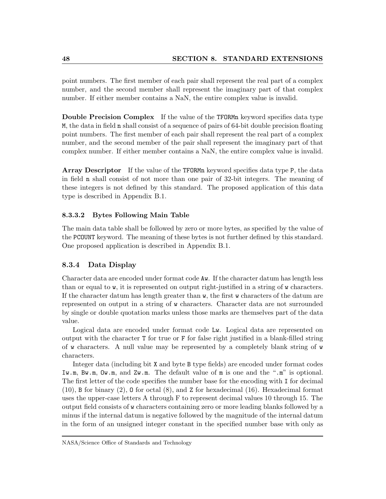point numbers. The first member of each pair shall represent the real part of a complex number, and the second member shall represent the imaginary part of that complex number. If either member contains a NaN, the entire complex value is invalid.

**Double Precision Complex** If the value of the TFORMn keyword specifies data type M, the data in field n shall consist of a sequence of pairs of 64-bit double precision floating point numbers. The first member of each pair shall represent the real part of a complex number, and the second member of the pair shall represent the imaginary part of that complex number. If either member contains a NaN, the entire complex value is invalid.

**Array Descriptor** If the value of the TFORMn keyword specifies data type P, the data in field n shall consist of not more than one pair of 32-bit integers. The meaning of these integers is not defined by this standard. The proposed application of this data type is described in Appendix B.1.

#### **8.3.3.2 Bytes Following Main Table**

The main data table shall be followed by zero or more bytes, as specified by the value of the PCOUNT keyword. The meaning of these bytes is not further defined by this standard. One proposed application is described in Appendix B.1.

#### **8.3.4 Data Display**

Character data are encoded under format code Aw. If the character datum has length less than or equal to w, it is represented on output right-justified in a string of w characters. If the character datum has length greater than  $w$ , the first  $w$  characters of the datum are represented on output in a string of w characters. Character data are not surrounded by single or double quotation marks unless those marks are themselves part of the data value.

Logical data are encoded under format code Lw. Logical data are represented on output with the character T for true or F for false right justified in a blank-filled string of w characters. A null value may be represented by a completely blank string of w characters.

Integer data (including bit X and byte B type fields) are encoded under format codes Iw.m, Bw.m, Ow.m, and Zw.m. The default value of m is one and the ".m" is optional. The first letter of the code specifies the number base for the encoding with I for decimal (10), B for binary (2), O for octal (8), and Z for hexadecimal (16). Hexadecimal format uses the upper-case letters A through F to represent decimal values 10 through 15. The output field consists of w characters containing zero or more leading blanks followed by a minus if the internal datum is negative followed by the magnitude of the internal datum in the form of an unsigned integer constant in the specified number base with only as

NASA/Science Office of Standards and Technology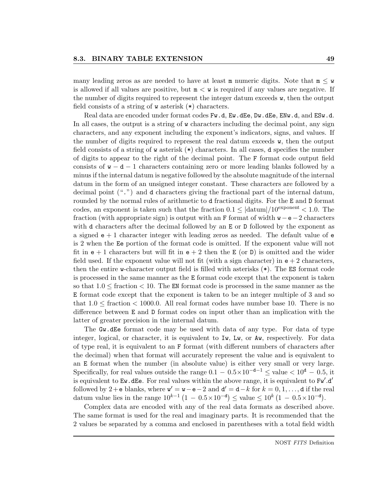many leading zeros as are needed to have at least  $m$  numeric digits. Note that  $m \leq w$ is allowed if all values are positive, but  $m < w$  is required if any values are negative. If the number of digits required to represent the integer datum exceeds w, then the output field consists of a string of w asterisk (\*) characters.

Real data are encoded under format codes Fw.d, Ew.dEe, Dw.dEe, ENw.d, and ESw.d. In all cases, the output is a string of w characters including the decimal point, any sign characters, and any exponent including the exponent's indicators, signs, and values. If the number of digits required to represent the real datum exceeds w, then the output field consists of a string of w asterisk (\*) characters. In all cases, d specifies the number of digits to appear to the right of the decimal point. The F format code output field consists of  $w - d - 1$  characters containing zero or more leading blanks followed by a minus if the internal datum is negative followed by the absolute magnitude of the internal datum in the form of an unsigned integer constant. These characters are followed by a decimal point  $(\cdot, \cdot)$  and d characters giving the fractional part of the internal datum, rounded by the normal rules of arithmetic to d fractional digits. For the E and D format codes, an exponent is taken such that the fraction  $0.1 \leq | \text{datum}| / 10^{\text{exponent}} < 1.0$ . The fraction (with appropriate sign) is output with an F format of width  $w-e-2$  characters with d characters after the decimal followed by an E or D followed by the exponent as a signed  $e + 1$  character integer with leading zeros as needed. The default value of  $e$ is 2 when the Ee portion of the format code is omitted. If the exponent value will not fit in  $e + 1$  characters but will fit in  $e + 2$  then the E (or D) is omitted and the wider field used. If the exponent value will not fit (with a sign character) in  $e + 2$  characters, then the entire w-character output field is filled with asterisks (\*). The ES format code is processed in the same manner as the E format code except that the exponent is taken so that  $1.0 \leq$  fraction  $< 10$ . The EN format code is processed in the same manner as the E format code except that the exponent is taken to be an integer multiple of 3 and so that  $1.0 \leq$  fraction  $< 1000.0$ . All real format codes have number base 10. There is no difference between E and D format codes on input other than an implication with the latter of greater precision in the internal datum.

The Gw.dEe format code may be used with data of any type. For data of type integer, logical, or character, it is equivalent to Iw, Lw, or Aw, respectively. For data of type real, it is equivalent to an F format (with different numbers of characters after the decimal) when that format will accurately represent the value and is equivalent to an E format when the number (in absolute value) is either very small or very large. Specifically, for real values outside the range  $0.1 - 0.5 \times 10^{-d-1} \leq$  value  $< 10^d - 0.5$ , it is equivalent to  $Ew$ . dEe. For real values within the above range, it is equivalent to  $Fw'.d'$ followed by 2+e blanks, where  $\mathbf{w}' = \mathbf{w}-\mathbf{e}-2$  and  $\mathbf{d}' = \mathbf{d}-k$  for  $k = 0, 1, \ldots, \mathbf{d}$  if the real datum value lies in the range  $10^{k-1} (1 - 0.5 \times 10^{-d}) \le \text{value} \le 10^k (1 - 0.5 \times 10^{-d}).$ 

Complex data are encoded with any of the real data formats as described above. The same format is used for the real and imaginary parts. It is recommended that the 2 values be separated by a comma and enclosed in parentheses with a total field width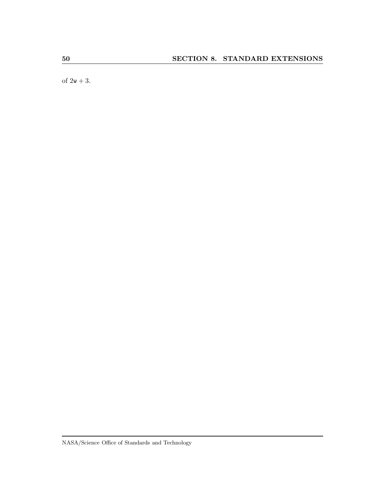of  $2w + 3$ .

NASA/Science Office of Standards and Technology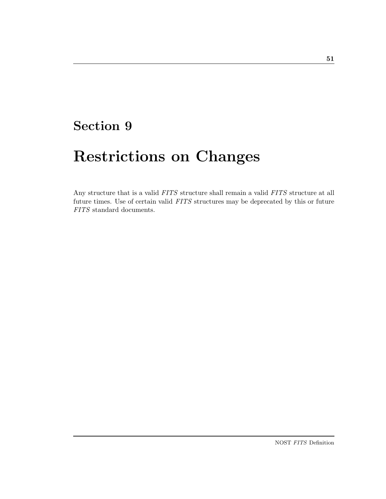# **Section 9**

# **Restrictions on Changes**

Any structure that is a valid *FITS* structure shall remain a valid *FITS* structure at all future times. Use of certain valid *FITS* structures may be deprecated by this or future *FITS* standard documents.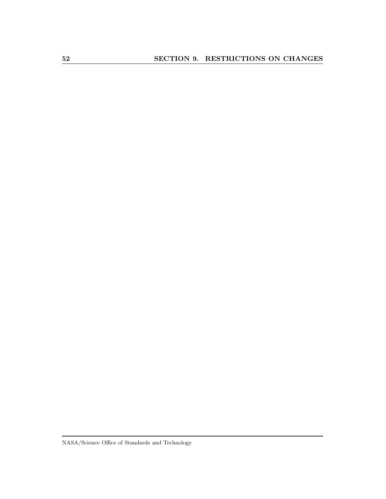NASA/Science Office of Standards and Technology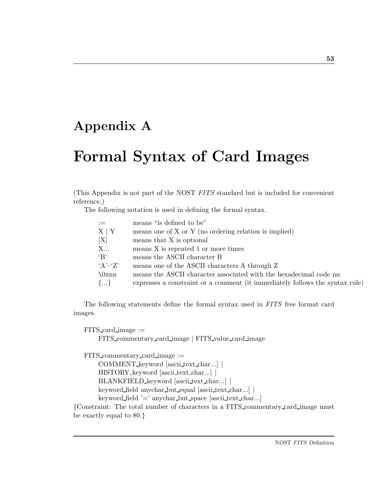# **Appendix A**

# **Formal Syntax of Card Images**

(This Appendix is not part of the NOST *FITS* standard but is included for convenient reference.)

The following notation is used in defining the formal syntax.

| $:=$         | means "is defined to be"                                                     |
|--------------|------------------------------------------------------------------------------|
| $X \mid Y$   | means one of $X$ or $Y$ (no ordering relation is implied)                    |
| [X]          | means that X is optional                                                     |
| X            | means X is repeated 1 or more times                                          |
| $\mathbf{B}$ | means the ASCII character B                                                  |
| $A'-Z'$      | means one of the ASCII characters A through Z                                |
| $\chi$ oxnn  | means the ASCII character associated with the hexadecimal code nn            |
| $\{\}$       | expresses a constraint or a comment (it immediately follows the syntax rule) |

The following statements define the formal syntax used in *FITS* free format card images.

 $FITS\_card\_image :=$ 

FITS commentary card image | FITS value card image

FITS commentary card image :=

COMMENT keyword [ascii text char...] | HISTORY keyword [ascii text char...] | BLANKFIELD keyword [ascii text char...] | keyword field anychar but equal [ascii text char...] | keyword field '=' anychar but space [ascii text char...]

{Constraint: The total number of characters in a FITS commentary card image must be exactly equal to 80.}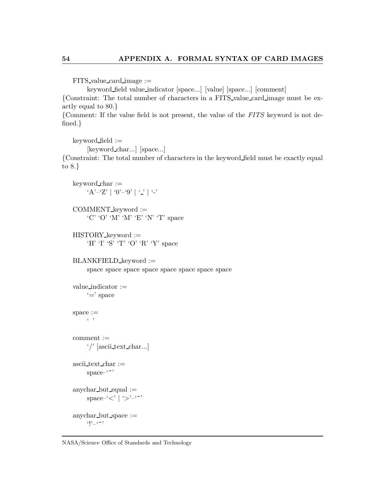$FITS_value-card_-image :=$ 

keyword field value indicator [space...] [value] [space...] [comment]

{Constraint: The total number of characters in a FITS value card image must be exactly equal to 80.}

{Comment: If the value field is not present, the value of the *FITS* keyword is not defined.}

keyword field := [keyword char...] [space...]

{Constraint: The total number of characters in the keyword field must be exactly equal to 8.}

keyword char := 'A'–'Z' | '0'–'9' | '\_' | '-'

```
COMMENT<sub>keyword</sub> :=
     'C' 'O' 'M' 'M' 'E' 'N' 'T' space
```

```
HISTORY keyword :='H' 'I' 'S' 'T' 'O' 'R' 'Y' space
```

```
BLANKFIELD keyword :=
```
space space space space space space space space

```
value indicator :=
     '=' space
```
 $space :=$  $\leftarrow$  '

```
comment :=
     '/' [ascii text char...]
ascii text char :=
     space–'<sup>~'</sup>
anychar but equal :=
     space–'\lt'' | '>'–'"'
```

```
anychar but space :=
    ':'
```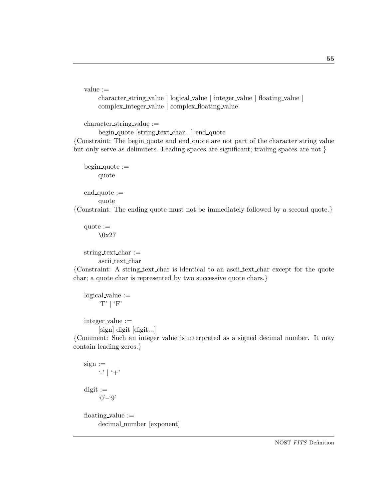value :=

character string value | logical value | integer value | floating value | complex integer value | complex floating value

character string value :=

begin quote [string text char...] end quote {Constraint: The begin quote and end quote are not part of the character string value but only serve as delimiters. Leading spaces are significant; trailing spaces are not.}

```
begin{aligned} \text{begin} = \end{aligned}quote
end\_quote :=quote
```
{Constraint: The ending quote must not be immediately followed by a second quote.}

 $\text{quote} :=$ \0x27

string  $text_{\text{c}}$  char  $:=$ ascii text char

{Constraint: A string text char is identical to an ascii text char except for the quote char; a quote char is represented by two successive quote chars.}

logical value := 'T' | 'F'

 $integer_value :=$ 

```
[sign] digit [digit...]
```
{Comment: Such an integer value is interpreted as a signed decimal number. It may contain leading zeros.}

```
sign :=' -' | ' +'\text{digit} :=`0'–'9'
floating value :=
```
decimal number [exponent]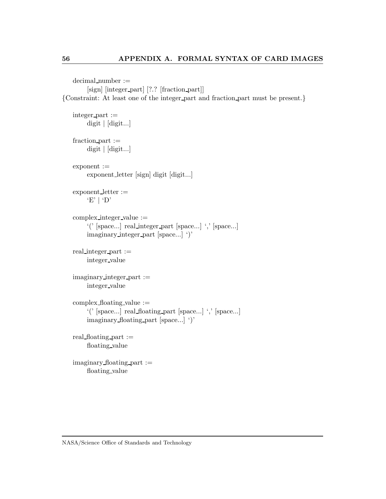```
decimal number :=
        [sign] [integer part] [?.? [fraction part]]
{Constraint: At least one of the integer part and fraction part must be present.}
   integer part :=digit | [digit...]
   fraction part :=
        digit | [digit...]
   exponent :=
        exponent letter [sign] digit [digit...]
   exponent letter :=
        E' | D'complex integer value :=
        '(' [space...] real integer part [space...] ',' [space...]
        imaginary integer part [space...] ')'
   real integer part :=
        integer value
   imaginary integer part :=
        integer value
   complex floating value :=
        '(' [space...] real floating part [space...] ',' [space...]
        imaginary floating part [space...] ')'
   real floating part :=floating_value
   imaginary floating part :=
        floating_value
```
NASA/Science Office of Standards and Technology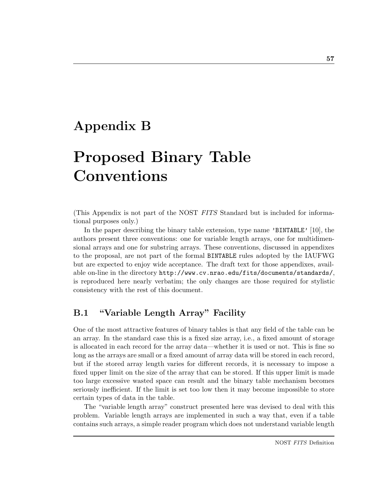# **Appendix B**

# **Proposed Binary Table Conventions**

(This Appendix is not part of the NOST *FITS* Standard but is included for informational purposes only.)

In the paper describing the binary table extension, type name 'BINTABLE'  $[10]$ , the authors present three conventions: one for variable length arrays, one for multidimensional arrays and one for substring arrays. These conventions, discussed in appendixes to the proposal, are not part of the formal BINTABLE rules adopted by the IAUFWG but are expected to enjoy wide acceptance. The draft text for those appendixes, available on-line in the directory http://www.cv.nrao.edu/fits/documents/standards/, is reproduced here nearly verbatim; the only changes are those required for stylistic consistency with the rest of this document.

# **B.1 "Variable Length Array" Facility**

One of the most attractive features of binary tables is that any field of the table can be an array. In the standard case this is a fixed size array, i.e., a fixed amount of storage is allocated in each record for the array data—whether it is used or not. This is fine so long as the arrays are small or a fixed amount of array data will be stored in each record, but if the stored array length varies for different records, it is necessary to impose a fixed upper limit on the size of the array that can be stored. If this upper limit is made too large excessive wasted space can result and the binary table mechanism becomes seriously inefficient. If the limit is set too low then it may become impossible to store certain types of data in the table.

The "variable length array" construct presented here was devised to deal with this problem. Variable length arrays are implemented in such a way that, even if a table contains such arrays, a simple reader program which does not understand variable length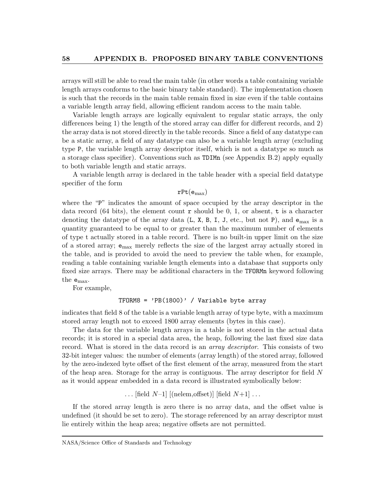arrays will still be able to read the main table (in other words a table containing variable length arrays conforms to the basic binary table standard). The implementation chosen is such that the records in the main table remain fixed in size even if the table contains a variable length array field, allowing efficient random access to the main table.

Variable length arrays are logically equivalent to regular static arrays, the only differences being 1) the length of the stored array can differ for different records, and 2) the array data is not stored directly in the table records. Since a field of any datatype can be a static array, a field of any datatype can also be a variable length array (excluding type P, the variable length array descriptor itself, which is not a datatype so much as a storage class specifier). Conventions such as TDIMn (see Appendix B.2) apply equally to both variable length and static arrays.

A variable length array is declared in the table header with a special field datatype specifier of the form

 $rPt(e<sub>max</sub>)$ 

where the "P" indicates the amount of space occupied by the array descriptor in the data record (64 bits), the element count  $\bf{r}$  should be 0, 1, or absent,  $\bf{t}$  is a character denoting the datatype of the array data (L, X, B, I, J, etc., but not P), and  $e_{\text{max}}$  is a quantity guaranteed to be equal to or greater than the maximum number of elements of type t actually stored in a table record. There is no built-in upper limit on the size of a stored array;  $e_{\text{max}}$  merely reflects the size of the largest array actually stored in the table, and is provided to avoid the need to preview the table when, for example, reading a table containing variable length elements into a database that supports only fixed size arrays. There may be additional characters in the TFORMn keyword following the  $e_{\text{max}}$ .

For example,

#### TFORM8 =  $'PB(1800)'$  / Variable byte array

indicates that field 8 of the table is a variable length array of type byte, with a maximum stored array length not to exceed 1800 array elements (bytes in this case).

The data for the variable length arrays in a table is not stored in the actual data records; it is stored in a special data area, the heap, following the last fixed size data record. What is stored in the data record is an *array descriptor*. This consists of two 32-bit integer values: the number of elements (array length) of the stored array, followed by the zero-indexed byte offset of the first element of the array, measured from the start of the heap area. Storage for the array is contiguous. The array descriptor for field N as it would appear embedded in a data record is illustrated symbolically below:

... [field  $N-1$ ] [(nelem, offset)] [field  $N+1$ ] ...

If the stored array length is zero there is no array data, and the offset value is undefined (it should be set to zero). The storage referenced by an array descriptor must lie entirely within the heap area; negative offsets are not permitted.

NASA/Science Office of Standards and Technology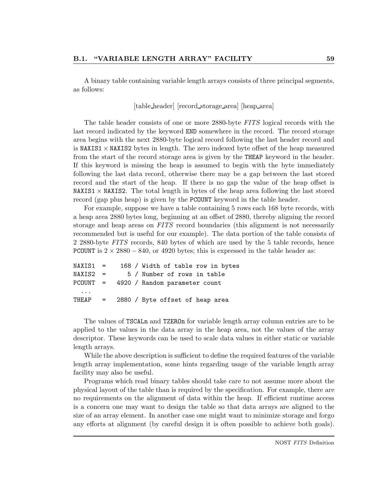A binary table containing variable length arrays consists of three principal segments, as follows:

#### [table header] [record storage area] [heap area]

The table header consists of one or more 2880-byte *FITS* logical records with the last record indicated by the keyword END somewhere in the record. The record storage area begins with the next 2880-byte logical record following the last header record and is NAXIS1  $\times$  NAXIS2 bytes in length. The zero indexed byte offset of the heap measured from the start of the record storage area is given by the THEAP keyword in the header. If this keyword is missing the heap is assumed to begin with the byte immediately following the last data record, otherwise there may be a gap between the last stored record and the start of the heap. If there is no gap the value of the heap offset is  $NAXIS1 \times NAXIS2$ . The total length in bytes of the heap area following the last stored record (gap plus heap) is given by the PCOUNT keyword in the table header.

For example, suppose we have a table containing 5 rows each 168 byte records, with a heap area 2880 bytes long, beginning at an offset of 2880, thereby aligning the record storage and heap areas on *FITS* record boundaries (this alignment is not necessarily recommended but is useful for our example). The data portion of the table consists of 2 2880-byte *FITS* records, 840 bytes of which are used by the 5 table records, hence PCOUNT is  $2 \times 2880 - 840$ , or 4920 bytes; this is expressed in the table header as:

```
NAXIS1 = 168 / Width of table row in bytes
NAXIS2 = 5 / Number of rows in table
PCOUNT = 4920 / Random parameter count
  ...
THEAP = 2880 / Byte offset of heap area
```
The values of TSCALn and TZEROn for variable length array column entries are to be applied to the values in the data array in the heap area, not the values of the array descriptor. These keywords can be used to scale data values in either static or variable length arrays.

While the above description is sufficient to define the required features of the variable length array implementation, some hints regarding usage of the variable length array facility may also be useful.

Programs which read binary tables should take care to not assume more about the physical layout of the table than is required by the specification. For example, there are no requirements on the alignment of data within the heap. If efficient runtime access is a concern one may want to design the table so that data arrays are aligned to the size of an array element. In another case one might want to minimize storage and forgo any efforts at alignment (by careful design it is often possible to achieve both goals).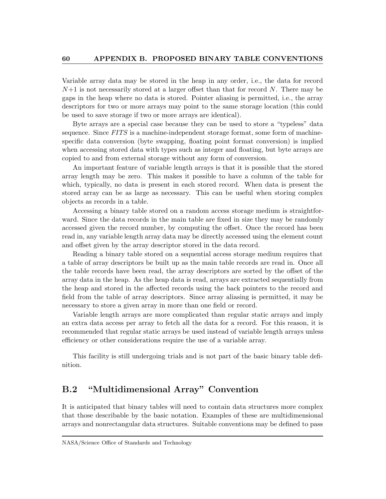Variable array data may be stored in the heap in any order, i.e., the data for record  $N+1$  is not necessarily stored at a larger offset than that for record N. There may be gaps in the heap where no data is stored. Pointer aliasing is permitted, i.e., the array descriptors for two or more arrays may point to the same storage location (this could be used to save storage if two or more arrays are identical).

Byte arrays are a special case because they can be used to store a "typeless" data sequence. Since *FITS* is a machine-independent storage format, some form of machinespecific data conversion (byte swapping, floating point format conversion) is implied when accessing stored data with types such as integer and floating, but byte arrays are copied to and from external storage without any form of conversion.

An important feature of variable length arrays is that it is possible that the stored array length may be zero. This makes it possible to have a column of the table for which, typically, no data is present in each stored record. When data is present the stored array can be as large as necessary. This can be useful when storing complex objects as records in a table.

Accessing a binary table stored on a random access storage medium is straightforward. Since the data records in the main table are fixed in size they may be randomly accessed given the record number, by computing the offset. Once the record has been read in, any variable length array data may be directly accessed using the element count and offset given by the array descriptor stored in the data record.

Reading a binary table stored on a sequential access storage medium requires that a table of array descriptors be built up as the main table records are read in. Once all the table records have been read, the array descriptors are sorted by the offset of the array data in the heap. As the heap data is read, arrays are extracted sequentially from the heap and stored in the affected records using the back pointers to the record and field from the table of array descriptors. Since array aliasing is permitted, it may be necessary to store a given array in more than one field or record.

Variable length arrays are more complicated than regular static arrays and imply an extra data access per array to fetch all the data for a record. For this reason, it is recommended that regular static arrays be used instead of variable length arrays unless efficiency or other considerations require the use of a variable array.

This facility is still undergoing trials and is not part of the basic binary table definition.

### **B.2 "Multidimensional Array" Convention**

It is anticipated that binary tables will need to contain data structures more complex that those describable by the basic notation. Examples of these are multidimensional arrays and nonrectangular data structures. Suitable conventions may be defined to pass

NASA/Science Office of Standards and Technology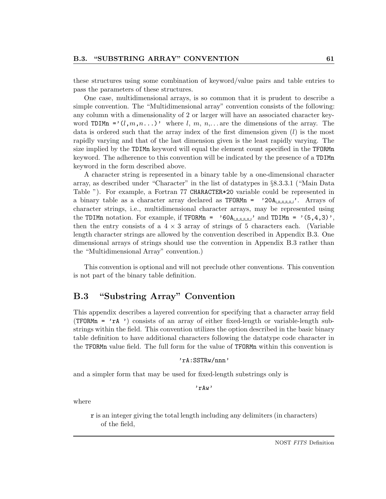these structures using some combination of keyword/value pairs and table entries to pass the parameters of these structures.

One case, multidimensional arrays, is so common that it is prudent to describe a simple convention. The "Multidimensional array" convention consists of the following: any column with a dimensionality of 2 or larger will have an associated character keyword TDIMn =' $(l,m,n...)$ ' where l, m, n,... are the dimensions of the array. The data is ordered such that the array index of the first dimension given  $(l)$  is the most rapidly varying and that of the last dimension given is the least rapidly varying. The size implied by the TDIMn keyword will equal the element count specified in the TFORMn keyword. The adherence to this convention will be indicated by the presence of a TDIMn keyword in the form described above.

A character string is represented in a binary table by a one-dimensional character array, as described under "Character" in the list of datatypes in §8.3.3.1 ("Main Data Table "). For example, a Fortran 77 CHARACTER\*20 variable could be represented in a binary table as a character array declared as  $TFORMn = '20A_{\text{UULUL}}'$ . Arrays of character strings, i.e., multidimensional character arrays, may be represented using the TDIMn notation. For example, if TFORMn =  $'60A_{\text{UULUL}}'$  and TDIMn =  $'(5,4,3)'$ , then the entry consists of a  $4 \times 3$  array of strings of 5 characters each. (Variable length character strings are allowed by the convention described in Appendix B.3. One dimensional arrays of strings should use the convention in Appendix B.3 rather than the "Multidimensional Array" convention.)

This convention is optional and will not preclude other conventions. This convention is not part of the binary table definition.

# **B.3 "Substring Array" Convention**

This appendix describes a layered convention for specifying that a character array field  $(TFORMn = 'rA'')$  consists of an array of either fixed-length or variable-length substrings within the field. This convention utilizes the option described in the basic binary table definition to have additional characters following the datatype code character in the TFORMn value field. The full form for the value of TFORMn within this convention is

#### 'rA:SSTRw/nnn'

and a simpler form that may be used for fixed-length substrings only is

'rAw'

where

r is an integer giving the total length including any delimiters (in characters) of the field,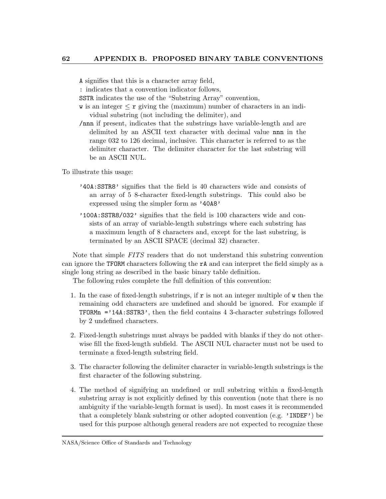A signifies that this is a character array field,

: indicates that a convention indicator follows,

SSTR indicates the use of the "Substring Array" convention,

- w is an integer  $\leq$  r giving the (maximum) number of characters in an individual substring (not including the delimiter), and
- /nnn if present, indicates that the substrings have variable-length and are delimited by an ASCII text character with decimal value nnn in the range 032 to 126 decimal, inclusive. This character is referred to as the delimiter character. The delimiter character for the last substring will be an ASCII NUL.

To illustrate this usage:

- '40A:SSTR8' signifies that the field is 40 characters wide and consists of an array of 5 8-character fixed-length substrings. This could also be expressed using the simpler form as '40A8'
- '100A:SSTR8/032' signifies that the field is 100 characters wide and consists of an array of variable-length substrings where each substring has a maximum length of 8 characters and, except for the last substring, is terminated by an ASCII SPACE (decimal 32) character.

Note that simple *FITS* readers that do not understand this substring convention can ignore the TFORM characters following the  $rA$  and can interpret the field simply as a single long string as described in the basic binary table definition.

The following rules complete the full definition of this convention:

- 1. In the case of fixed-length substrings, if  $\mathbf r$  is not an integer multiple of  $\mathbf w$  then the remaining odd characters are undefined and should be ignored. For example if TFORMn ='14A:SSTR3', then the field contains 4 3-character substrings followed by 2 undefined characters.
- 2. Fixed-length substrings must always be padded with blanks if they do not otherwise fill the fixed-length subfield. The ASCII NUL character must not be used to terminate a fixed-length substring field.
- 3. The character following the delimiter character in variable-length substrings is the first character of the following substring.
- 4. The method of signifying an undefined or null substring within a fixed-length substring array is not explicitly defined by this convention (note that there is no ambiguity if the variable-length format is used). In most cases it is recommended that a completely blank substring or other adopted convention (e.g. 'INDEF') be used for this purpose although general readers are not expected to recognize these

NASA/Science Office of Standards and Technology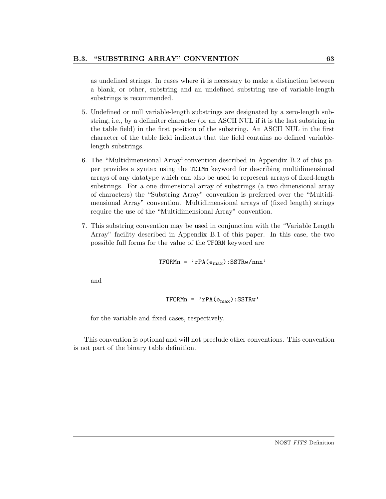as undefined strings. In cases where it is necessary to make a distinction between a blank, or other, substring and an undefined substring use of variable-length substrings is recommended.

- 5. Undefined or null variable-length substrings are designated by a zero-length substring, i.e., by a delimiter character (or an ASCII NUL if it is the last substring in the table field) in the first position of the substring. An ASCII NUL in the first character of the table field indicates that the field contains no defined variablelength substrings.
- 6. The "Multidimensional Array"convention described in Appendix B.2 of this paper provides a syntax using the TDIMn keyword for describing multidimensional arrays of any datatype which can also be used to represent arrays of fixed-length substrings. For a one dimensional array of substrings (a two dimensional array of characters) the "Substring Array" convention is preferred over the "Multidimensional Array" convention. Multidimensional arrays of (fixed length) strings require the use of the "Multidimensional Array" convention.
- 7. This substring convention may be used in conjunction with the "Variable Length Array" facility described in Appendix B.1 of this paper. In this case, the two possible full forms for the value of the TFORM keyword are

 $TFORMn = 'rPA(e_{max})$ : SSTRw/nnn'

and

$$
\text{TFORMn} = \text{'rPA}(e_{\text{max}}): \text{SSTRw'}
$$

for the variable and fixed cases, respectively.

This convention is optional and will not preclude other conventions. This convention is not part of the binary table definition.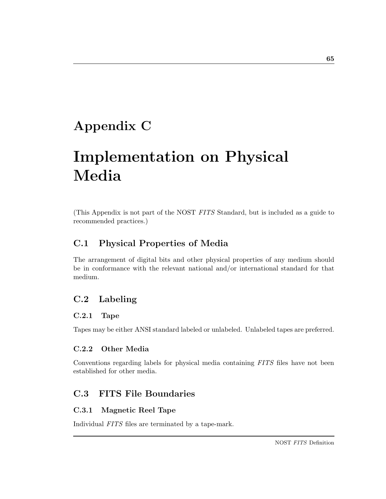## **Appendix C**

# **Implementation on Physical Media**

(This Appendix is not part of the NOST *FITS* Standard, but is included as a guide to recommended practices.)

### **C.1 Physical Properties of Media**

The arrangement of digital bits and other physical properties of any medium should be in conformance with the relevant national and/or international standard for that medium.

### **C.2 Labeling**

### **C.2.1 Tape**

Tapes may be either ANSI standard labeled or unlabeled. Unlabeled tapes are preferred.

### **C.2.2 Other Media**

Conventions regarding labels for physical media containing *FITS* files have not been established for other media.

### **C.3 FITS File Boundaries**

### **C.3.1 Magnetic Reel Tape**

Individual *FITS* files are terminated by a tape-mark.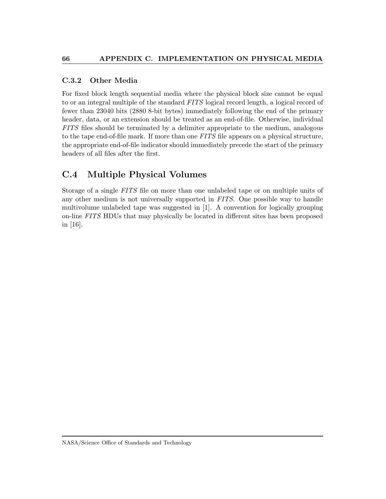#### **C.3.2 Other Media**

For fixed block length sequential media where the physical block size cannot be equal to or an integral multiple of the standard *FITS* logical record length, a logical record of fewer than 23040 bits (2880 8-bit bytes) immediately following the end of the primary header, data, or an extension should be treated as an end-of-file. Otherwise, individual *FITS* files should be terminated by a delimiter appropriate to the medium, analogous to the tape end-of-file mark. If more than one *FITS* file appears on a physical structure, the appropriate end-of-file indicator should immediately precede the start of the primary headers of all files after the first.

### **C.4 Multiple Physical Volumes**

Storage of a single *FITS* file on more than one unlabeled tape or on multiple units of any other medium is not universally supported in *FITS*. One possible way to handle multivolume unlabeled tape was suggested in [1]. A convention for logically grouping on-line *FITS* HDUs that may physically be located in different sites has been proposed in [16].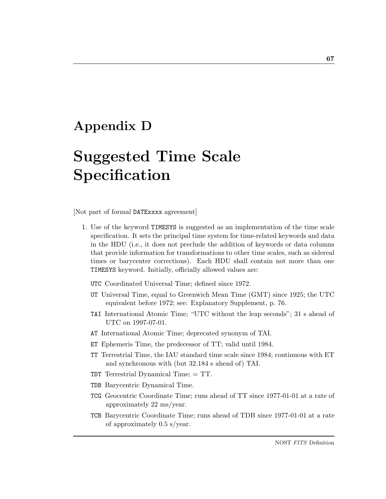## **Appendix D**

# **Suggested Time Scale Specification**

[Not part of formal DATExxxx agreement]

- 1. Use of the keyword TIMESYS is suggested as an implementation of the time scale specification. It sets the principal time system for time-related keywords and data in the HDU (i.e., it does not preclude the addition of keywords or data columns that provide information for transformations to other time scales, such as sidereal times or barycenter corrections). Each HDU shall contain not more than one TIMESYS keyword. Initially, officially allowed values are:
	- UTC Coordinated Universal Time; defined since 1972.
	- UT Universal Time, equal to Greenwich Mean Time (GMT) since 1925; the UTC equivalent before 1972; see: Explanatory Supplement, p. 76.
	- TAI International Atomic Time; "UTC without the leap seconds"; 31 s ahead of UTC on 1997-07-01.
	- AT International Atomic Time; deprecated synonym of TAI.
	- ET Ephemeris Time, the predecessor of TT; valid until 1984.
	- TT Terrestrial Time, the IAU standard time scale since 1984; continuous with ET and synchronous with (but 32.184 s ahead of) TAI.
	- TDT Terrestrial Dynamical Time; = TT.
	- TDB Barycentric Dynamical Time.
	- TCG Geocentric Coordinate Time; runs ahead of TT since 1977-01-01 at a rate of approximately 22 ms/year.
	- TCB Barycentric Coordinate Time; runs ahead of TDB since 1977-01-01 at a rate of approximately 0.5 s/year.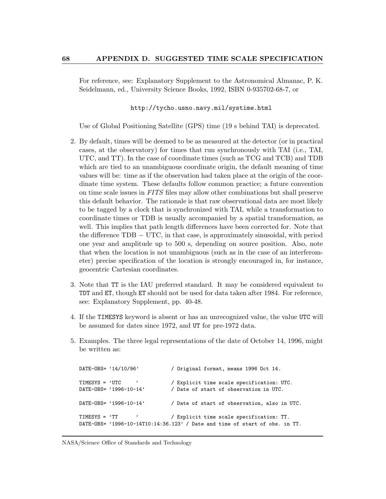For reference, see: Explanatory Supplement to the Astronomical Almanac, P. K. Seidelmann, ed., University Science Books, 1992, ISBN 0-935702-68-7, or

#### http://tycho.usno.navy.mil/systime.html

Use of Global Positioning Satellite (GPS) time (19 s behind TAI) is deprecated.

- 2. By default, times will be deemed to be as measured at the detector (or in practical cases, at the observatory) for times that run synchronously with TAI (i.e., TAI, UTC, and TT). In the case of coordinate times (such as TCG and TCB) and TDB which are tied to an unambiguous coordinate origin, the default meaning of time values will be: time as if the observation had taken place at the origin of the coordinate time system. These defaults follow common practice; a future convention on time scale issues in *FITS* files may allow other combinations but shall preserve this default behavior. The rationale is that raw observational data are most likely to be tagged by a clock that is synchronized with TAI, while a transformation to coordinate times or TDB is usually accompanied by a spatial transformation, as well. This implies that path length differences have been corrected for. Note that the difference TDB − UTC, in that case, is approximately sinusoidal, with period one year and amplitude up to 500 s, depending on source position. Also, note that when the location is not unambiguous (such as in the case of an interferometer) precise specification of the location is strongly encouraged in, for instance, geocentric Cartesian coordinates.
- 3. Note that TT is the IAU preferred standard. It may be considered equivalent to TDT and ET, though ET should not be used for data taken after 1984. For reference, see: Explanatory Supplement, pp. 40-48.
- 4. If the TIMESYS keyword is absent or has an unrecognized value, the value UTC will be assumed for dates since 1972, and UT for pre-1972 data.
- 5. Examples. The three legal representations of the date of October 14, 1996, might be written as:

```
DATE-OBS= '14/10/96' / Original format, means 1996 Oct 14.
TIMESYS = 'UTC ' / Explicit time scale specification: UTC.
DATE-OBS= '1996-10-14' / Date of start of observation in UTC.
DATE-OBS= '1996-10-14' / Date of start of observation, also in UTC.
TIMESYS = 'TT ' / Explicit time scale specification: TT.
DATE-OBS= '1996-10-14T10:14:36.123' / Date and time of start of obs. in TT.
```
#### NASA/Science Office of Standards and Technology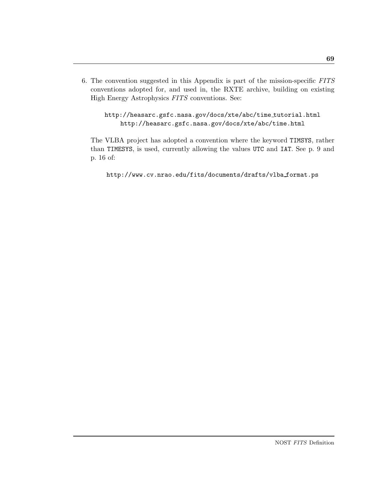6. The convention suggested in this Appendix is part of the mission-specific *FITS* conventions adopted for, and used in, the RXTE archive, building on existing High Energy Astrophysics *FITS* conventions. See:

http://heasarc.gsfc.nasa.gov/docs/xte/abc/time tutorial.html http://heasarc.gsfc.nasa.gov/docs/xte/abc/time.html

The VLBA project has adopted a convention where the keyword TIMSYS, rather than TIMESYS, is used, currently allowing the values UTC and IAT. See p. 9 and p. 16 of:

http://www.cv.nrao.edu/fits/documents/drafts/vlba format.ps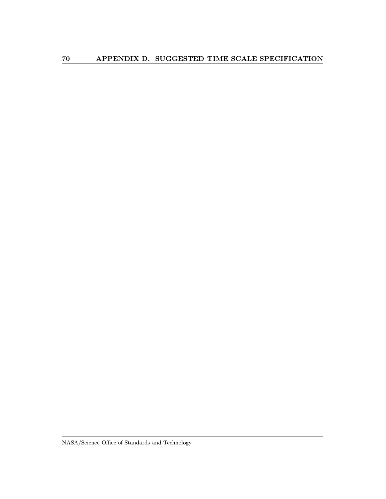NASA/Science Office of Standards and Technology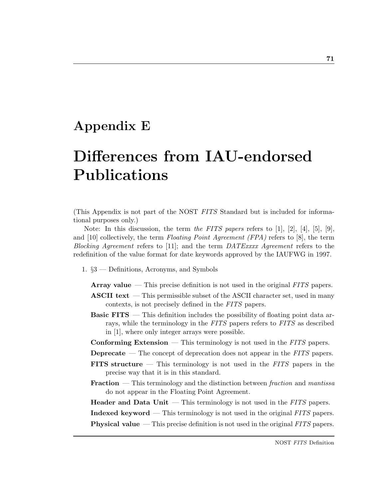## **Appendix E**

# **Differences from IAU-endorsed Publications**

(This Appendix is not part of the NOST *FITS* Standard but is included for informational purposes only.)

Note: In this discussion, the term *the FITS papers* refers to [1], [2], [4], [5], [9], and [10] collectively, the term *Floating Point Agreement (FPA)* refers to [8], the term *Blocking Agreement* refers to [11]; and the term *DATExxxx Agreement* refers to the redefinition of the value format for date keywords approved by the IAUFWG in 1997.

1. §3 — Definitions, Acronyms, and Symbols

**Array value** — This precise definition is not used in the original *FITS* papers.

- **ASCII text** This permissible subset of the ASCII character set, used in many contexts, is not precisely defined in the *FITS* papers.
- **Basic FITS** This definition includes the possibility of floating point data arrays, while the terminology in the *FITS* papers refers to *FITS* as described in [1], where only integer arrays were possible.
- **Conforming Extension** This terminology is not used in the *FITS* papers.

**Deprecate** — The concept of deprecation does not appear in the *FITS* papers.

- **FITS structure** This terminology is not used in the *FITS* papers in the precise way that it is in this standard.
- **Fraction** This terminology and the distinction between *fraction* and *mantissa* do not appear in the Floating Point Agreement.

**Header and Data Unit** — This terminology is not used in the *FITS* papers.

**Indexed keyword** — This terminology is not used in the original *FITS* papers.

**Physical value** — This precise definition is not used in the original *FITS* papers.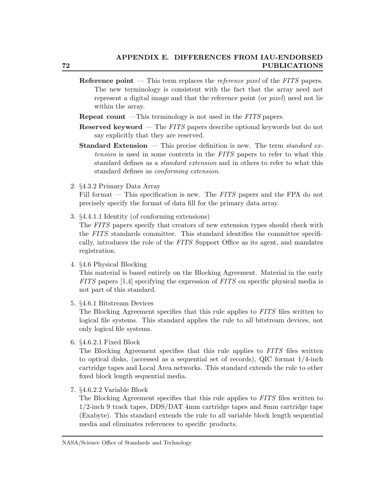**Reference point** — This term replaces the *reference pixel* of the *FITS* papers. The new terminology is consistent with the fact that the array need not represent a digital image and that the reference point (or *pixel*) need not lie within the array.

**Repeat count** —This terminology is not used in the *FITS* papers.

- **Reserved keyword** The *FITS* papers describe optional keywords but do not say explicitly that they are reserved.
- **Standard Extension** This precise definition is new. The term *standard extension* is used in some contexts in the *FITS* papers to refer to what this standard defines as a *standard extension* and in others to refer to what this standard defines as *conforming extension*.
- 2. §4.3.2 Primary Data Array

Fill format — This specification is new. The *FITS* papers and the FPA do not precisely specify the format of data fill for the primary data array.

3. §4.4.1.1 Identity (of conforming extensions)

The *FITS* papers specify that creators of new extension types should check with the *FITS* standards committee. This standard identifies the committee specifically, introduces the role of the *FITS* Support Office as its agent, and mandates registration.

4. §4.6 Physical Blocking

This material is based entirely on the Blocking Agreement. Material in the early *FITS* papers [1,4] specifying the expression of *FITS* on specific physical media is not part of this standard.

5. §4.6.1 Bitstream Devices

The Blocking Agreement specifies that this rule applies to *FITS* files written to logical file systems. This standard applies the rule to all bitstream devices, not only logical file systems.

6. §4.6.2.1 Fixed Block

The Blocking Agreement specifies that this rule applies to *FITS* files written to optical disks, (accessed as a sequential set of records), QIC format 1/4-inch cartridge tapes and Local Area networks. This standard extends the rule to other fixed block length sequential media.

7. §4.6.2.2 Variable Block

The Blocking Agreement specifies that this rule applies to *FITS* files written to 1/2-inch 9 track tapes, DDS/DAT 4mm cartridge tapes and 8mm cartridge tape (Exabyte). This standard extends the rule to all variable block length sequential media and eliminates references to specific products.

NASA/Science Office of Standards and Technology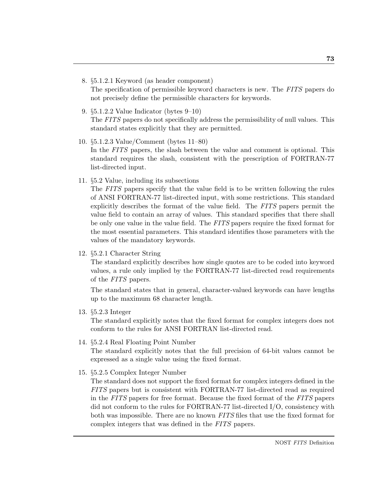8. §5.1.2.1 Keyword (as header component)

The specification of permissible keyword characters is new. The *FITS* papers do not precisely define the permissible characters for keywords.

- 9. §5.1.2.2 Value Indicator (bytes 9–10) The *FITS* papers do not specifically address the permissibility of null values. This standard states explicitly that they are permitted.
- 10. §5.1.2.3 Value/Comment (bytes 11–80) In the *FITS* papers, the slash between the value and comment is optional. This standard requires the slash, consistent with the prescription of FORTRAN-77 list-directed input.
- 11. §5.2 Value, including its subsections

The *FITS* papers specify that the value field is to be written following the rules of ANSI FORTRAN-77 list-directed input, with some restrictions. This standard explicitly describes the format of the value field. The *FITS* papers permit the value field to contain an array of values. This standard specifies that there shall be only one value in the value field. The *FITS* papers require the fixed format for the most essential parameters. This standard identifies those parameters with the values of the mandatory keywords.

12. §5.2.1 Character String

The standard explicitly describes how single quotes are to be coded into keyword values, a rule only implied by the FORTRAN-77 list-directed read requirements of the *FITS* papers.

The standard states that in general, character-valued keywords can have lengths up to the maximum 68 character length.

13. §5.2.3 Integer

The standard explicitly notes that the fixed format for complex integers does not conform to the rules for ANSI FORTRAN list-directed read.

- 14. §5.2.4 Real Floating Point Number The standard explicitly notes that the full precision of 64-bit values cannot be expressed as a single value using the fixed format.
- 15. §5.2.5 Complex Integer Number

The standard does not support the fixed format for complex integers defined in the *FITS* papers but is consistent with FORTRAN-77 list-directed read as required in the *FITS* papers for free format. Because the fixed format of the *FITS* papers did not conform to the rules for FORTRAN-77 list-directed I/O, consistency with both was impossible. There are no known *FITS* files that use the fixed format for complex integers that was defined in the *FITS* papers.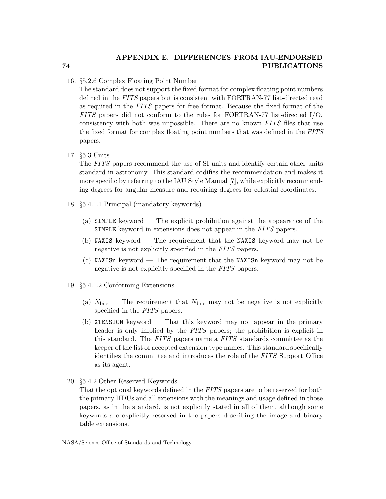#### 16. §5.2.6 Complex Floating Point Number

The standard does not support the fixed format for complex floating point numbers defined in the *FITS* papers but is consistent with FORTRAN-77 list-directed read as required in the *FITS* papers for free format. Because the fixed format of the *FITS* papers did not conform to the rules for FORTRAN-77 list-directed I/O, consistency with both was impossible. There are no known *FITS* files that use the fixed format for complex floating point numbers that was defined in the *FITS* papers.

#### 17. §5.3 Units

The *FITS* papers recommend the use of SI units and identify certain other units standard in astronomy. This standard codifies the recommendation and makes it more specific by referring to the IAU Style Manual [7], while explicitly recommending degrees for angular measure and requiring degrees for celestial coordinates.

- 18. §5.4.1.1 Principal (mandatory keywords)
	- (a) SIMPLE keyword The explicit prohibition against the appearance of the SIMPLE keyword in extensions does not appear in the *FITS* papers.
	- (b) NAXIS keyword The requirement that the NAXIS keyword may not be negative is not explicitly specified in the *FITS* papers.
	- (c) NAXISn keyword The requirement that the NAXISn keyword may not be negative is not explicitly specified in the *FITS* papers.
- 19. §5.4.1.2 Conforming Extensions
	- (a)  $N_{\text{bits}}$  The requirement that  $N_{\text{bits}}$  may not be negative is not explicitly specified in the *FITS* papers.
	- (b) XTENSION keyword That this keyword may not appear in the primary header is only implied by the *FITS* papers; the prohibition is explicit in this standard. The *FITS* papers name a *FITS* standards committee as the keeper of the list of accepted extension type names. This standard specifically identifies the committee and introduces the role of the *FITS* Support Office as its agent.
- 20. §5.4.2 Other Reserved Keywords

That the optional keywords defined in the *FITS* papers are to be reserved for both the primary HDUs and all extensions with the meanings and usage defined in those papers, as in the standard, is not explicitly stated in all of them, although some keywords are explicitly reserved in the papers describing the image and binary table extensions.

#### NASA/Science Office of Standards and Technology

**74**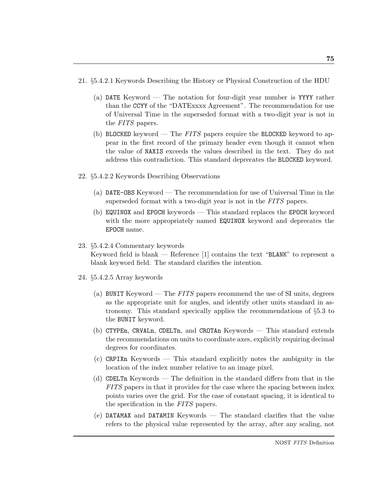- 21. §5.4.2.1 Keywords Describing the History or Physical Construction of the HDU
	- (a) DATE Keyword The notation for four-digit year number is YYYY rather than the CCYY of the "DATExxxx Agreement". The recommendation for use of Universal Time in the superseded format with a two-digit year is not in the *FITS* papers.
	- (b) BLOCKED keyword The *FITS* papers require the BLOCKED keyword to appear in the first record of the primary header even though it cannot when the value of NAXIS exceeds the values described in the text. They do not address this contradiction. This standard deprecates the BLOCKED keyword.
- 22. §5.4.2.2 Keywords Describing Observations
	- (a) DATE-OBS Keyword The recommendation for use of Universal Time in the superseded format with a two-digit year is not in the *FITS* papers.
	- (b) EQUINOX and EPOCH keywords This standard replaces the EPOCH keyword with the more appropriately named EQUINOX keyword and deprecates the EPOCH name.

#### 23. §5.4.2.4 Commentary keywords

Keyword field is blank — Reference [1] contains the text "BLANK" to represent a blank keyword field. The standard clarifies the intention.

- 24. §5.4.2.5 Array keywords
	- (a) BUNIT Keyword The *FITS* papers recommend the use of SI units, degrees as the appropriate unit for angles, and identify other units standard in astronomy. This standard specically applies the recommendations of §5.3 to the BUNIT keyword.
	- (b) CTYPEn, CRVALn, CDELTn, and CROTAn Keywords This standard extends the recommendations on units to coordinate axes, explicitly requiring decimal degrees for coordinates.
	- (c) CRPIXn Keywords This standard explicitly notes the ambiguity in the location of the index number relative to an image pixel.
	- (d) CDELTn Keywords The definition in the standard differs from that in the *FITS* papers in that it provides for the case where the spacing between index points varies over the grid. For the case of constant spacing, it is identical to the specification in the *FITS* papers.
	- (e) DATAMAX and DATAMIN Keywords The standard clarifies that the value refers to the physical value represented by the array, after any scaling, not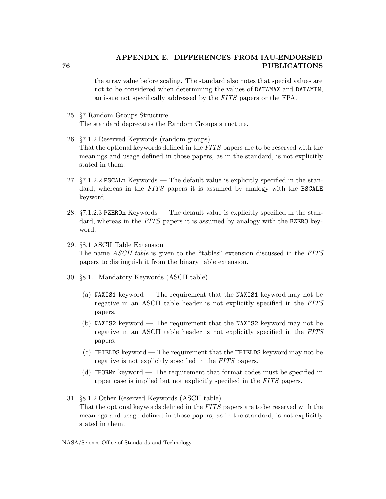the array value before scaling. The standard also notes that special values are not to be considered when determining the values of DATAMAX and DATAMIN, an issue not specifically addressed by the *FITS* papers or the FPA.

- 25. §7 Random Groups Structure The standard deprecates the Random Groups structure.
- 26. §7.1.2 Reserved Keywords (random groups) That the optional keywords defined in the *FITS* papers are to be reserved with the meanings and usage defined in those papers, as in the standard, is not explicitly stated in them.
- 27. §7.1.2.2 PSCALn Keywords The default value is explicitly specified in the standard, whereas in the *FITS* papers it is assumed by analogy with the BSCALE keyword.
- 28. §7.1.2.3 PZEROn Keywords The default value is explicitly specified in the standard, whereas in the *FITS* papers it is assumed by analogy with the BZERO keyword.
- 29. §8.1 ASCII Table Extension The name *ASCII table* is given to the "tables" extension discussed in the *FITS* papers to distinguish it from the binary table extension.
- 30. §8.1.1 Mandatory Keywords (ASCII table)
	- (a) NAXIS1 keyword The requirement that the NAXIS1 keyword may not be negative in an ASCII table header is not explicitly specified in the *FITS* papers.
	- (b) NAXIS2 keyword The requirement that the NAXIS2 keyword may not be negative in an ASCII table header is not explicitly specified in the *FITS* papers.
	- (c) TFIELDS keyword The requirement that the TFIELDS keyword may not be negative is not explicitly specified in the *FITS* papers.
	- (d) TFORMn keyword The requirement that format codes must be specified in upper case is implied but not explicitly specified in the *FITS* papers.
- 31. §8.1.2 Other Reserved Keywords (ASCII table) That the optional keywords defined in the *FITS* papers are to be reserved with the meanings and usage defined in those papers, as in the standard, is not explicitly stated in them.

NASA/Science Office of Standards and Technology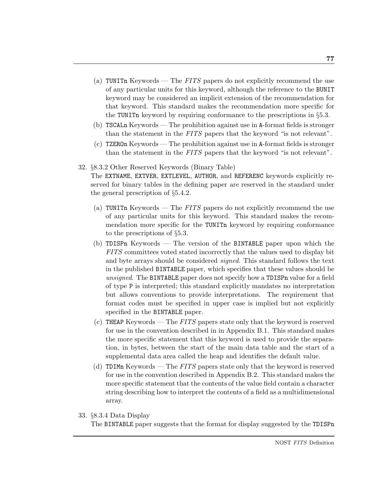- (a) TUNITn Keywords The *FITS* papers do not explicitly recommend the use of any particular units for this keyword, although the reference to the BUNIT keyword may be considered an implicit extension of the recommendation for that keyword. This standard makes the recommendation more specific for the TUNIT keyword by requiring conformance to the prescriptions in  $\S 5.3$ .
- (b) TSCALn Keywords The prohibition against use in A-format fields is stronger than the statement in the *FITS* papers that the keyword "is not relevant".
- (c) TZEROn Keywords The prohibition against use in A-format fields is stronger than the statement in the *FITS* papers that the keyword "is not relevant".
- 32. §8.3.2 Other Reserved Keywords (Binary Table)

The EXTNAME, EXTVER, EXTLEVEL, AUTHOR, and REFERENC keywords explicitly reserved for binary tables in the defining paper are reserved in the standard under the general prescription of §5.4.2.

- (a) TUNITn Keywords The *FITS* papers do not explicitly recommend the use of any particular units for this keyword. This standard makes the recommendation more specific for the TUNITn keyword by requiring conformance to the prescriptions of §5.3.
- (b) TDISPn Keywords The version of the BINTABLE paper upon which the *FITS* committees voted stated incorrectly that the values used to display bit and byte arrays should be considered *signed*. This standard follows the text in the published BINTABLE paper, which specifies that these values should be *unsigned*. The BINTABLE paper does not specify how a TDISPn value for a field of type P is interpreted; this standard explicitly mandates no interpretation but allows conventions to provide interpretations. The requirement that format codes must be specified in upper case is implied but not explicitly specified in the BINTABLE paper.
- (c) THEAP Keywords The *FITS* papers state only that the keyword is reserved for use in the convention described in in Appendix B.1. This standard makes the more specific statement that this keyword is used to provide the separation, in bytes, between the start of the main data table and the start of a supplemental data area called the heap and identifies the default value.
- (d) TDIMn Keywords The *FITS* papers state only that the keyword is reserved for use in the convention described in Appendix B.2. This standard makes the more specific statement that the contents of the value field contain a character string describing how to interpret the contents of a field as a multidimensional array.
- 33. §8.3.4 Data Display

The BINTABLE paper suggests that the format for display suggested by the TDISPn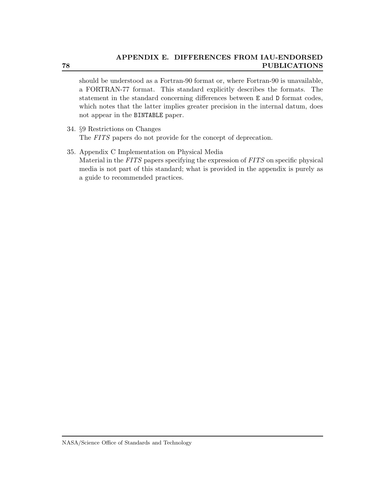#### **APPENDIX E. DIFFERENCES FROM IAU-ENDORSED PUBLICATIONS**

should be understood as a Fortran-90 format or, where Fortran-90 is unavailable, a FORTRAN-77 format. This standard explicitly describes the formats. The statement in the standard concerning differences between E and D format codes, which notes that the latter implies greater precision in the internal datum, does not appear in the BINTABLE paper.

- 34. §9 Restrictions on Changes The *FITS* papers do not provide for the concept of deprecation.
- 35. Appendix C Implementation on Physical Media Material in the *FITS* papers specifying the expression of *FITS* on specific physical media is not part of this standard; what is provided in the appendix is purely as a guide to recommended practices.

**78**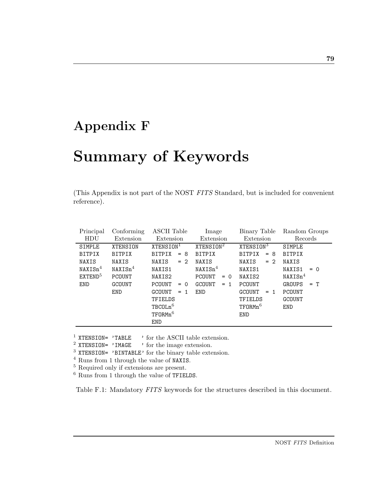## **Appendix F**

# **Summary of Keywords**

(This Appendix is not part of the NOST *FITS* Standard, but is included for convenient reference).

| Principal           | Conforming          | ASCII Table           | Image                 |                        | Binary Table Random Groups |
|---------------------|---------------------|-----------------------|-----------------------|------------------------|----------------------------|
| HDU                 | Extension           | Extension             | Extension             | Extension              | Records                    |
| <b>SIMPLE</b>       | <b>XTENSION</b>     | XTENSION <sup>1</sup> | XTENSION <sup>2</sup> | XTENSION <sup>3</sup>  | <b>SIMPLE</b>              |
| <b>BITPIX</b>       | <b>BITPIX</b>       | BITPIX<br>$= 8$       | <b>BITPIX</b>         | <b>BITPIX</b><br>$= 8$ | <b>BITPIX</b>              |
| NAXIS               | NAXIS               | NAXIS<br>$= 2$        | NAXIS                 | NAXIS<br>$= 2$         | NAXIS                      |
| NAXISn <sup>4</sup> | NAXISn <sup>4</sup> | NAXIS1                | NAXISn <sup>4</sup>   | NAXIS1                 | NAXIS1<br>$= 0$            |
| EXTEND <sup>5</sup> | PCOUNT              | NAXIS2                | PCOUNT<br>$= 0$       | NAXIS2                 | NAXISn <sup>4</sup>        |
| <b>END</b>          | <b>GCOUNT</b>       | PCOUNT<br>$= 0$       | GCOUNT<br>$= 1$       | PCOUNT                 | GROUPS<br>$= T$            |
|                     | <b>END</b>          | GCOUNT<br>$= 1$       | <b>END</b>            | GCOUNT<br>$= 1$        | PCOUNT                     |
|                     |                     | TFIELDS               |                       | TFIELDS                | <b>GCOUNT</b>              |
|                     |                     | TBCOLn <sup>6</sup>   |                       | TFORMn <sup>6</sup>    | <b>END</b>                 |
|                     |                     | $TFORMn^6$            |                       | <b>END</b>             |                            |
|                     |                     | END                   |                       |                        |                            |

<sup>1</sup> XTENSION=  $'$ TABLE  $'$  for the ASCII table extension.

<sup>2</sup> XTENSION=  $'$ IMAGE  $'$  for the image extension.

 $^3$  XTENSION=  $\,$  'BINTABLE' for the binary table extension.

<sup>4</sup> Runs from 1 through the value of NAXIS.

<sup>5</sup> Required only if extensions are present.

<sup>6</sup> Runs from 1 through the value of TFIELDS.

Table F.1: Mandatory *FITS* keywords for the structures described in this document.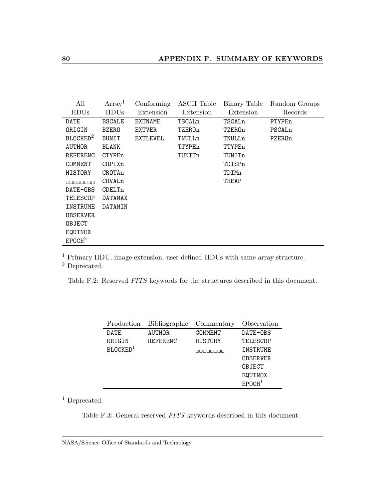| All                   | Array <sup>1</sup> | Conforming    | <b>ASCII</b> Table |           | Binary Table Random Groups |
|-----------------------|--------------------|---------------|--------------------|-----------|----------------------------|
| <b>HDUs</b>           | <b>HDUs</b>        | Extension     | Extension          | Extension | Records                    |
| DATE                  | <b>BSCALE</b>      | EXTNAME       | TSCALn             | TSCALn    | PTYPEn                     |
| ORIGIN                | BZERO              | <b>EXTVER</b> | TZEROn             | TZEROn    | PSCALn                     |
| BLOCKED <sup>2</sup>  | <b>BUNIT</b>       | EXTLEVEL      | TNULLn             | TNULLn    | PZER0n                     |
| <b>AUTHOR</b>         | <b>BLANK</b>       |               | TTYPEn             | TTYPEn    |                            |
| REFERENC              | <b>CTYPEn</b>      |               | TUNITn             | TUNITn    |                            |
| COMMENT               | CRPIXn             |               |                    | TDISPn    |                            |
| HISTORY               | CROTAn             |               |                    | TDIMn     |                            |
| <b>LILILILILILILI</b> | CRVALn             |               |                    | THEAP     |                            |
| DATE-OBS              | CDELTn             |               |                    |           |                            |
| TELESCOP              | DATAMAX            |               |                    |           |                            |
| INSTRUME              | DATAMIN            |               |                    |           |                            |
| OBSERVER              |                    |               |                    |           |                            |
| <b>OBJECT</b>         |                    |               |                    |           |                            |
| EQUINOX               |                    |               |                    |           |                            |
| EPOCH <sup>2</sup>    |                    |               |                    |           |                            |

<sup>1</sup> Primary HDU, image extension, user-defined HDUs with same array structure. <sup>2</sup> Deprecated.

Table F.2: Reserved *FITS* keywords for the structures described in this document.

| Production           | <b>Bibliographic</b> | Commentary     | Observation        |
|----------------------|----------------------|----------------|--------------------|
| DATE                 | <b>AUTHOR</b>        | COMMENT        | DATE-OBS           |
| ORIGIN               | REFERENC             | HISTORY        | TELESCOP           |
| BLOCKED <sup>1</sup> |                      | <u>ышышышы</u> | INSTRUME           |
|                      |                      |                | <b>OBSERVER</b>    |
|                      |                      |                | OBJECT             |
|                      |                      |                | EQUINOX            |
|                      |                      |                | EPOCH <sup>1</sup> |

 $^{\rm 1}$  Deprecated.

Table F.3: General reserved *FITS* keywords described in this document.

NASA/Science Office of Standards and Technology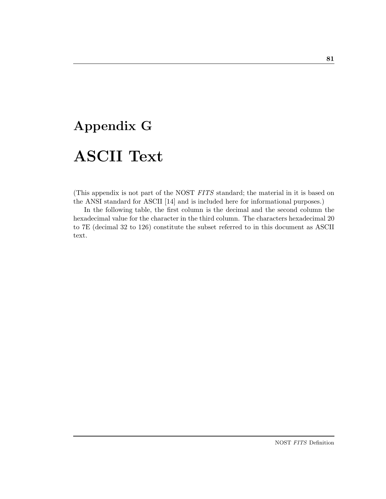# **Appendix G ASCII Text**

(This appendix is not part of the NOST *FITS* standard; the material in it is based on the ANSI standard for ASCII [14] and is included here for informational purposes.)

In the following table, the first column is the decimal and the second column the hexadecimal value for the character in the third column. The characters hexadecimal 20 to 7E (decimal 32 to 126) constitute the subset referred to in this document as ASCII text.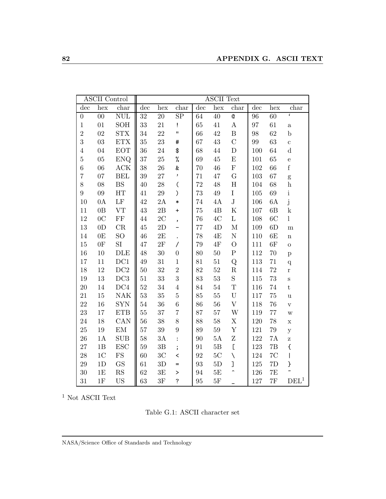|                  | <b>ASCII</b> Control |                        | <b>ASCII Text</b> |                |                             |     |               |                                                                                                                          |                |                |                          |
|------------------|----------------------|------------------------|-------------------|----------------|-----------------------------|-----|---------------|--------------------------------------------------------------------------------------------------------------------------|----------------|----------------|--------------------------|
| dec              | hex                  | char                   | $\mathrm{dec}$    | hex            | char                        | dec | hex           | char                                                                                                                     | $\mathrm{dec}$ | hex            | char                     |
| $\boldsymbol{0}$ | 00                   | $\rm NUL$              | $32\,$            | 20             | SP                          | 64  | 40            | $\pmb{\mathbb{Q}}$                                                                                                       | 96             | 60             | $\overline{\epsilon}$    |
| $\,1\,$          | 01                   | <b>SOH</b>             | 33                | 21             | Ţ                           | 65  | 41            | $\boldsymbol{\rm{A}}$                                                                                                    | 97             | 61             | $\rm{a}$                 |
| $\sqrt{2}$       | 02                   | <b>STX</b>             | 34                | 22             | П                           | 66  | 42            | $\, {\bf B}$                                                                                                             | 98             | 62             | $\mathbf b$              |
| 3                | 03                   | <b>ETX</b>             | 35                | 23             | #                           | 67  | 43            | $\overline{C}$                                                                                                           | 99             | 63             | $\mathbf c$              |
| $\overline{4}$   | 04                   | <b>EOT</b>             | 36                | 24             | \$                          | 68  | 44            | ${\rm D}$                                                                                                                | 100            | 64             | $\mathbf d$              |
| $\overline{5}$   | $05\,$               | <b>ENQ</b>             | 37                | 25             | %                           | 69  | 45            | ${\bf E}$                                                                                                                | 101            | 65             | $\rm e$                  |
| $\,$ 6 $\,$      | 06                   | ACK                    | 38                | 26             | $\&$                        | 70  | 46            | ${\bf F}$                                                                                                                | 102            | 66             | $\mathbf f$              |
| $\overline{7}$   | $07\,$               | <b>BEL</b>             | 39                | 27             | $\,$                        | 71  | 47            | G                                                                                                                        | 103            | 67             | g                        |
| 8                | 08                   | $\mathbf{B}\mathbf{S}$ | 40                | 28             | $\overline{\mathcal{L}}$    | 72  | 48            | $H_{\rm}$                                                                                                                | 104            | 68             | $\,$ h                   |
| $9\phantom{.}$   | $09\,$               | $\rm HT$               | 41                | 29             | $\mathcal{C}^{\mathcal{C}}$ | 73  | 49            | I                                                                                                                        | 105            | 69             | $\mathbf{i}$             |
| 10               | 0A                   | $\operatorname{LF}$    | 42                | 2A             | $\ast$                      | 74  | 4A            | $\bf J$                                                                                                                  | 106            | 6A             | $\mathbf{j}$             |
| 11               | 0B                   | VT                     | 43                | 2B             | $\ddot{}$                   | 75  | 4B            | ${\bf K}$                                                                                                                | 107            | 6B             | $\mathbf k$              |
| 12               | 0 <sub>C</sub>       | $\rm FF$               | 44                | 2C             | $\bullet$                   | 76  | 4C            | $\mathbf L$                                                                                                              | 108            | 6C             | $\mathbf{l}$             |
| 13               | 0D                   | CR                     | 45                | 2D             | -                           | 77  | 4D            | $\mathbf M$                                                                                                              | 109            | 6 <sub>D</sub> | $\mathbf m$              |
| 14               | 0E                   | SO                     | 46                | 2E             | $\ddot{\phantom{0}}$        | 78  | 4E            | ${\rm N}$                                                                                                                | 110            | 6E             | $\mathbf n$              |
| 15               | 0F                   | SI                     | 47                | 2F             | $\overline{1}$              | 79  | 4F            | $\overline{O}$                                                                                                           | 111            | 6F             | $\overline{O}$           |
| 16               | 10                   | DLE                    | 48                | 30             | $\boldsymbol{0}$            | 80  | 50            | ${\bf P}$                                                                                                                | 112            | 70             | $\mathbf{p}$             |
| 17               | 11                   | DC1                    | 49                | 31             | $\,1$                       | 81  | 51            | Q                                                                                                                        | 113            | 71             | $\mathbf q$              |
| 18               | 12                   | DC2                    | 50                | 32             | $\overline{2}$              | 82  | 52            | $\mathbf R$                                                                                                              | 114            | 72             | $\bf r$                  |
| 19               | 13                   | DC3                    | 51                | 33             | 3                           | 83  | 53            | $\mathbf S$                                                                                                              | 115            | 73             | $\mathbf S$              |
| $20\,$           | 14                   | DC4                    | 52                | 34             | $\,4\,$                     | 84  | 54            | $\mathbf T$                                                                                                              | 116            | 74             | $\mathbf t$              |
| 21               | 15                   | <b>NAK</b>             | $53\,$            | 35             | $\bf 5$                     | 85  | $55\,$        | $\ensuremath{\mathbf{U}}$                                                                                                | 117            | 75             | $\mathbf u$              |
| $22\,$           | 16                   | ${\hbox{SYN}}$         | 54                | 36             | $\,6$                       | 86  | 56            | $\ensuremath{\mathbf{V}}$                                                                                                | 118            | 76             | $\rm V$                  |
| 23               | 17                   | <b>ETB</b>             | 55                | 37             | $\overline{7}$              | 87  | 57            | W                                                                                                                        | 119            | $77\,$         | W                        |
| 24               | 18                   | CAN                    | 56                | 38             | $8\,$                       | 88  | 58            | $\mathbf X$                                                                                                              | 120            | 78             | $\mathbf X$              |
| 25               | 19                   | $\rm{EM}$              | 57                | 39             | $\boldsymbol{9}$            | 89  | 59            | $\mathbf Y$                                                                                                              | 121            | 79             | $\mathbf{y}$             |
| ${\bf 26}$       | 1A                   | <b>SUB</b>             | $58\,$            | $3\mathrm{A}$  | $\vdots$                    | 90  | $5\mathrm{A}$ | Z                                                                                                                        | 122            | $7\mathrm{A}$  | $\rm{Z}$                 |
| $27\,$           | 1B                   | $\rm{ESC}$             | 59                | 3B             | $\colon$                    | 91  | $5\mathrm{B}$ | $\mathsf{L}% _{0}\left( \mathcal{A}_{0}\right) ^{T}\left( \mathcal{A}_{1}\right) ^{T}\left( \mathcal{A}_{1}\right) ^{T}$ | 123            | 7B             | $\{$                     |
| ${\bf 28}$       | 1 <sub>C</sub>       | ${\rm FS}$             | 60                | 3 <sup>C</sup> | $\overline{\phantom{a}}$    | 92  | 5C            | $\backslash$                                                                                                             | 124            | $7\mathrm{C}$  | $\overline{\phantom{a}}$ |
| $\,29$           | 1D                   | <b>GS</b>              | 61                | 3D             | $=$                         | 93  | 5D            | J                                                                                                                        | 125            | $7\mathrm{D}$  | }                        |
| $30\,$           | 1E                   | $\mathbf{RS}$          | 62                | 3E             | $\geq$                      | 94  | $5E$          | $\ddot{\phantom{0}}$                                                                                                     | 126            | $7\mathrm{E}$  |                          |
| 31               | 1F                   | <b>US</b>              | 63                | 3F             | $\overline{\mathcal{C}}$    | 95  | $5\mathrm{F}$ |                                                                                                                          | 127            | $7\mathrm{F}$  | DEL <sup>1</sup>         |

 $^{\rm 1}$  Not ASCII Text

Table G.1: ASCII character set

NASA/Science Office of Standards and Technology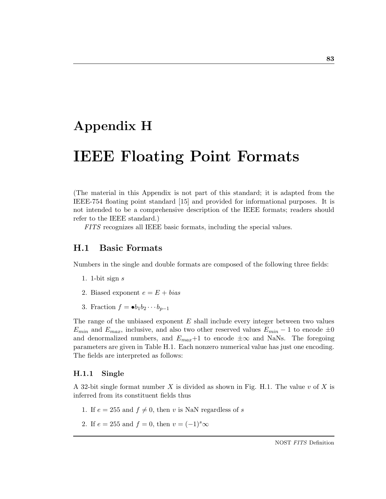## **Appendix H**

## **IEEE Floating Point Formats**

(The material in this Appendix is not part of this standard; it is adapted from the IEEE-754 floating point standard [15] and provided for informational purposes. It is not intended to be a comprehensive description of the IEEE formats; readers should refer to the IEEE standard.)

*FITS* recognizes all IEEE basic formats, including the special values.

#### **H.1 Basic Formats**

Numbers in the single and double formats are composed of the following three fields:

- 1. 1-bit sign  $s$
- 2. Biased exponent  $e = E + bias$
- 3. Fraction  $f = \bullet b_1 b_2 \cdots b_{p-1}$

The range of the unbiased exponent  $E$  shall include every integer between two values  $E_{min}$  and  $E_{max}$ , inclusive, and also two other reserved values  $E_{min} - 1$  to encode  $\pm 0$ and denormalized numbers, and  $E_{max}+1$  to encode  $\pm \infty$  and NaNs. The foregoing parameters are given in Table H.1. Each nonzero numerical value has just one encoding. The fields are interpreted as follows:

#### **H.1.1 Single**

A 32-bit single format number X is divided as shown in Fig. H.1. The value v of X is inferred from its constituent fields thus

- 1. If  $e = 255$  and  $f \neq 0$ , then v is NaN regardless of s
- 2. If  $e = 255$  and  $f = 0$ , then  $v = (-1)^s \infty$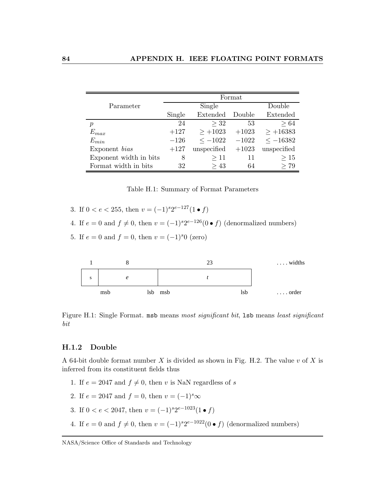|                        | $\rm{Format}$ |             |         |              |  |  |
|------------------------|---------------|-------------|---------|--------------|--|--|
| Parameter              |               | Double      |         |              |  |  |
|                        | Single        | Extended    | Double  | Extended     |  |  |
| $\boldsymbol{p}$       | 24            | >32         | 53      | >64          |  |  |
| $E_{max}$              | $+127$        | $\ge +1023$ | $+1023$ | $\ge +16383$ |  |  |
| $E_{min}$              | $-126$        | $<-1022$    | $-1022$ | $<-16382$    |  |  |
| Exponent bias          | $+127$        | unspecified | $+1023$ | unspecified  |  |  |
| Exponent width in bits | 8             | >11         | 11      | >15          |  |  |
| Format width in bits   | 32            | >43         | 64      | >79          |  |  |

Table H.1: Summary of Format Parameters

3. If 
$$
0 < e < 255
$$
, then  $v = (-1)^s 2^{e-127} (1 \cdot f)$ 

- 4. If  $e = 0$  and  $f \neq 0$ , then  $v = (-1)^s 2^{e-126} (0 \cdot f)$  (denormalized numbers)
- 5. If  $e = 0$  and  $f = 0$ , then  $v = (-1)^{s}0$  (zero)



Figure H.1: Single Format. msb means *most significant bit*, lsb means *least significant bit*

#### **H.1.2 Double**

A 64-bit double format number X is divided as shown in Fig. H.2. The value  $v$  of X is inferred from its constituent fields thus

- 1. If  $e = 2047$  and  $f \neq 0$ , then v is NaN regardless of s
- 2. If  $e = 2047$  and  $f = 0$ , then  $v = (-1)^s \infty$
- 3. If  $0 < e < 2047$ , then  $v = (-1)^s 2^{e-1023} (1 \bullet f)$
- 4. If  $e = 0$  and  $f \neq 0$ , then  $v = (-1)^s 2^{e-1022} (0 \bullet f)$  (denormalized numbers)

NASA/Science Office of Standards and Technology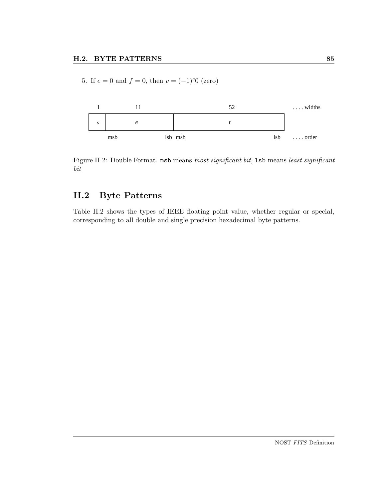5. If  $e = 0$  and  $f = 0$ , then  $v = (-1)^s 0$  (zero)



Figure H.2: Double Format. msb means *most significant bit*, lsb means *least significant bit*

### **H.2 Byte Patterns**

Table H.2 shows the types of IEEE floating point value, whether regular or special, corresponding to all double and single precision hexadecimal byte patterns.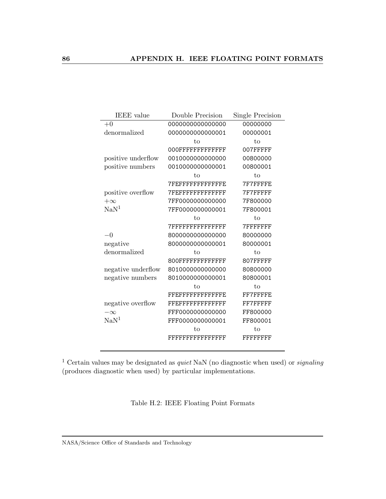| <b>IEEE</b> value  | Double Precision        | Single Precision |
|--------------------|-------------------------|------------------|
| $+0$               | 000000000000000         | 00000000         |
| denormalized       | 000000000000001         | 00000001         |
|                    | to                      | to               |
|                    | 000FFFFFFFFFFFFFF       | 007FFFFF         |
| positive underflow | 001000000000000         | 00800000         |
| positive numbers   | 001000000000001         | 00800001         |
|                    | to                      | to               |
|                    | 7FFFFFFFFFFFFFFF        | 7F7FFFFE         |
| positive overflow  | 7FEFFFFFFFFFFFFF        | 7F7FFFFF         |
| $+\infty$          | 7FF0000000000000        | 7F800000         |
| NaN <sup>1</sup>   | 7FF000000000001         | 7F800001         |
|                    | to                      | to               |
|                    |                         | 7FFFFFFF         |
| $-0$               | 800000000000000         | 80000000         |
| negative           | 800000000000001         | 80000001         |
| denormalized       | to                      | to               |
|                    | 800FFFFFFFFFFFFF        | 807FFFFF         |
| negative underflow | 801000000000000         | 80800000         |
| negative numbers   | 801000000000001         | 80800001         |
|                    | to                      | to               |
|                    | <b>FFEFFFFFFFFFFFFE</b> | <b>FF7FFFFE</b>  |
| negative overflow  | FFEFFFFFFFFFFFFF        | FF7FFFFF         |
| $-\infty$          | FFF0000000000000        | FF800000         |
| NaN <sup>1</sup>   | FFF0000000000001        | FF800001         |
|                    | to                      | to               |
|                    |                         | <b>FFFFFFFF</b>  |
|                    |                         |                  |

<sup>1</sup> Certain values may be designated as *quiet* NaN (no diagnostic when used) or *signaling* (produces diagnostic when used) by particular implementations.

Table H.2: IEEE Floating Point Formats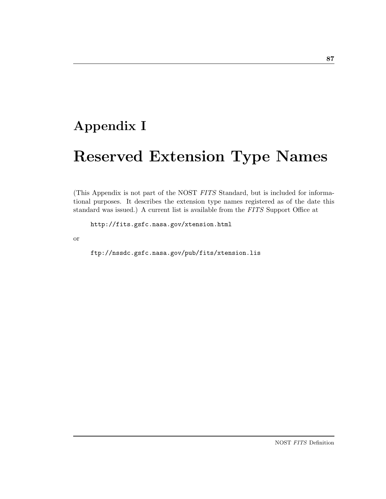## **Appendix I**

# **Reserved Extension Type Names**

(This Appendix is not part of the NOST *FITS* Standard, but is included for informational purposes. It describes the extension type names registered as of the date this standard was issued.) A current list is available from the *FITS* Support Office at

http://fits.gsfc.nasa.gov/xtension.html

or

ftp://nssdc.gsfc.nasa.gov/pub/fits/xtension.lis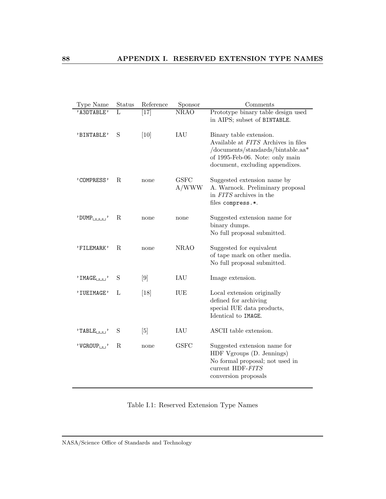| Type Name                              | Status      | Reference | Sponsor              | Comments                                                                                                                                                                  |
|----------------------------------------|-------------|-----------|----------------------|---------------------------------------------------------------------------------------------------------------------------------------------------------------------------|
| 'A3DTABLE'                             | L           | [17]      | <b>NRAO</b>          | Prototype binary table design used<br>in AIPS; subset of BINTABLE.                                                                                                        |
| 'BINTABLE'                             | $\mathbf S$ | [10]      | IAU                  | Binary table extension.<br>Available at FITS Archives in files<br>/documents/standards/bintable.aa*<br>of 1995-Feb-06. Note: only main<br>document, excluding appendixes. |
| 'COMPRESS'                             | R           | none      | <b>GSFC</b><br>A/WWW | Suggested extension name by<br>A. Warnock. Preliminary proposal<br>in FITS archives in the<br>files compress.*.                                                           |
| 'DUMP <sub>UUUU</sub> '                | R           | none      | none                 | Suggested extension name for<br>binary dumps.<br>No full proposal submitted.                                                                                              |
| 'FILEMARK'                             | $\mathbf R$ | none      | <b>NRAO</b>          | Suggested for equivalent<br>of tape mark on other media.<br>No full proposal submitted.                                                                                   |
| $'$ IMAGE <sub>UUU</sub> '             | S           | [9]       | IAU                  | Image extension.                                                                                                                                                          |
| 'IUEIMAGE'                             | L           | [18]      | <b>IUE</b>           | Local extension originally<br>defined for archiving<br>special IUE data products,<br>Identical to IMAGE.                                                                  |
| $'$ TABLE $_{\sqcup \sqcup \sqcup }$ ' | S           | [5]       | IAU                  | ASCII table extension.                                                                                                                                                    |
| 'VGROUP <sub>LILI</sub> '              | $\mathbf R$ | none      | <b>GSFC</b>          | Suggested extension name for<br>HDF Vgroups (D. Jennings)<br>No formal proposal; not used in<br>current HDF-FITS<br>conversion proposals                                  |

Table I.1: Reserved Extension Type Names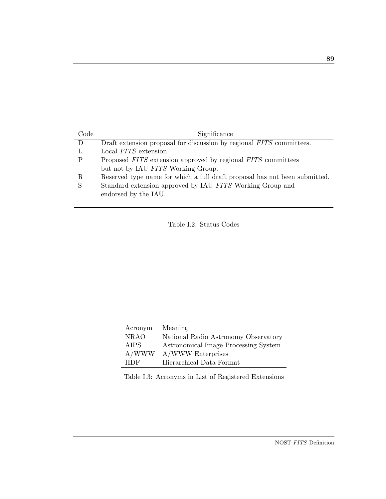| Code | Significance                                                                      |
|------|-----------------------------------------------------------------------------------|
| D    | Draft extension proposal for discussion by regional FITS committees.              |
|      | Local <i>FITS</i> extension.                                                      |
|      | Proposed FITS extension approved by regional FITS committees                      |
|      | but not by IAU FITS Working Group.                                                |
| R.   | Reserved type name for which a full draft proposal has not been submitted.        |
|      | Standard extension approved by IAU FITS Working Group and<br>endorsed by the IAU. |
|      |                                                                                   |

Table I.2: Status Codes

| Acronym     | Meaning                              |
|-------------|--------------------------------------|
| <b>NRAO</b> | National Radio Astronomy Observatory |
| <b>AIPS</b> | Astronomical Image Processing System |
| A/WWW       | A/WWW Enterprises                    |
| HDE         | Hierarchical Data Format             |

Table I.3: Acronyms in List of Registered Extensions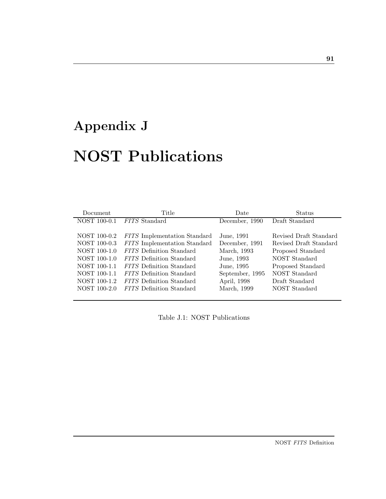## **Appendix J**

# **NOST Publications**

| Document     | Title                               | Date            | Status                 |
|--------------|-------------------------------------|-----------------|------------------------|
| NOST 100-0.1 | <b>FITS</b> Standard                | December, 1990  | Draft Standard         |
|              |                                     |                 |                        |
| NOST 100-0.2 | <i>FITS</i> Implementation Standard | June, 1991      | Revised Draft Standard |
| NOST 100-0.3 | FITS Implementation Standard        | December, 1991  | Revised Draft Standard |
| NOST 100-1.0 | <i>FITS</i> Definition Standard     | March, 1993     | Proposed Standard      |
| NOST 100-1.0 | <i>FITS</i> Definition Standard     | June, 1993      | NOST Standard          |
| NOST 100-1.1 | <i>FITS</i> Definition Standard     | June, 1995      | Proposed Standard      |
| NOST 100-1.1 | <i>FITS</i> Definition Standard     | September, 1995 | NOST Standard          |
| NOST 100-1.2 | <i>FITS</i> Definition Standard     | April, 1998     | Draft Standard         |
| NOST 100-2.0 | <i>FITS</i> Definition Standard     | March, 1999     | NOST Standard          |

Table J.1: NOST Publications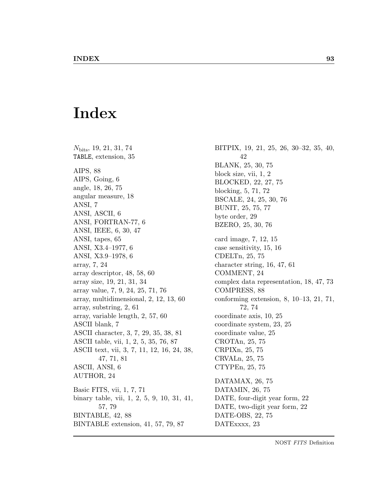# **Index**

 $N_{\text{bits}}$ , 19, 21, 31, 74 TABLE, extension, 35 AIPS, 88 AIPS, Going, 6 angle, 18, 26, 75 angular measure, 18 ANSI, 7 ANSI, ASCII, 6 ANSI, FORTRAN-77, 6 ANSI, IEEE, 6, 30, 47 ANSI, tapes, 65 ANSI, X3.4–1977, 6 ANSI, X3.9–1978, 6 array, 7, 24 array descriptor, 48, 58, 60 array size, 19, 21, 31, 34 array value, 7, 9, 24, 25, 71, 76 array, multidimensional, 2, 12, 13, 60 array, substring, 2, 61 array, variable length, 2, 57, 60 ASCII blank, 7 ASCII character, 3, 7, 29, 35, 38, 81 ASCII table, vii, 1, 2, 5, 35, 76, 87 ASCII text, vii, 3, 7, 11, 12, 16, 24, 38, 47, 71, 81 ASCII, ANSI, 6 AUTHOR, 24 Basic FITS, vii, 1, 7, 71 binary table, vii, 1, 2, 5, 9, 10, 31, 41, 57, 79 BINTABLE, 42, 88 BINTABLE extension, 41, 57, 79, 87

BITPIX, 19, 21, 25, 26, 30–32, 35, 40, 42 BLANK, 25, 30, 75 block size, vii, 1, 2 BLOCKED, 22, 27, 75 blocking, 5, 71, 72 BSCALE, 24, 25, 30, 76 BUNIT, 25, 75, 77 byte order, 29 BZERO, 25, 30, 76 card image, 7, 12, 15 case sensitivity, 15, 16 CDELTn, 25, 75 character string, 16, 47, 61 COMMENT, 24 complex data representation, 18, 47, 73 COMPRESS, 88 conforming extension, 8, 10–13, 21, 71, 72, 74 coordinate axis, 10, 25 coordinate system, 23, 25 coordinate value, 25 CROTAn, 25, 75 CRPIXn, 25, 75 CRVALn, 25, 75 CTYPEn, 25, 75 DATAMAX, 26, 75 DATAMIN, 26, 75 DATE, four-digit year form, 22 DATE, two-digit year form, 22 DATE-OBS, 22, 75 DATExxxx, 23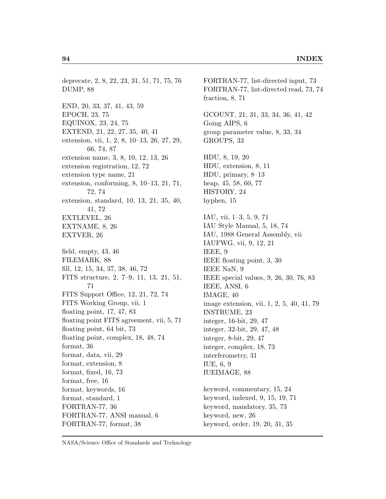deprecate, 2, 8, 22, 23, 31, 51, 71, 75, 76 DUMP, 88 END, 20, 33, 37, 41, 43, 59 EPOCH, 23, 75 EQUINOX, 23, 24, 75 EXTEND, 21, 22, 27, 35, 40, 41 extension, vii, 1, 2, 8, 10–13, 26, 27, 29, 66, 74, 87 extension name, 3, 8, 10, 12, 13, 26 extension registration, 12, 72 extension type name, 21 extension, conforming, 8, 10–13, 21, 71, 72, 74 extension, standard, 10, 13, 21, 35, 40, 41, 72 EXTLEVEL, 26 EXTNAME, 8, 26 EXTVER, 26 field, empty, 43, 46 FILEMARK, 88 fill, 12, 15, 34, 37, 38, 46, 72 FITS structure, 2, 7–9, 11, 13, 21, 51, 71 FITS Support Office, 12, 21, 72, 74 FITS Working Group, vii, 1 floating point, 17, 47, 83 floating point FITS agreement, vii, 5, 71 floating point, 64 bit, 73 floating point, complex, 18, 48, 74 format, 36 format, data, vii, 29 format, extension, 8 format, fixed, 16, 73 format, free, 16 format, keywords, 16 format, standard, 1 FORTRAN-77, 36 FORTRAN-77, ANSI manual, 6 FORTRAN-77, format, 38

FORTRAN-77, list-directed input, 73 FORTRAN-77, list-directed read, 73, 74 fraction, 8, 71 GCOUNT, 21, 31, 33, 34, 36, 41, 42 Going AIPS, 6 group parameter value, 8, 33, 34 GROUPS, 33 HDU, 8, 19, 20 HDU, extension, 8, 11 HDU, primary, 8–13 heap, 45, 58, 60, 77 HISTORY, 24 hyphen, 15 IAU, vii, 1–3, 5, 9, 71 IAU Style Manual, 5, 18, 74 IAU, 1988 General Assembly, vii IAUFWG, vii, 9, 12, 21 IEEE, 9 IEEE floating point, 3, 30 IEEE NaN, 9 IEEE special values, 9, 26, 30, 76, 83 IEEE, ANSI, 6 IMAGE, 40 image extension, vii, 1, 2, 5, 40, 41, 79 INSTRUME, 23 integer, 16-bit, 29, 47 integer, 32-bit, 29, 47, 48 integer, 8-bit, 29, 47 integer, complex, 18, 73 interferometry, 31 IUE, 6, 9 IUEIMAGE, 88 keyword, commentary, 15, 24 keyword, indexed, 9, 15, 19, 71 keyword, mandatory, 35, 73 keyword, new, 26

keyword, order, 19, 20, 31, 35

NASA/Science Office of Standards and Technology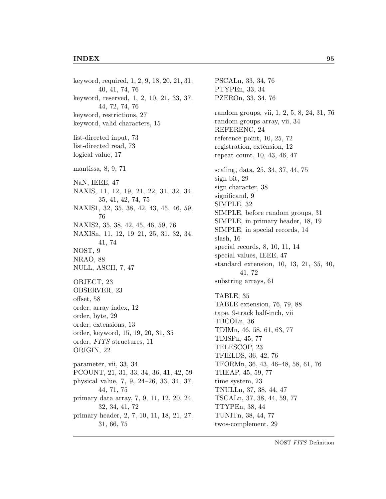keyword, required, 1, 2, 9, 18, 20, 21, 31, 40, 41, 74, 76 keyword, reserved, 1, 2, 10, 21, 33, 37, 44, 72, 74, 76 keyword, restrictions, 27 keyword, valid characters, 15 list-directed input, 73 list-directed read, 73 logical value, 17 mantissa, 8, 9, 71 NaN, IEEE, 47 NAXIS, 11, 12, 19, 21, 22, 31, 32, 34, 35, 41, 42, 74, 75 NAXIS1, 32, 35, 38, 42, 43, 45, 46, 59, 76 NAXIS2, 35, 38, 42, 45, 46, 59, 76 NAXISn, 11, 12, 19–21, 25, 31, 32, 34, 41, 74 NOST, 9 NRAO, 88 NULL, ASCII, 7, 47 OBJECT, 23 OBSERVER, 23 offset, 58 order, array index, 12 order, byte, 29 order, extensions, 13 order, keyword, 15, 19, 20, 31, 35 order, *FITS* structures, 11 ORIGIN, 22 parameter, vii, 33, 34 PCOUNT, 21, 31, 33, 34, 36, 41, 42, 59 physical value, 7, 9, 24–26, 33, 34, 37, 44, 71, 75 primary data array, 7, 9, 11, 12, 20, 24, 32, 34, 41, 72 primary header, 2, 7, 10, 11, 18, 21, 27, 31, 66, 75

PSCALn, 33, 34, 76 PTYPEn, 33, 34 PZEROn, 33, 34, 76 random groups, vii, 1, 2, 5, 8, 24, 31, 76 random groups array, vii, 34 REFERENC, 24 reference point, 10, 25, 72 registration, extension, 12 repeat count, 10, 43, 46, 47 scaling, data, 25, 34, 37, 44, 75 sign bit, 29 sign character, 38 significand, 9 SIMPLE, 32 SIMPLE, before random groups, 31 SIMPLE, in primary header, 18, 19 SIMPLE, in special records, 14 slash, 16 special records, 8, 10, 11, 14 special values, IEEE, 47 standard extension, 10, 13, 21, 35, 40, 41, 72 substring arrays, 61 TABLE, 35 TABLE extension, 76, 79, 88 tape, 9-track half-inch, vii TBCOLn, 36 TDIMn, 46, 58, 61, 63, 77 TDISPn, 45, 77 TELESCOP, 23 TFIELDS, 36, 42, 76 TFORMn, 36, 43, 46–48, 58, 61, 76 THEAP, 45, 59, 77 time system, 23 TNULLn, 37, 38, 44, 47 TSCALn, 37, 38, 44, 59, 77 TTYPEn, 38, 44 TUNITn, 38, 44, 77 twos-complement, 29